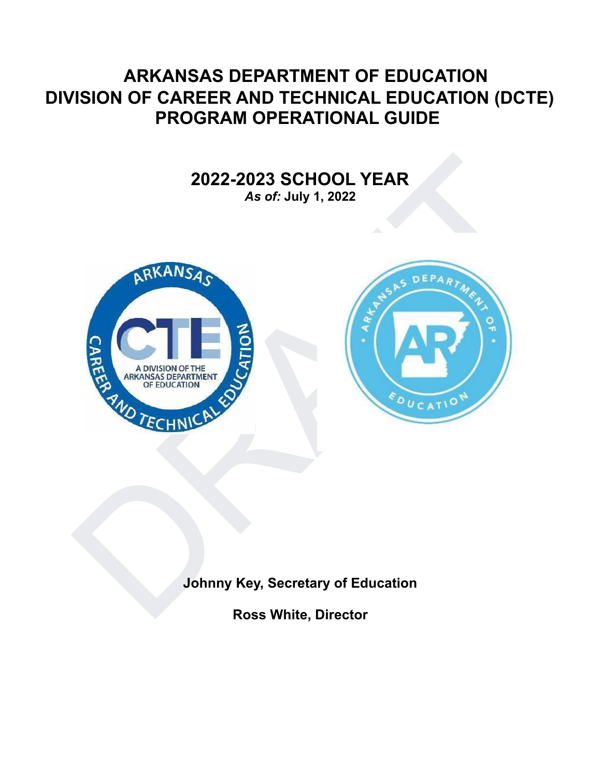# **ARKANSAS DEPARTMENT OF EDUCATION DIVISION OF CAREER AND TECHNICAL EDUCATION (DCTE) PROGRAM OPERATIONAL GUIDE**

# **2022-2023 SCHOOL YEAR**

*As of:* **July 1, 2022**





# **Johnny Key, Secretary of Education**

**Ross White, Director**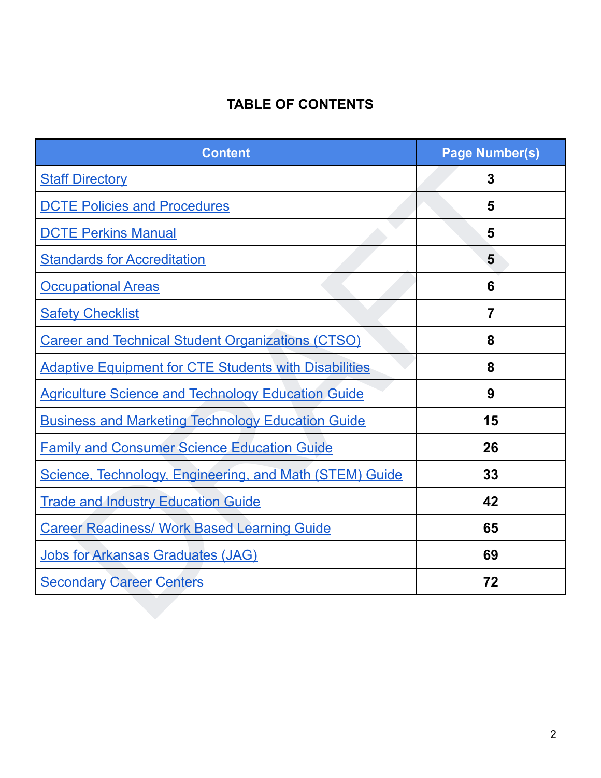# **TABLE OF CONTENTS**

<span id="page-1-0"></span>

| <b>Content</b>                                               | <b>Page Number(s)</b> |
|--------------------------------------------------------------|-----------------------|
| <b>Staff Directory</b>                                       | $\overline{3}$        |
| <b>DCTE Policies and Procedures</b>                          | 5                     |
| <b>DCTE Perkins Manual</b>                                   | 5                     |
| <b>Standards for Accreditation</b>                           | 5                     |
| <b>Occupational Areas</b>                                    | 6                     |
| <b>Safety Checklist</b>                                      | 7                     |
| <b>Career and Technical Student Organizations (CTSO)</b>     | 8                     |
| <b>Adaptive Equipment for CTE Students with Disabilities</b> | 8                     |
| <b>Agriculture Science and Technology Education Guide</b>    | 9                     |
| <b>Business and Marketing Technology Education Guide</b>     | 15                    |
| <b>Family and Consumer Science Education Guide</b>           | 26                    |
| Science, Technology, Engineering, and Math (STEM) Guide      | 33                    |
| <b>Trade and Industry Education Guide</b>                    | 42                    |
| <b>Career Readiness/ Work Based Learning Guide</b>           | 65                    |
| Jobs for Arkansas Graduates (JAG)                            | 69                    |
| <b>Secondary Career Centers</b>                              | 72                    |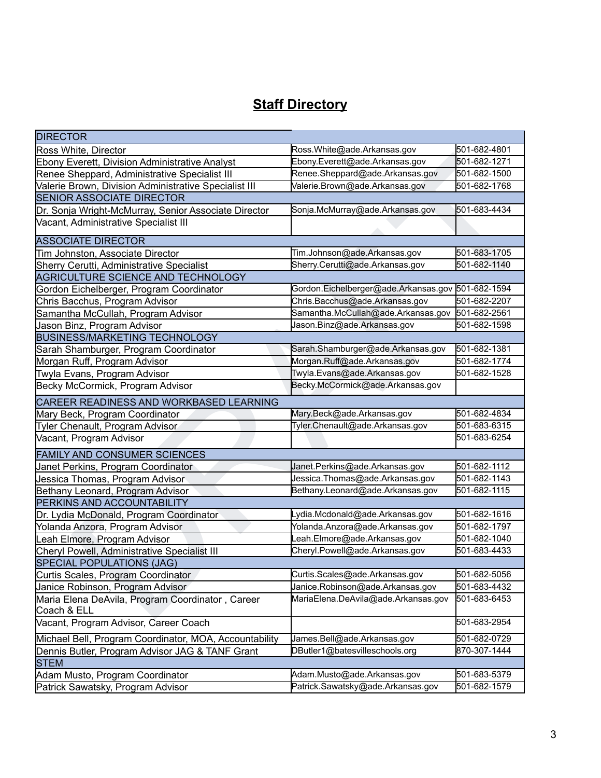# **Staff Directory**

<span id="page-2-0"></span>

| <b>DIRECTOR</b>                                        |                                                   |              |
|--------------------------------------------------------|---------------------------------------------------|--------------|
| Ross White, Director                                   | Ross.White@ade.Arkansas.gov                       | 501-682-4801 |
| Ebony Everett, Division Administrative Analyst         | Ebony.Everett@ade.Arkansas.gov                    | 501-682-1271 |
| Renee Sheppard, Administrative Specialist III          | Renee.Sheppard@ade.Arkansas.gov                   | 501-682-1500 |
| Valerie Brown, Division Administrative Specialist III  | Valerie.Brown@ade.Arkansas.gov                    | 501-682-1768 |
| <b>SENIOR ASSOCIATE DIRECTOR</b>                       |                                                   |              |
| Dr. Sonja Wright-McMurray, Senior Associate Director   | Sonja.McMurray@ade.Arkansas.gov                   | 501-683-4434 |
| Vacant, Administrative Specialist III                  |                                                   |              |
| <b>ASSOCIATE DIRECTOR</b>                              |                                                   |              |
| Tim Johnston, Associate Director                       | Tim.Johnson@ade.Arkansas.gov                      | 501-683-1705 |
| Sherry Cerutti, Administrative Specialist              | Sherry.Cerutti@ade.Arkansas.gov                   | 501-682-1140 |
| AGRICULTURE SCIENCE AND TECHNOLOGY                     |                                                   |              |
| Gordon Eichelberger, Program Coordinator               | Gordon.Eichelberger@ade.Arkansas.gov 501-682-1594 |              |
| Chris Bacchus, Program Advisor                         | Chris.Bacchus@ade.Arkansas.gov                    | 501-682-2207 |
| Samantha McCullah, Program Advisor                     | Samantha.McCullah@ade.Arkansas.gov                | 501-682-2561 |
| Jason Binz, Program Advisor                            | Jason.Binz@ade.Arkansas.gov                       | 501-682-1598 |
| <b>BUSINESS/MARKETING TECHNOLOGY</b>                   |                                                   |              |
| Sarah Shamburger, Program Coordinator                  | Sarah.Shamburger@ade.Arkansas.gov                 | 501-682-1381 |
| Morgan Ruff, Program Advisor                           | Morgan.Ruff@ade.Arkansas.gov                      | 501-682-1774 |
| Twyla Evans, Program Advisor                           | Twyla.Evans@ade.Arkansas.gov                      | 501-682-1528 |
| Becky McCormick, Program Advisor                       | Becky.McCormick@ade.Arkansas.gov                  |              |
| CAREER READINESS AND WORKBASED LEARNING                |                                                   |              |
| Mary Beck, Program Coordinator                         | Mary.Beck@ade.Arkansas.gov                        | 501-682-4834 |
| <b>Tyler Chenault, Program Advisor</b>                 | Tyler.Chenault@ade.Arkansas.gov                   | 501-683-6315 |
| Vacant, Program Advisor                                |                                                   | 501-683-6254 |
| <b>FAMILY AND CONSUMER SCIENCES</b>                    |                                                   |              |
| Janet Perkins, Program Coordinator                     | Janet.Perkins@ade.Arkansas.gov                    | 501-682-1112 |
| Jessica Thomas, Program Advisor                        | Jessica.Thomas@ade.Arkansas.gov                   | 501-682-1143 |
| Bethany Leonard, Program Advisor                       | Bethany.Leonard@ade.Arkansas.gov                  | 501-682-1115 |
| PERKINS AND ACCOUNTABILITY                             |                                                   |              |
| Dr. Lydia McDonald, Program Coordinator                | Lydia.Mcdonald@ade.Arkansas.gov                   | 501-682-1616 |
| Yolanda Anzora, Program Advisor                        | Yolanda.Anzora@ade.Arkansas.gov                   | 501-682-1797 |
| eah Elmore, Program Advisor                            | Leah.Elmore@ade.Arkansas.gov                      | 501-682-1040 |
| Cheryl Powell, Administrative Specialist III           | Cheryl.Powell@ade.Arkansas.gov                    | 501-683-4433 |
| <b>SPECIAL POPULATIONS (JAG)</b>                       |                                                   |              |
| Curtis Scales, Program Coordinator                     | Curtis.Scales@ade.Arkansas.gov                    | 501-682-5056 |
| Janice Robinson, Program Advisor                       | Janice.Robinson@ade.Arkansas.gov                  | 501-683-4432 |
| Maria Elena DeAvila, Program Coordinator, Career       | MariaElena.DeAvila@ade.Arkansas.gov               | 501-683-6453 |
| Coach & ELL                                            |                                                   |              |
| Vacant, Program Advisor, Career Coach                  |                                                   | 501-683-2954 |
| Michael Bell, Program Coordinator, MOA, Accountability | James.Bell@ade.Arkansas.gov                       | 501-682-0729 |
| Dennis Butler, Program Advisor JAG & TANF Grant        | DButler1@batesvilleschools.org                    | 870-307-1444 |
| <b>STEM</b>                                            |                                                   |              |
| Adam Musto, Program Coordinator                        | Adam.Musto@ade.Arkansas.gov                       | 501-683-5379 |
| Patrick Sawatsky, Program Advisor                      | Patrick.Sawatsky@ade.Arkansas.gov                 | 501-682-1579 |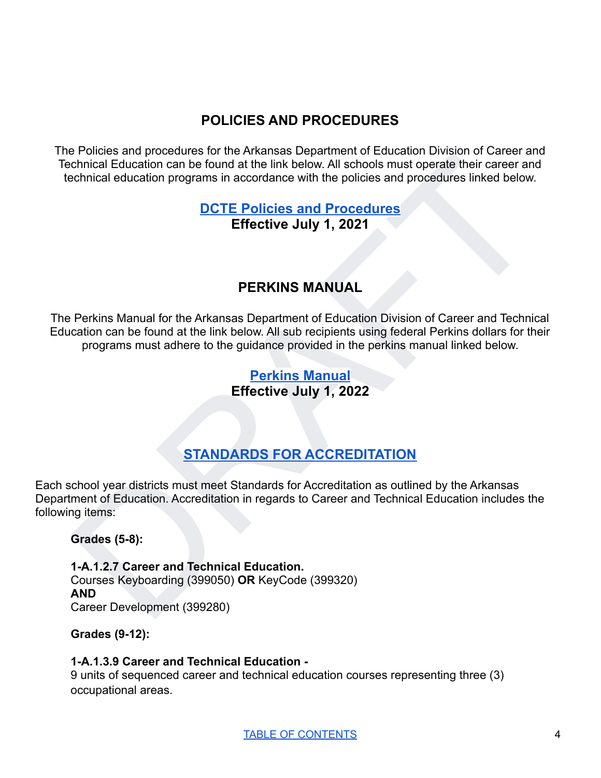# **POLICIES AND PROCEDURES**

<span id="page-4-0"></span>The Policies and procedures for the Arkansas Department of Education Division of Career and Technical Education can be found at the link below. All schools must operate their career and technical education programs in accordance with the policies and procedures linked below.

# **DCTE Policies and Procedures Effective July 1, 2021**

# **PERKINS MANUAL**

<span id="page-4-1"></span>[F](https://drive.google.com/file/d/1oAjbWmhTnppl5TeUUqdlE1IPSb3fq410/view?usp=sharing)rances and procedures to the Arkansas Department to tubulantin rowsom to solet attention and the found at the link below. All schools must operate their career and<br>christial education programs in accordance with the polic The Perkins Manual for the Arkansas Department of Education Division of Career and Technical Education can be found at the link below. All sub recipients using federal Perkins dollars for their programs must adhere to the guidance provided in the perkins manual linked below.

# **Perkins Manual Effective July 1, 2022**

# **STANDARDS FOR ACCREDITATION**

<span id="page-4-2"></span>Each school year districts must meet Standards for Accreditation as outlined by the Arkansas Department of Education. Accreditation in regards to Career and Technical Education includes the following items:

**Grades (5-8):**

**1-A.1.2.7 Career and Technical Education.** Courses Keyboarding (399050) **OR** KeyCode (399320) **AND** Career Development (399280)

**Grades (9-12):**

# **1-A.1.3.9 Career and Technical Education -**

9 units of sequenced career and technical education courses representing three (3) occupational areas.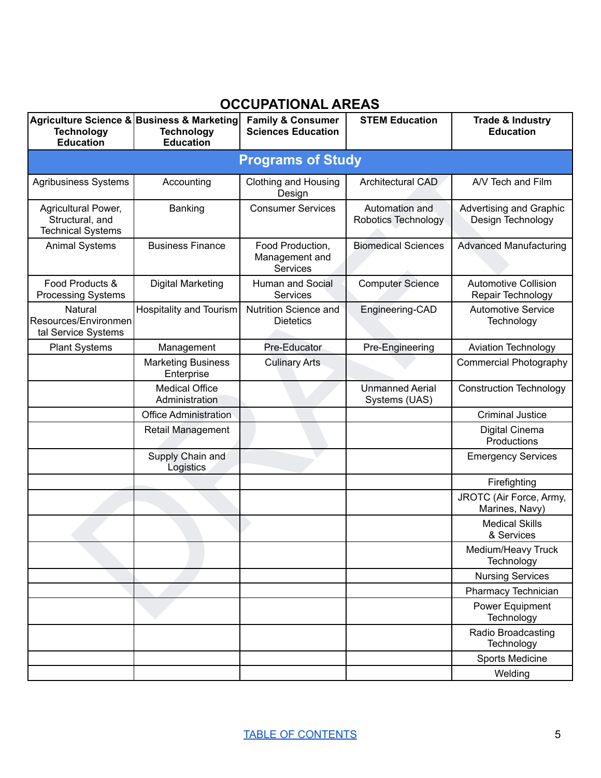# **OCCUPATIONAL AREAS**

<span id="page-5-0"></span>

| <b>Technology</b><br><b>Education</b>                              | Agriculture Science & Business & Marketing<br><b>Technology</b><br><b>Education</b> | <b>Family &amp; Consumer</b><br><b>Sciences Education</b> | <b>STEM Education</b>                   | <b>Trade &amp; Industry</b><br><b>Education</b>  |
|--------------------------------------------------------------------|-------------------------------------------------------------------------------------|-----------------------------------------------------------|-----------------------------------------|--------------------------------------------------|
|                                                                    |                                                                                     | <b>Programs of Study</b>                                  |                                         |                                                  |
| <b>Agribusiness Systems</b>                                        | Accounting                                                                          | <b>Clothing and Housing</b><br>Design                     | <b>Architectural CAD</b>                | A/V Tech and Film                                |
| Agricultural Power,<br>Structural, and<br><b>Technical Systems</b> | Banking                                                                             | <b>Consumer Services</b>                                  | Automation and<br>Robotics Technology   | Advertising and Graphic<br>Design Technology     |
| <b>Animal Systems</b>                                              | <b>Business Finance</b>                                                             | Food Production,<br>Management and<br><b>Services</b>     | <b>Biomedical Sciences</b>              | <b>Advanced Manufacturing</b>                    |
| Food Products &<br><b>Processing Systems</b>                       | <b>Digital Marketing</b>                                                            | Human and Social<br><b>Services</b>                       | <b>Computer Science</b>                 | <b>Automotive Collision</b><br>Repair Technology |
| Natural<br>Resources/Environmen<br>tal Service Systems             | Hospitality and Tourism                                                             | <b>Nutrition Science and</b><br><b>Dietetics</b>          | Engineering-CAD                         | <b>Automotive Service</b><br>Technology          |
| <b>Plant Systems</b>                                               | Management                                                                          | Pre-Educator                                              | Pre-Engineering                         | <b>Aviation Technology</b>                       |
|                                                                    | <b>Marketing Business</b><br>Enterprise                                             | <b>Culinary Arts</b>                                      |                                         | <b>Commercial Photography</b>                    |
|                                                                    | <b>Medical Office</b><br>Administration                                             |                                                           | <b>Unmanned Aerial</b><br>Systems (UAS) | <b>Construction Technology</b>                   |
|                                                                    | <b>Office Administration</b>                                                        |                                                           |                                         | <b>Criminal Justice</b>                          |
|                                                                    | Retail Management                                                                   |                                                           |                                         | Digital Cinema<br>Productions                    |
|                                                                    | Supply Chain and<br>Logistics                                                       |                                                           |                                         | <b>Emergency Services</b>                        |
|                                                                    |                                                                                     |                                                           |                                         | Firefighting                                     |
|                                                                    |                                                                                     |                                                           |                                         | JROTC (Air Force, Army,<br>Marines, Navy)        |
|                                                                    |                                                                                     |                                                           |                                         | <b>Medical Skills</b><br>& Services              |
|                                                                    |                                                                                     |                                                           |                                         | Medium/Heavy Truck<br>Technology                 |
|                                                                    |                                                                                     |                                                           |                                         | <b>Nursing Services</b>                          |
|                                                                    |                                                                                     |                                                           |                                         | Pharmacy Technician                              |
|                                                                    |                                                                                     |                                                           |                                         | Power Equipment<br>Technology                    |
|                                                                    |                                                                                     |                                                           |                                         | Radio Broadcasting<br>Technology                 |
|                                                                    |                                                                                     |                                                           |                                         | Sports Medicine                                  |
|                                                                    |                                                                                     |                                                           |                                         | Welding                                          |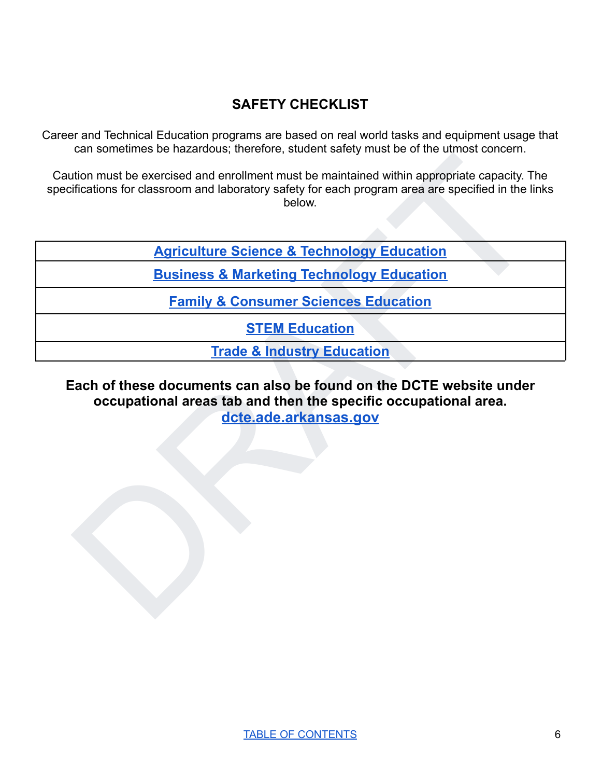# **SAFETY CHECKLIST**

<span id="page-6-0"></span>Career and Technical Education programs are based on real world tasks and equipment usage that can sometimes be hazardous; therefore, student safety must be of the utmost concern.

Caution must be exercised and enrollment must be maintained within appropriate capacity. The specifications for classroom and laboratory safety for each program area are specified in the links below.

**Agriculture Science & Technology Education**

**Business & Marketing Technology Education**

**Family & Consumer Sciences Education**

**STEM Education**

**Trade & Industry Education**

# structure the second and a through the maintained within appropriate capacity. The diffications for classroom and laboratory safety for each program area are specified in the links<br>below.<br> [A](https://drive.google.com/file/d/1OFa-oBclCTL6QD8WA7zVCNKnYOKpXguP/view?usp=sharing)griculture Science & Technology **Each of these documents can also be found on the DCTE website under occupational areas tab and then the specific occupational area. dcte.ade.arkansas.gov**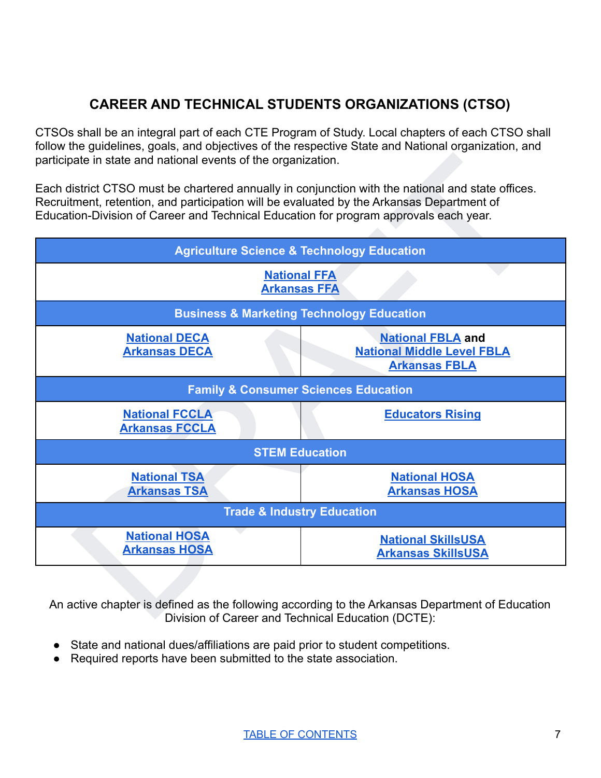# **CAREER AND TECHNICAL STUDENTS ORGANIZATIONS (CTSO)**

<span id="page-7-0"></span>CTSOs shall be an integral part of each CTE Program of Study. Local chapters of each CTSO shall follow the guidelines, goals, and objectives of the respective State and National organization, and participate in state and national events of the organization.

Each district CTSO must be chartered annually in conjunction with the national and state offices. Recruitment, retention, and participation will be evaluated by the Arkansas Department of Education-Division of Career and Technical Education for program approvals each year.



An active chapter is defined as the following according to the Arkansas Department of Education Division of Career and Technical Education (DCTE):

- State and national dues/affiliations are paid prior to student competitions.
- Required reports have been submitted to the state association.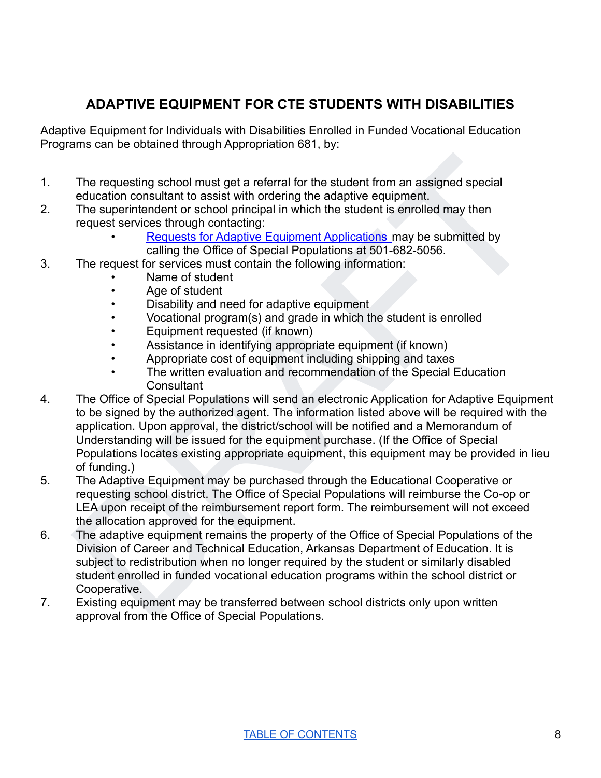# **ADAPTIVE EQUIPMENT FOR CTE STUDENTS WITH DISABILITIES**

<span id="page-8-0"></span>Adaptive Equipment for Individuals with Disabilities Enrolled in Funded Vocational Education Programs can be obtained through Appropriation 681, by:

- 1. The requesting school must get a referral for the student from an assigned special education consultant to assist with ordering the adaptive equipment.
- 2. The superintendent or school principal in which the student is enrolled may then request services through contacting:
	- Requests for Adaptive Equipment Applications may be submitted by calling the Office of Special Populations at 501-682-5056.
- 3. The request for services must contain the following information:
	- Name of student
	- Age of student
	- Disability and need for adaptive equipment
	- Vocational program(s) and grade in which the student is enrolled
	- Equipment requested (if known)
	- Assistance in identifying appropriate equipment (if known)
	- Appropriate cost of equipment including shipping and taxes
	- The written evaluation and recommendation of the Special Education **Consultant**
- The requesting school must get a referral for the student from an assigned special<br>education consultant to assist with ordering the adaptive equipment.<br>The superintendent or school principle in which the student is enrolle 4. The Office of Special Populations will send an electronic Application for Adaptive Equipment to be signed by the authorized agent. The information listed above will be required with the application. Upon approval, the district/school will be notified and a Memorandum of Understanding will be issued for the equipment purchase. (If the Office of Special Populations locates existing appropriate equipment, this equipment may be provided in lieu of funding.)
- 5. The Adaptive Equipment may be purchased through the Educational Cooperative or requesting school district. The Office of Special Populations will reimburse the Co-op or LEA upon receipt of the reimbursement report form. The reimbursement will not exceed the allocation approved for the equipment.
- 6. The adaptive equipment remains the property of the Office of Special Populations of the Division of Career and Technical Education, Arkansas Department of Education. It is subject to redistribution when no longer required by the student or similarly disabled student enrolled in funded vocational education programs within the school district or Cooperative.
- 7. Existing equipment may be transferred between school districts only upon written approval from the Office of Special Populations.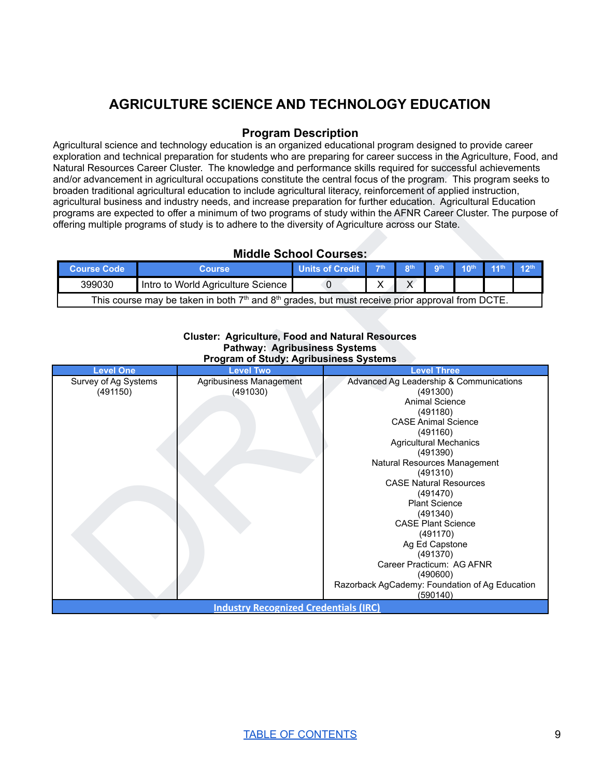# **AGRICULTURE SCIENCE AND TECHNOLOGY EDUCATION**

## **Program Description**

<span id="page-9-0"></span>Agricultural science and technology education is an organized educational program designed to provide career exploration and technical preparation for students who are preparing for career success in the Agriculture, Food, and Natural Resources Career Cluster. The knowledge and performance skills required for successful achievements and/or advancement in agricultural occupations constitute the central focus of the program. This program seeks to broaden traditional agricultural education to include agricultural literacy, reinforcement of applied instruction, agricultural business and industry needs, and increase preparation for further education. Agricultural Education programs are expected to offer a minimum of two programs of study within the AFNR Career Cluster. The purpose of offering multiple programs of study is to adhere to the diversity of Agriculture across our State.

## **Middle School Courses:**

| <b>Course Code</b>                                                                                                      | Course                             | <b>Units of Credit</b> | $-7th$ | oth | <b>ath</b> | $10th$ $11th$ |  |  |
|-------------------------------------------------------------------------------------------------------------------------|------------------------------------|------------------------|--------|-----|------------|---------------|--|--|
| 399030                                                                                                                  | Intro to World Agriculture Science |                        |        |     |            |               |  |  |
| This course may be taken in both 7 <sup>th</sup> and 8 <sup>th</sup> grades, but must receive prior approval from DCTE. |                                    |                        |        |     |            |               |  |  |

#### **Cluster: Agriculture, Food and Natural Resources Pathway: Agribusiness Systems Program of Study: Agribusiness Systems**

| <b>Middle School Courses:</b><br>11 <sup>th</sup><br><b>Units of Credit</b><br>7 <sup>th</sup><br>8 <sup>th</sup><br><b>gth</b><br>10 <sup>th</sup><br>12 <sup>th</sup><br><b>Course Code</b><br><b>Course</b><br>399030<br>X<br>X<br>Intro to World Agriculture Science<br>$\Omega$<br>This course may be taken in both 7 <sup>th</sup> and 8 <sup>th</sup> grades, but must receive prior approval from DCTE.<br><b>Cluster: Agriculture, Food and Natural Resources</b><br><b>Pathway: Agribusiness Systems</b><br><b>Program of Study: Agribusiness Systems</b><br><b>Level One</b><br>Level Two<br><b>Level Three</b><br>Agribusiness Management<br>Survey of Ag Systems<br>Advanced Ag Leadership & Communications<br>(491150)<br>(491030)<br>(491300)<br>Animal Science<br>(491180)<br><b>CASE Animal Science</b><br>(491160)<br><b>Agricultural Mechanics</b><br>(491390)<br>Natural Resources Management<br>(491310)<br><b>CASE Natural Resources</b><br>(491470)<br><b>Plant Science</b><br>(491340)<br><b>CASE Plant Science</b><br>(491170)<br>Ag Ed Capstone<br>(491370)<br>Career Practicum: AG AFNR<br>(490600)<br>Razorback AgCademy: Foundation of Ag Education<br>(590140)<br><b>Industry Recognized Credentials (IRC)</b> |  | exploration and technical preparation for students who are preparing for career success in the Agriculture, Food, and<br>Natural Resources Career Cluster. The knowledge and performance skills required for successful achievements<br>and/or advancement in agricultural occupations constitute the central focus of the program. This program seeks to<br>broaden traditional agricultural education to include agricultural literacy, reinforcement of applied instruction,<br>agricultural business and industry needs, and increase preparation for further education. Agricultural Education<br>programs are expected to offer a minimum of two programs of study within the AFNR Career Cluster. The purpose of<br>offering multiple programs of study is to adhere to the diversity of Agriculture across our State. |  |  |  |  |  |
|----------------------------------------------------------------------------------------------------------------------------------------------------------------------------------------------------------------------------------------------------------------------------------------------------------------------------------------------------------------------------------------------------------------------------------------------------------------------------------------------------------------------------------------------------------------------------------------------------------------------------------------------------------------------------------------------------------------------------------------------------------------------------------------------------------------------------------------------------------------------------------------------------------------------------------------------------------------------------------------------------------------------------------------------------------------------------------------------------------------------------------------------------------------------------------------------------------------------------------------------|--|-------------------------------------------------------------------------------------------------------------------------------------------------------------------------------------------------------------------------------------------------------------------------------------------------------------------------------------------------------------------------------------------------------------------------------------------------------------------------------------------------------------------------------------------------------------------------------------------------------------------------------------------------------------------------------------------------------------------------------------------------------------------------------------------------------------------------------|--|--|--|--|--|
|                                                                                                                                                                                                                                                                                                                                                                                                                                                                                                                                                                                                                                                                                                                                                                                                                                                                                                                                                                                                                                                                                                                                                                                                                                              |  |                                                                                                                                                                                                                                                                                                                                                                                                                                                                                                                                                                                                                                                                                                                                                                                                                               |  |  |  |  |  |
|                                                                                                                                                                                                                                                                                                                                                                                                                                                                                                                                                                                                                                                                                                                                                                                                                                                                                                                                                                                                                                                                                                                                                                                                                                              |  |                                                                                                                                                                                                                                                                                                                                                                                                                                                                                                                                                                                                                                                                                                                                                                                                                               |  |  |  |  |  |
|                                                                                                                                                                                                                                                                                                                                                                                                                                                                                                                                                                                                                                                                                                                                                                                                                                                                                                                                                                                                                                                                                                                                                                                                                                              |  |                                                                                                                                                                                                                                                                                                                                                                                                                                                                                                                                                                                                                                                                                                                                                                                                                               |  |  |  |  |  |
|                                                                                                                                                                                                                                                                                                                                                                                                                                                                                                                                                                                                                                                                                                                                                                                                                                                                                                                                                                                                                                                                                                                                                                                                                                              |  |                                                                                                                                                                                                                                                                                                                                                                                                                                                                                                                                                                                                                                                                                                                                                                                                                               |  |  |  |  |  |
|                                                                                                                                                                                                                                                                                                                                                                                                                                                                                                                                                                                                                                                                                                                                                                                                                                                                                                                                                                                                                                                                                                                                                                                                                                              |  |                                                                                                                                                                                                                                                                                                                                                                                                                                                                                                                                                                                                                                                                                                                                                                                                                               |  |  |  |  |  |
|                                                                                                                                                                                                                                                                                                                                                                                                                                                                                                                                                                                                                                                                                                                                                                                                                                                                                                                                                                                                                                                                                                                                                                                                                                              |  |                                                                                                                                                                                                                                                                                                                                                                                                                                                                                                                                                                                                                                                                                                                                                                                                                               |  |  |  |  |  |
|                                                                                                                                                                                                                                                                                                                                                                                                                                                                                                                                                                                                                                                                                                                                                                                                                                                                                                                                                                                                                                                                                                                                                                                                                                              |  |                                                                                                                                                                                                                                                                                                                                                                                                                                                                                                                                                                                                                                                                                                                                                                                                                               |  |  |  |  |  |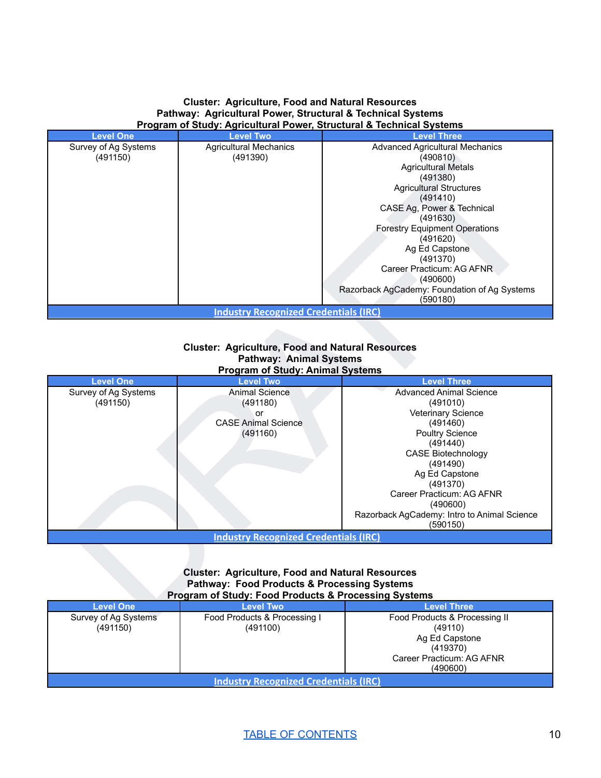#### **Cluster: Agriculture, Food and Natural Resources Pathway: Agricultural Power, Structural & Technical Systems Program of Study: Agricultural Power, Structural & Technical Systems**

| <b>Level One</b>                             | <b>Level Two</b>              | <b>Level Three</b>                           |  |  |  |  |
|----------------------------------------------|-------------------------------|----------------------------------------------|--|--|--|--|
| Survey of Ag Systems                         | <b>Agricultural Mechanics</b> | <b>Advanced Agricultural Mechanics</b>       |  |  |  |  |
| (491150)                                     | (491390)                      | (490810)                                     |  |  |  |  |
|                                              |                               | <b>Agricultural Metals</b>                   |  |  |  |  |
|                                              |                               | (491380)                                     |  |  |  |  |
|                                              |                               | <b>Agricultural Structures</b>               |  |  |  |  |
|                                              |                               | (491410)                                     |  |  |  |  |
|                                              |                               | CASE Ag, Power & Technical                   |  |  |  |  |
|                                              |                               | (491630)                                     |  |  |  |  |
|                                              |                               | <b>Forestry Equipment Operations</b>         |  |  |  |  |
|                                              |                               | (491620)                                     |  |  |  |  |
|                                              |                               | Ag Ed Capstone                               |  |  |  |  |
|                                              |                               | (491370)                                     |  |  |  |  |
|                                              |                               | Career Practicum: AG AFNR                    |  |  |  |  |
|                                              |                               | (490600)                                     |  |  |  |  |
|                                              |                               | Razorback AgCademy: Foundation of Ag Systems |  |  |  |  |
| (590180)                                     |                               |                                              |  |  |  |  |
| <b>Industry Recognized Credentials (IRC)</b> |                               |                                              |  |  |  |  |

#### **Cluster: Agriculture, Food and Natural Resources Pathway: Animal Systems Program of Study: Animal Systems**

| (491150)                         | (491390)<br><b>Industry Recognized Credentials (IRC)</b>                                                                                                                             | (490810)<br><b>Agricultural Metals</b><br>(491380)<br><b>Agricultural Structures</b><br>(491410)<br>CASE Ag, Power & Technical<br>(491630)<br><b>Forestry Equipment Operations</b><br>(491620)<br>Ag Ed Capstone<br>(491370)<br>Career Practicum: AG AFNR<br>(490600)<br>Razorback AgCademy: Foundation of Ag Systems<br>(590180) |
|----------------------------------|--------------------------------------------------------------------------------------------------------------------------------------------------------------------------------------|-----------------------------------------------------------------------------------------------------------------------------------------------------------------------------------------------------------------------------------------------------------------------------------------------------------------------------------|
|                                  |                                                                                                                                                                                      |                                                                                                                                                                                                                                                                                                                                   |
|                                  | <b>Cluster: Agriculture, Food and Natural Resources</b><br><b>Pathway: Animal Systems</b><br><b>Program of Study: Animal Systems</b>                                                 |                                                                                                                                                                                                                                                                                                                                   |
| <b>Level One</b>                 | <b>Level Two</b>                                                                                                                                                                     | <b>Level Three</b>                                                                                                                                                                                                                                                                                                                |
| Survey of Ag Systems<br>(491150) | <b>Animal Science</b><br>(491180)<br>or<br><b>CASE Animal Science</b><br>(491160)                                                                                                    | <b>Advanced Animal Science</b><br>(491010)<br>Veterinary Science<br>(491460)<br><b>Poultry Science</b><br>(491440)<br><b>CASE Biotechnology</b><br>(491490)<br>Ag Ed Capstone<br>(491370)<br>Career Practicum: AG AFNR<br>(490600)<br>Razorback AgCademy: Intro to Animal Science<br>(590150)                                     |
|                                  | <b>Industry Recognized Credentials (IRC)</b>                                                                                                                                         |                                                                                                                                                                                                                                                                                                                                   |
|                                  | <b>Cluster: Agriculture, Food and Natural Resources</b><br><b>Pathway: Food Products &amp; Processing Systems</b><br><b>Program of Study: Food Products &amp; Processing Systems</b> |                                                                                                                                                                                                                                                                                                                                   |
| <b>Level One</b>                 | <b>Level Two</b>                                                                                                                                                                     | <b>Level Three</b>                                                                                                                                                                                                                                                                                                                |
| Survey of An Systems             | <b>Ennd Products &amp; Processing L</b>                                                                                                                                              | <b>Ennd Products &amp; Processing II</b>                                                                                                                                                                                                                                                                                          |

#### **Cluster: Agriculture, Food and Natural Resources Pathway: Food Products & Processing Systems Program of Study: Food Products & Processing Systems**

| <b>Level One</b>                             | <b>Level Two</b>                         | <b>Level Three</b>                                                                                              |  |  |
|----------------------------------------------|------------------------------------------|-----------------------------------------------------------------------------------------------------------------|--|--|
| Survey of Ag Systems<br>(491150)             | Food Products & Processing I<br>(491100) | Food Products & Processing II<br>(49110)<br>Ag Ed Capstone<br>(419370)<br>Career Practicum: AG AFNR<br>(490600) |  |  |
| <b>Industry Recognized Credentials (IRC)</b> |                                          |                                                                                                                 |  |  |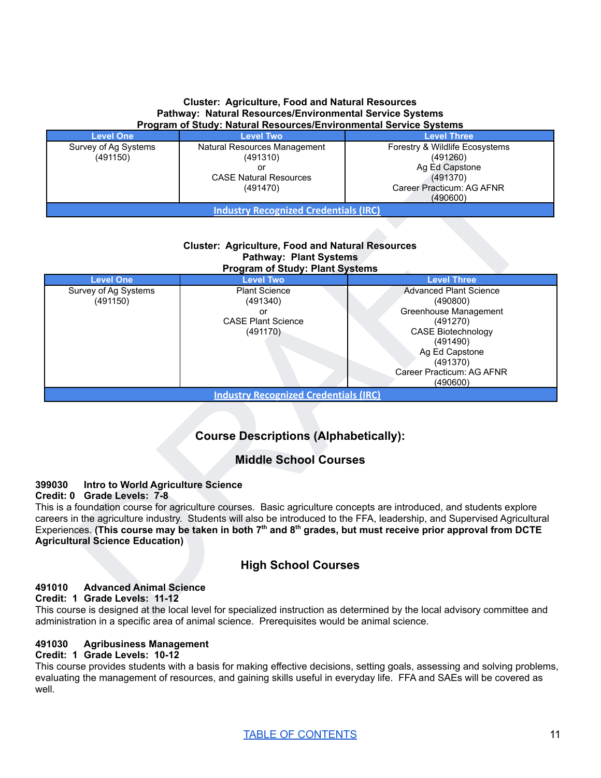#### **Cluster: Agriculture, Food and Natural Resources Pathway: Natural Resources/Environmental Service Systems Program of Study: Natural Resources/Environmental Service Systems**

| <b>Level One</b>                             | <b>Level Two</b>                                | <b>Level Three</b>                                                  |  |  |
|----------------------------------------------|-------------------------------------------------|---------------------------------------------------------------------|--|--|
| Survey of Ag Systems<br>(491150)             | Natural Resources Management<br>(491310)        | Forestry & Wildlife Ecosystems<br>(491260)                          |  |  |
|                                              | or<br><b>CASE Natural Resources</b><br>(491470) | Ag Ed Capstone<br>(491370)<br>Career Practicum: AG AFNR<br>(490600) |  |  |
| <b>Industry Recognized Credentials (IRC)</b> |                                                 |                                                                     |  |  |

#### **Cluster: Agriculture, Food and Natural Resources Pathway: Plant Systems Program of Study: Plant Systems**

| (491150)                                                                                                    | (491310)<br>or<br><b>CASE Natural Resources</b><br>(491470)                                                                        | (491260)<br>Ag Ed Capstone<br>(491370)<br>Career Practicum: AG AFNR                                                                                                                                                                                                                                                                                                |
|-------------------------------------------------------------------------------------------------------------|------------------------------------------------------------------------------------------------------------------------------------|--------------------------------------------------------------------------------------------------------------------------------------------------------------------------------------------------------------------------------------------------------------------------------------------------------------------------------------------------------------------|
|                                                                                                             | <b>Industry Recognized Credentials (IRC)</b>                                                                                       | (490600)                                                                                                                                                                                                                                                                                                                                                           |
|                                                                                                             | <b>Cluster: Agriculture, Food and Natural Resources</b><br><b>Pathway: Plant Systems</b><br><b>Program of Study: Plant Systems</b> |                                                                                                                                                                                                                                                                                                                                                                    |
| <b>Level One</b>                                                                                            | <b>Level Two</b>                                                                                                                   | <b>Level Three</b>                                                                                                                                                                                                                                                                                                                                                 |
| Survey of Ag Systems<br>(491150)                                                                            | <b>Plant Science</b><br>(491340)<br>or<br><b>CASE Plant Science</b><br>(491170)                                                    | <b>Advanced Plant Science</b><br>(490800)<br>Greenhouse Management<br>(491270)<br><b>CASE Biotechnology</b><br>(491490)<br>Ag Ed Capstone<br>(491370)<br>Career Practicum: AG AFNR<br>(490600)                                                                                                                                                                     |
|                                                                                                             | <b>Industry Recognized Credentials (IRC)</b>                                                                                       |                                                                                                                                                                                                                                                                                                                                                                    |
|                                                                                                             | <b>Course Descriptions (Alphabetically):</b>                                                                                       |                                                                                                                                                                                                                                                                                                                                                                    |
|                                                                                                             | <b>Middle School Courses</b>                                                                                                       |                                                                                                                                                                                                                                                                                                                                                                    |
| Intro to World Agriculture Science<br>99030<br>redit: 0 Grade Levels: 7-8<br>gricultural Science Education) |                                                                                                                                    | his is a foundation course for agriculture courses. Basic agriculture concepts are introduced, and students explore<br>areers in the agriculture industry. Students will also be introduced to the FFA, leadership, and Supervised Agricultural<br>xperiences. (This course may be taken in both $7th$ and $8th$ grades, but must receive prior approval from DCTE |
|                                                                                                             | <b>High School Courses</b>                                                                                                         |                                                                                                                                                                                                                                                                                                                                                                    |
| <b>Advanced Animal Science</b><br>91010<br>redit: 1 Grade Levels: 11-12                                     |                                                                                                                                    | his course is designed at the local level for specialized instruction as determined by the local advisory committee and                                                                                                                                                                                                                                            |

# **Course Descriptions (Alphabetically):**

# **Middle School Courses**

#### **399030 Intro to World Agriculture Science**

#### **Credit: 0 Grade Levels: 7-8**

# **High School Courses**

#### **491010 Advanced Animal Science**

#### **Credit: 1 Grade Levels: 11-12**

This course is designed at the local level for specialized instruction as determined by the local advisory committee and administration in a specific area of animal science. Prerequisites would be animal science.

## **491030 Agribusiness Management**

#### **Credit: 1 Grade Levels: 10-12**

This course provides students with a basis for making effective decisions, setting goals, assessing and solving problems, evaluating the management of resources, and gaining skills useful in everyday life. FFA and SAEs will be covered as well.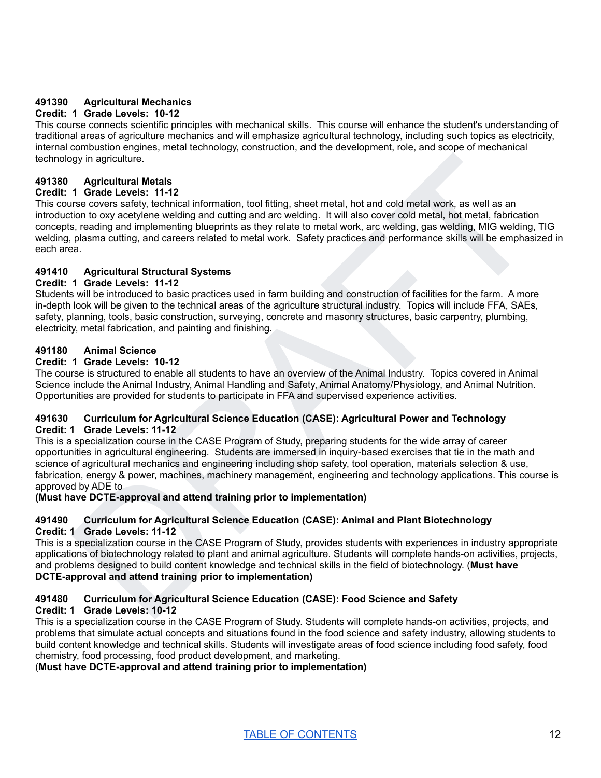#### **491390 Agricultural Mechanics**

## **Credit: 1 Grade Levels: 10-12**

This course connects scientific principles with mechanical skills. This course will enhance the student's understanding of traditional areas of agriculture mechanics and will emphasize agricultural technology, including such topics as electricity, internal combustion engines, metal technology, construction, and the development, role, and scope of mechanical technology in agriculture.

#### **491380 Agricultural Metals**

#### **Credit: 1 Grade Levels: 11-12**

Apriculture<br>
A Grade Levels: 11-12<br>
A Grade Levels: 11-12<br>
16 Grade Levels: 11-12<br>
16 Grade Levels: 11-12<br>
16 Grade Levels: 11-12<br>
16 Grade Levels: 11-12<br>
16 Grade Levels: 11-12<br>
16 Grade Levels: 11-12<br>
16 Grade Levels: 11 This course covers safety, technical information, tool fitting, sheet metal, hot and cold metal work, as well as an introduction to oxy acetylene welding and cutting and arc welding. It will also cover cold metal, hot metal, fabrication concepts, reading and implementing blueprints as they relate to metal work, arc welding, gas welding, MIG welding, TIG welding, plasma cutting, and careers related to metal work. Safety practices and performance skills will be emphasized in each area.

#### **491410 Agricultural Structural Systems**

#### **Credit: 1 Grade Levels: 11-12**

Students will be introduced to basic practices used in farm building and construction of facilities for the farm. A more in-depth look will be given to the technical areas of the agriculture structural industry. Topics will include FFA, SAEs, safety, planning, tools, basic construction, surveying, concrete and masonry structures, basic carpentry, plumbing, electricity, metal fabrication, and painting and finishing.

#### **491180 Animal Science**

#### **Credit: 1 Grade Levels: 10-12**

The course is structured to enable all students to have an overview of the Animal Industry. Topics covered in Animal Science include the Animal Industry, Animal Handling and Safety, Animal Anatomy/Physiology, and Animal Nutrition. Opportunities are provided for students to participate in FFA and supervised experience activities.

#### **491630 Curriculum for Agricultural Science Education (CASE): Agricultural Power and Technology Credit: 1 Grade Levels: 11-12**

This is a specialization course in the CASE Program of Study, preparing students for the wide array of career opportunities in agricultural engineering. Students are immersed in inquiry-based exercises that tie in the math and science of agricultural mechanics and engineering including shop safety, tool operation, materials selection & use, fabrication, energy & power, machines, machinery management, engineering and technology applications. This course is approved by ADE to

#### **(Must have DCTE-approval and attend training prior to implementation)**

#### **491490 Curriculum for Agricultural Science Education (CASE): Animal and Plant Biotechnology Credit: 1 Grade Levels: 11-12**

This is a specialization course in the CASE Program of Study, provides students with experiences in industry appropriate applications of biotechnology related to plant and animal agriculture. Students will complete hands-on activities, projects, and problems designed to build content knowledge and technical skills in the field of biotechnology. (**Must have DCTE-approval and attend training prior to implementation)**

#### **491480 Curriculum for Agricultural Science Education (CASE): Food Science and Safety Credit: 1 Grade Levels: 10-12**

This is a specialization course in the CASE Program of Study. Students will complete hands-on activities, projects, and problems that simulate actual concepts and situations found in the food science and safety industry, allowing students to build content knowledge and technical skills. Students will investigate areas of food science including food safety, food chemistry, food processing, food product development, and marketing.

(**Must have DCTE-approval and attend training prior to implementation)**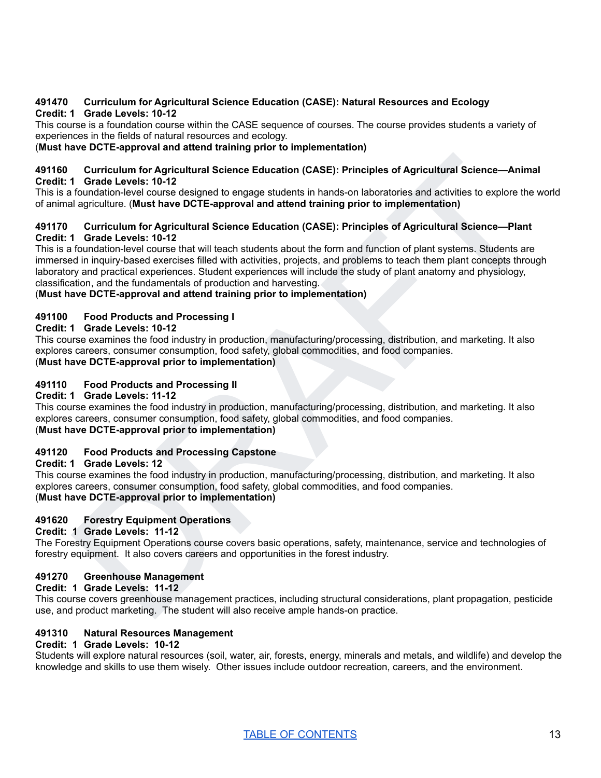#### **491470 Curriculum for Agricultural Science Education (CASE): Natural Resources and Ecology Credit: 1 Grade Levels: 10-12**

This course is a foundation course within the CASE sequence of courses. The course provides students a variety of experiences in the fields of natural resources and ecology.

#### (**Must have DCTE-approval and attend training prior to implementation)**

#### **491160 Curriculum for Agricultural Science Education (CASE): Principles of Agricultural Science—Animal Credit: 1 Grade Levels: 10-12**

This is a foundation-level course designed to engage students in hands-on laboratories and activities to explore the world of animal agriculture. (**Must have DCTE-approval and attend training prior to implementation)**

#### **491170 Curriculum for Agricultural Science Education (CASE): Principles of Agricultural Science—Plant Credit: 1 Grade Levels: 10-12**

Curriculum for Agricultural Science Education (CASE): Principles of Agricultural Science—Animal<br>1 Gundation-level clouse designed to engage students in hands-on laboratoires and activities to soption the variet<br>1 Gundation This is a foundation-level course that will teach students about the form and function of plant systems. Students are immersed in inquiry-based exercises filled with activities, projects, and problems to teach them plant concepts through laboratory and practical experiences. Student experiences will include the study of plant anatomy and physiology, classification, and the fundamentals of production and harvesting.

#### (**Must have DCTE-approval and attend training prior to implementation)**

#### **491100 Food Products and Processing I**

#### **Credit: 1 Grade Levels: 10-12**

This course examines the food industry in production, manufacturing/processing, distribution, and marketing. It also explores careers, consumer consumption, food safety, global commodities, and food companies. (**Must have DCTE-approval prior to implementation)**

#### **491110 Food Products and Processing II**

#### **Credit: 1 Grade Levels: 11-12**

This course examines the food industry in production, manufacturing/processing, distribution, and marketing. It also explores careers, consumer consumption, food safety, global commodities, and food companies. (**Must have DCTE-approval prior to implementation)**

#### **491120 Food Products and Processing Capstone**

#### **Credit: 1 Grade Levels: 12**

This course examines the food industry in production, manufacturing/processing, distribution, and marketing. It also explores careers, consumer consumption, food safety, global commodities, and food companies. (**Must have DCTE-approval prior to implementation)**

#### **491620 Forestry Equipment Operations**

#### **Credit: 1 Grade Levels: 11-12**

The Forestry Equipment Operations course covers basic operations, safety, maintenance, service and technologies of forestry equipment. It also covers careers and opportunities in the forest industry.

#### **491270 Greenhouse Management**

#### **Credit: 1 Grade Levels: 11-12**

This course covers greenhouse management practices, including structural considerations, plant propagation, pesticide use, and product marketing. The student will also receive ample hands-on practice.

#### **491310 Natural Resources Management**

#### **Credit: 1 Grade Levels: 10-12**

Students will explore natural resources (soil, water, air, forests, energy, minerals and metals, and wildlife) and develop the knowledge and skills to use them wisely. Other issues include outdoor recreation, careers, and the environment.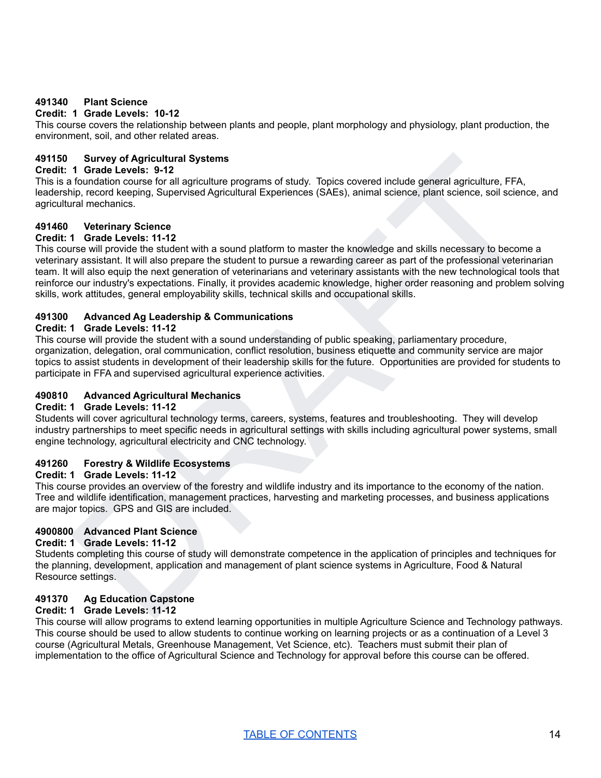#### **491340 Plant Science**

#### **Credit: 1 Grade Levels: 10-12**

This course covers the relationship between plants and people, plant morphology and physiology, plant production, the environment, soil, and other related areas.

#### **491150 Survey of Agricultural Systems**

#### **Credit: 1 Grade Levels: 9-12**

This is a foundation course for all agriculture programs of study. Topics covered include general agriculture, FFA, leadership, record keeping, Supervised Agricultural Experiences (SAEs), animal science, plant science, soil science, and agricultural mechanics.

## **491460 Veterinary Science**

## **Credit: 1 Grade Levels: 11-12**

Structural Systems<br>
1 Grade Levels: 9-12<br>
1 Grade Levels: 9-12<br>
10. Grade Levels: 9-12<br>
10. Grade Levels: 9-12<br>
10. Grade Levels: 9-12<br>
10. Grade Levels: 41-12<br>
10. Grade Levels: 41-12<br>
10. Grade Levels: 41-12<br>
14 Grade Le This course will provide the student with a sound platform to master the knowledge and skills necessary to become a veterinary assistant. It will also prepare the student to pursue a rewarding career as part of the professional veterinarian team. It will also equip the next generation of veterinarians and veterinary assistants with the new technological tools that reinforce our industry's expectations. Finally, it provides academic knowledge, higher order reasoning and problem solving skills, work attitudes, general employability skills, technical skills and occupational skills.

#### **491300 Advanced Ag Leadership & Communications**

#### **Credit: 1 Grade Levels: 11-12**

This course will provide the student with a sound understanding of public speaking, parliamentary procedure, organization, delegation, oral communication, conflict resolution, business etiquette and community service are major topics to assist students in development of their leadership skills for the future. Opportunities are provided for students to participate in FFA and supervised agricultural experience activities.

#### **490810 Advanced Agricultural Mechanics**

#### **Credit: 1 Grade Levels: 11-12**

Students will cover agricultural technology terms, careers, systems, features and troubleshooting. They will develop industry partnerships to meet specific needs in agricultural settings with skills including agricultural power systems, small engine technology, agricultural electricity and CNC technology.

#### **491260 Forestry & Wildlife Ecosystems**

#### **Credit: 1 Grade Levels: 11-12**

This course provides an overview of the forestry and wildlife industry and its importance to the economy of the nation. Tree and wildlife identification, management practices, harvesting and marketing processes, and business applications are major topics. GPS and GIS are included.

#### **4900800 Advanced Plant Science**

#### **Credit: 1 Grade Levels: 11-12**

Students completing this course of study will demonstrate competence in the application of principles and techniques for the planning, development, application and management of plant science systems in Agriculture, Food & Natural Resource settings.

#### **491370 Ag Education Capstone**

#### **Credit: 1 Grade Levels: 11-12**

This course will allow programs to extend learning opportunities in multiple Agriculture Science and Technology pathways. This course should be used to allow students to continue working on learning projects or as a continuation of a Level 3 course (Agricultural Metals, Greenhouse Management, Vet Science, etc). Teachers must submit their plan of implementation to the office of Agricultural Science and Technology for approval before this course can be offered.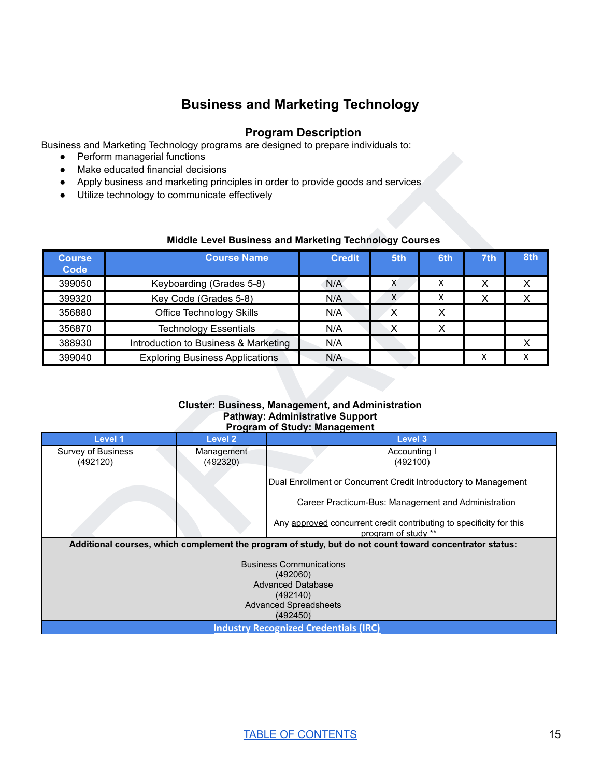# **Business and Marketing Technology**

## **Program Description**

<span id="page-15-0"></span>Business and Marketing Technology programs are designed to prepare individuals to:

- Perform managerial functions
- Make educated financial decisions
- Apply business and marketing principles in order to provide goods and services
- Utilize technology to communicate effectively

#### **Middle Level Business and Marketing Technology Courses**

| <b>Course</b><br><b>Code</b> | <b>Course Name</b>                     | <b>Credit</b> | 5th | 6th | 7th | 8th |
|------------------------------|----------------------------------------|---------------|-----|-----|-----|-----|
| 399050                       | Keyboarding (Grades 5-8)               | N/A           |     | x   | Χ   |     |
| 399320                       | Key Code (Grades 5-8)                  | N/A           | X   | x   | X   |     |
| 356880                       | <b>Office Technology Skills</b>        | N/A           | X   | x   |     |     |
| 356870                       | <b>Technology Essentials</b>           | N/A           | Х   | х   |     |     |
| 388930                       | Introduction to Business & Marketing   | N/A           |     |     |     |     |
| 399040                       | <b>Exploring Business Applications</b> | N/A           |     |     | Χ   |     |

#### **Cluster: Business, Management, and Administration Pathway: Administrative Support Program of Study: Management**

|                              | Perform managerial functions<br>Make educated financial decisions                                                               |                                                                     |                     |     |     |                |
|------------------------------|---------------------------------------------------------------------------------------------------------------------------------|---------------------------------------------------------------------|---------------------|-----|-----|----------------|
|                              | Apply business and marketing principles in order to provide goods and services<br>Utilize technology to communicate effectively |                                                                     |                     |     |     |                |
|                              |                                                                                                                                 |                                                                     |                     |     |     |                |
|                              | Middle Level Business and Marketing Technology Courses                                                                          |                                                                     |                     |     |     |                |
| <b>Course</b><br><b>Code</b> | <b>Course Name</b>                                                                                                              | <b>Credit</b>                                                       | 5th                 | 6th | 7th | 8th            |
| 399050                       | Keyboarding (Grades 5-8)                                                                                                        | N/A                                                                 | X                   | X.  | X   | X              |
| 399320                       | Key Code (Grades 5-8)                                                                                                           | N/A                                                                 | $\mathsf{X}$        | X   | X   | $\pmb{\times}$ |
| 356880                       | <b>Office Technology Skills</b>                                                                                                 | N/A                                                                 | $\mathsf{X}$        | X   |     |                |
| 356870                       | <b>Technology Essentials</b>                                                                                                    | N/A                                                                 | X                   | X   |     |                |
| 388930                       | Introduction to Business & Marketing                                                                                            | N/A                                                                 |                     |     |     | X              |
| 399040                       | <b>Exploring Business Applications</b>                                                                                          | N/A                                                                 |                     |     | X   | X              |
|                              | <b>Level 2</b><br>Level 1                                                                                                       | <b>Program of Study: Management</b>                                 | Level 3             |     |     |                |
| <b>Survey of Business</b>    | Management                                                                                                                      |                                                                     | Accounting I        |     |     |                |
| (492120)                     | (492320)                                                                                                                        |                                                                     | (492100)            |     |     |                |
|                              |                                                                                                                                 |                                                                     |                     |     |     |                |
|                              |                                                                                                                                 | Dual Enrollment or Concurrent Credit Introductory to Management     |                     |     |     |                |
|                              |                                                                                                                                 |                                                                     |                     |     |     |                |
|                              |                                                                                                                                 | Career Practicum-Bus: Management and Administration                 |                     |     |     |                |
|                              |                                                                                                                                 | Any approved concurrent credit contributing to specificity for this | program of study ** |     |     |                |
|                              | Additional courses, which complement the program of study, but do not count toward concentrator status:                         |                                                                     |                     |     |     |                |
|                              | <b>Business Communications</b>                                                                                                  |                                                                     |                     |     |     |                |
|                              | (492060)                                                                                                                        |                                                                     |                     |     |     |                |
|                              | <b>Advanced Database</b><br>(492140)                                                                                            |                                                                     |                     |     |     |                |
|                              | <b>Advanced Spreadsheets</b><br>(492450)                                                                                        |                                                                     |                     |     |     |                |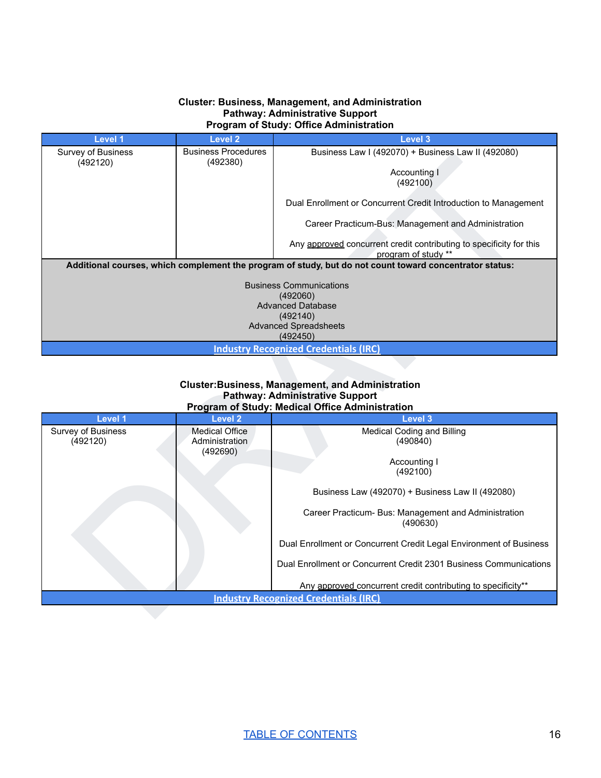#### **Cluster: Business, Management, and Administration Pathway: Administrative Support Program of Study: Office Administration**

| <b>Level 1</b>                 | <b>Level 2</b>                          | <b>Level 3</b>                                                                                                                                       |
|--------------------------------|-----------------------------------------|------------------------------------------------------------------------------------------------------------------------------------------------------|
| Survey of Business<br>(492120) | <b>Business Procedures</b><br>(492380)  | Business Law I (492070) + Business Law II (492080)                                                                                                   |
|                                |                                         | Accounting I                                                                                                                                         |
|                                |                                         | (492100)                                                                                                                                             |
|                                |                                         | Dual Enrollment or Concurrent Credit Introduction to Management                                                                                      |
|                                |                                         | Career Practicum-Bus: Management and Administration                                                                                                  |
|                                |                                         | Any approved concurrent credit contributing to specificity for this<br>program of study **                                                           |
|                                |                                         | Additional courses, which complement the program of study, but do not count toward concentrator status:                                              |
|                                |                                         | <b>Business Communications</b>                                                                                                                       |
|                                |                                         | (492060)                                                                                                                                             |
|                                |                                         | <b>Advanced Database</b><br>(492140)                                                                                                                 |
|                                |                                         | <b>Advanced Spreadsheets</b>                                                                                                                         |
|                                |                                         | (492450)                                                                                                                                             |
|                                |                                         | <b>Industry Recognized Credentials (IRC)</b>                                                                                                         |
|                                |                                         |                                                                                                                                                      |
|                                |                                         | <b>Cluster:Business, Management, and Administration</b><br><b>Pathway: Administrative Support</b><br>Program of Study: Medical Office Administration |
| Level 1                        | <b>Level 2</b>                          | Level 3                                                                                                                                              |
| Survey of Business<br>(492120) | <b>Medical Office</b><br>Administration | Medical Coding and Billing<br>(490840)                                                                                                               |
|                                | (492690)                                | Accounting I                                                                                                                                         |
|                                |                                         | (492100)                                                                                                                                             |
|                                |                                         | Business Law (492070) + Business Law II (492080)                                                                                                     |
|                                |                                         | Career Practicum- Bus: Management and Administration<br>(490630)                                                                                     |
|                                |                                         | Dual Enrollment or Concurrent Credit Legal Environment of Business                                                                                   |
|                                |                                         | Dual Enrollment or Concurrent Credit 2301 Business Communications                                                                                    |
|                                |                                         | Any approved concurrent credit contributing to specificity**                                                                                         |
|                                |                                         | <b>Industry Recognized Credentials (IRC)</b>                                                                                                         |

#### **Cluster:Business, Management, and Administration Pathway: Administrative Support Program of Study: Medical Office Administration**

| Level 1            | Level 2               | Level 3                                                            |
|--------------------|-----------------------|--------------------------------------------------------------------|
| Survey of Business | <b>Medical Office</b> | Medical Coding and Billing                                         |
| (492120)           | Administration        | (490840)                                                           |
|                    | (492690)              |                                                                    |
|                    |                       | Accounting I                                                       |
|                    |                       | (492100)                                                           |
|                    |                       | Business Law (492070) + Business Law II (492080)                   |
|                    |                       | Career Practicum- Bus: Management and Administration               |
|                    |                       | (490630)                                                           |
|                    |                       | Dual Enrollment or Concurrent Credit Legal Environment of Business |
|                    |                       | Dual Enrollment or Concurrent Credit 2301 Business Communications  |
|                    |                       | Any approved concurrent credit contributing to specificity**       |
|                    |                       | <b>Industry Recognized Credentials (IRC)</b>                       |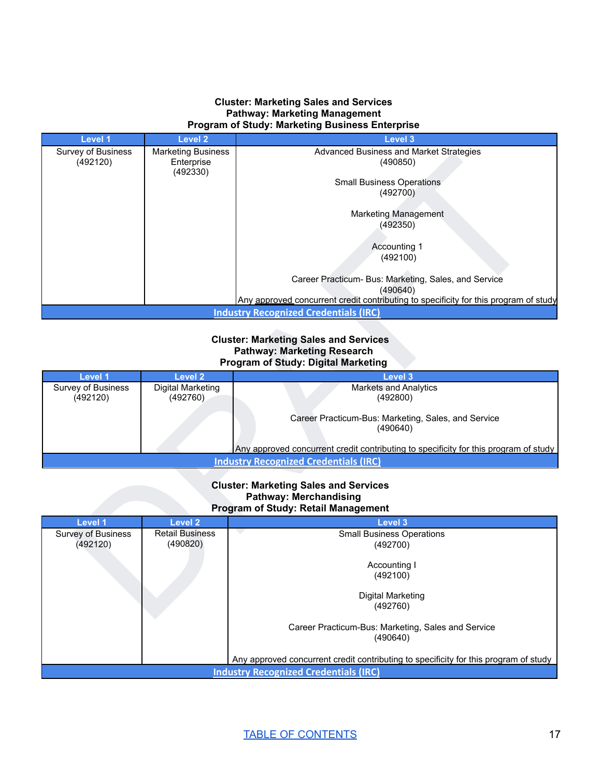#### **Cluster: Marketing Sales and Services Pathway: Marketing Management Program of Study: Marketing Business Enterprise**

| <b>Level 1</b>                 | <b>Level 2</b>                          | <b>Level 3</b>                                                                                   |
|--------------------------------|-----------------------------------------|--------------------------------------------------------------------------------------------------|
| Survey of Business<br>(492120) | <b>Marketing Business</b><br>Enterprise | <b>Advanced Business and Market Strategies</b><br>(490850)                                       |
|                                | (492330)                                |                                                                                                  |
|                                |                                         | <b>Small Business Operations</b>                                                                 |
|                                |                                         | (492700)                                                                                         |
|                                |                                         |                                                                                                  |
|                                |                                         | <b>Marketing Management</b><br>(492350)                                                          |
|                                |                                         |                                                                                                  |
|                                |                                         | Accounting 1                                                                                     |
|                                |                                         | (492100)                                                                                         |
|                                |                                         |                                                                                                  |
|                                |                                         | Career Practicum- Bus: Marketing, Sales, and Service                                             |
|                                |                                         | (490640)<br>Any approved concurrent credit contributing to specificity for this program of study |
|                                |                                         | <b>Industry Recognized Credentials (IRC)</b>                                                     |
|                                |                                         |                                                                                                  |
|                                |                                         | <b>Cluster: Marketing Sales and Services</b>                                                     |
|                                |                                         | <b>Pathway: Marketing Research</b>                                                               |
|                                |                                         | Program of Study: Digital Marketing                                                              |
| <b>Level 1</b>                 | <b>Level 2</b>                          | Level 3                                                                                          |
| Survey of Business             | <b>Digital Marketing</b>                | <b>Markets and Analytics</b>                                                                     |
| (492120)                       | (492760)                                | (492800)                                                                                         |
|                                |                                         | Career Practicum-Bus: Marketing, Sales, and Service                                              |
|                                |                                         | (490640)                                                                                         |
|                                |                                         |                                                                                                  |
|                                |                                         | Any approved concurrent credit contributing to specificity for this program of study             |
|                                |                                         | <b>Industry Recognized Credentials (IRC)</b>                                                     |
|                                |                                         |                                                                                                  |
|                                |                                         | <b>Cluster: Marketing Sales and Services</b><br><b>Pathway: Merchandising</b>                    |
|                                |                                         | Program of Study: Retail Management                                                              |
| Level 1                        | <b>Level 2</b>                          | Level 3                                                                                          |
| <b>Survey of Business</b>      | <b>Retail Business</b>                  | <b>Small Business Operations</b>                                                                 |
| (492120)                       | (490820)                                | (492700)                                                                                         |
|                                |                                         |                                                                                                  |
|                                |                                         | Accounting I                                                                                     |
|                                |                                         | (492100)                                                                                         |
|                                |                                         | <b>Digital Marketing</b>                                                                         |
|                                |                                         | (492760)                                                                                         |
|                                |                                         |                                                                                                  |

#### **Cluster: Marketing Sales and Services Pathway: Marketing Research Program of Study: Digital Marketing**

| Level 1            | Level 2           | Level 3                                                                              |
|--------------------|-------------------|--------------------------------------------------------------------------------------|
| Survey of Business | Digital Marketing | <b>Markets and Analytics</b>                                                         |
| (492120)           | (492760)          | (492800)                                                                             |
|                    |                   | Career Practicum-Bus: Marketing, Sales, and Service                                  |
|                    |                   | (490640)                                                                             |
|                    |                   | Any approved concurrent credit contributing to specificity for this program of study |
|                    |                   | <b>Industry Recognized Credentials (IRC)</b>                                         |

#### **Cluster: Marketing Sales and Services Pathway: Merchandising Program of Study: Retail Management**

| Level 1            | Level 2                | <b>Level 3</b>                                                                       |
|--------------------|------------------------|--------------------------------------------------------------------------------------|
| Survey of Business | <b>Retail Business</b> | <b>Small Business Operations</b>                                                     |
| (492120)           | (490820)               | (492700)                                                                             |
|                    |                        |                                                                                      |
|                    |                        | Accounting I                                                                         |
|                    |                        | (492100)                                                                             |
|                    |                        |                                                                                      |
|                    |                        | Digital Marketing                                                                    |
|                    |                        | (492760)                                                                             |
|                    |                        |                                                                                      |
|                    |                        | Career Practicum-Bus: Marketing, Sales and Service                                   |
|                    |                        | (490640)                                                                             |
|                    |                        |                                                                                      |
|                    |                        | Any approved concurrent credit contributing to specificity for this program of study |
|                    |                        |                                                                                      |
|                    |                        | <b>Industry Recognized Credentials (IRC)</b>                                         |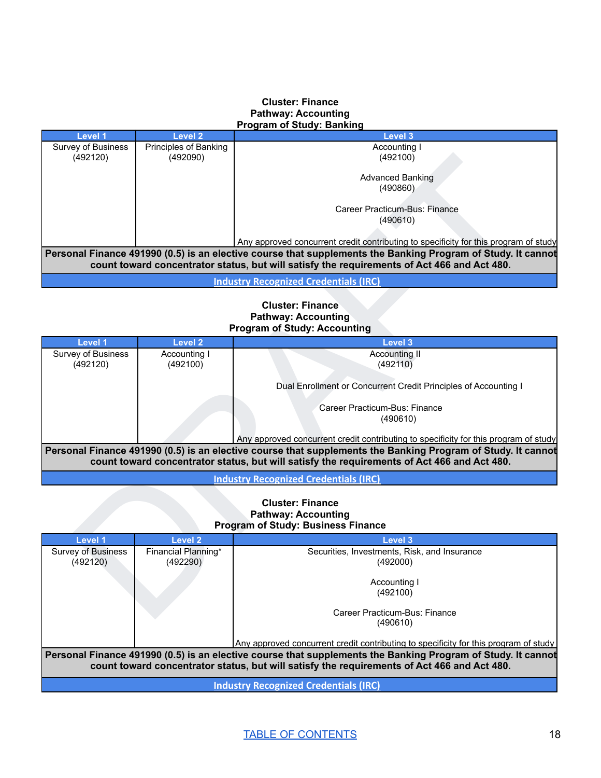#### **Cluster: Finance Pathway: Accounting Program of Study: Banking**

| Level 1            | <b>Level 2</b>        | Level 3                                                                                                      |
|--------------------|-----------------------|--------------------------------------------------------------------------------------------------------------|
| Survey of Business | Principles of Banking | Accounting I                                                                                                 |
| (492120)           | (492090)              | (492100)                                                                                                     |
|                    |                       |                                                                                                              |
|                    |                       | <b>Advanced Banking</b>                                                                                      |
|                    |                       | (490860)                                                                                                     |
|                    |                       |                                                                                                              |
|                    |                       | Career Practicum-Bus: Finance                                                                                |
|                    |                       | (490610)                                                                                                     |
|                    |                       |                                                                                                              |
|                    |                       | Any approved concurrent credit contributing to specificity for this program of study                         |
|                    |                       | Personal Finance 491990 (0.5) is an elective course that supplements the Banking Program of Study. It cannot |
|                    |                       | count toward concentrator status, but will satisfy the requirements of Act 466 and Act 480.                  |
|                    |                       | the decision of the contract of Annula matches (115A)                                                        |

#### **Cluster: Finance Pathway: Accounting Program of Study: Accounting**

| (492120)                       | (492090)                        | (492100)                                                                                                                                                                                                                                                                                            |
|--------------------------------|---------------------------------|-----------------------------------------------------------------------------------------------------------------------------------------------------------------------------------------------------------------------------------------------------------------------------------------------------|
|                                |                                 | <b>Advanced Banking</b><br>(490860)                                                                                                                                                                                                                                                                 |
|                                |                                 | Career Practicum-Bus: Finance<br>(490610)                                                                                                                                                                                                                                                           |
|                                |                                 | Any approved concurrent credit contributing to specificity for this program of study                                                                                                                                                                                                                |
|                                |                                 | Personal Finance 491990 (0.5) is an elective course that supplements the Banking Program of Study. It cannot<br>count toward concentrator status, but will satisfy the requirements of Act 466 and Act 480.                                                                                         |
|                                |                                 | <b>Industry Recognized Credentials (IRC)</b>                                                                                                                                                                                                                                                        |
|                                |                                 | <b>Cluster: Finance</b><br><b>Pathway: Accounting</b><br><b>Program of Study: Accounting</b>                                                                                                                                                                                                        |
| Level 1                        | <b>Level 2</b>                  | Level 3                                                                                                                                                                                                                                                                                             |
| Survey of Business<br>(492120) | Accounting I<br>(492100)        | <b>Accounting II</b><br>(492110)                                                                                                                                                                                                                                                                    |
|                                |                                 | Dual Enrollment or Concurrent Credit Principles of Accounting I                                                                                                                                                                                                                                     |
|                                |                                 | Career Practicum-Bus: Finance<br>(490610)                                                                                                                                                                                                                                                           |
|                                |                                 | Any approved concurrent credit contributing to specificity for this program of study<br>Personal Finance 491990 (0.5) is an elective course that supplements the Banking Program of Study. It cannot<br>count toward concentrator status, but will satisfy the requirements of Act 466 and Act 480. |
|                                |                                 | <b>Industry Recognized Credentials (IRC)</b>                                                                                                                                                                                                                                                        |
|                                |                                 | <b>Cluster: Finance</b><br><b>Pathway: Accounting</b><br><b>Program of Study: Business Finance</b>                                                                                                                                                                                                  |
| <b>Level 1</b>                 | <b>Level 2</b>                  | Level 3                                                                                                                                                                                                                                                                                             |
| Survey of Business<br>(492120) | Financial Planning*<br>(492290) | Securities, Investments, Risk, and Insurance<br>(492000)                                                                                                                                                                                                                                            |
|                                |                                 | Accounting I<br>(492100)                                                                                                                                                                                                                                                                            |
|                                |                                 | Career Practicum-Bus: Finance                                                                                                                                                                                                                                                                       |

#### **Cluster: Finance Pathway: Accounting Program of Study: Business Finance**

| <b>Level 1</b>     | Level 2             | <b>Level 3</b>                                                                                               |
|--------------------|---------------------|--------------------------------------------------------------------------------------------------------------|
| Survey of Business | Financial Planning* | Securities, Investments, Risk, and Insurance                                                                 |
| (492120)           | (492290)            | (492000)                                                                                                     |
|                    |                     |                                                                                                              |
|                    |                     | Accounting I                                                                                                 |
|                    |                     | (492100)                                                                                                     |
|                    |                     |                                                                                                              |
|                    |                     | Career Practicum-Bus: Finance                                                                                |
|                    |                     | (490610)                                                                                                     |
|                    |                     | Any approved concurrent credit contributing to specificity for this program of study                         |
|                    |                     | Personal Finance 491990 (0.5) is an elective course that supplements the Banking Program of Study. It cannot |
|                    |                     |                                                                                                              |
|                    |                     | count toward concentrator status, but will satisfy the requirements of Act 466 and Act 480.                  |
|                    |                     | Industry Desegnized Credentials (IDC)                                                                        |

**Industry [Recognized](https://dcte.ade.arkansas.gov/Page/CteAdministration) Credentials (IRC)**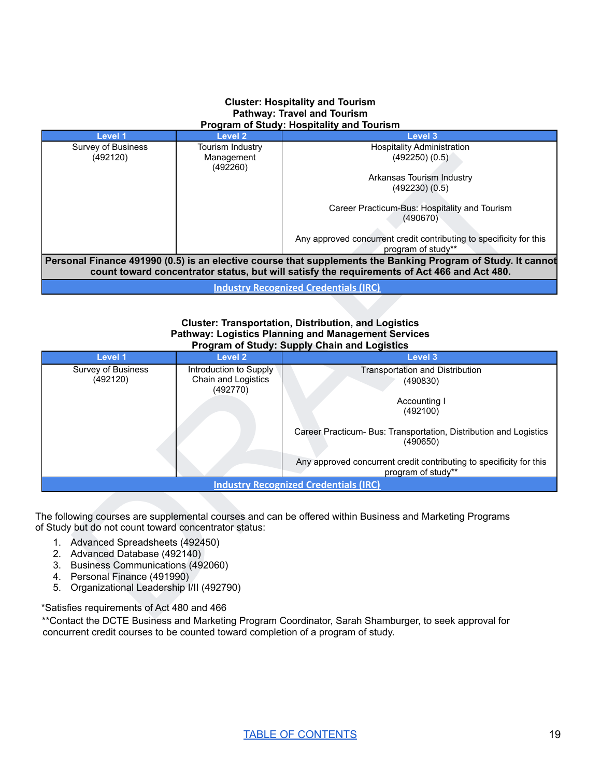#### **Cluster: Hospitality and Tourism Pathway: Travel and Tourism Program of Study: Hospitality and Tourism**

| Level 1            | Level 2          | Level 3                                                                                                      |
|--------------------|------------------|--------------------------------------------------------------------------------------------------------------|
| Survey of Business | Tourism Industry | <b>Hospitality Administration</b>                                                                            |
| (492120)           | Management       | (492250)(0.5)                                                                                                |
|                    | (492260)         |                                                                                                              |
|                    |                  | Arkansas Tourism Industry                                                                                    |
|                    |                  | (492230)(0.5)                                                                                                |
|                    |                  |                                                                                                              |
|                    |                  | Career Practicum-Bus: Hospitality and Tourism                                                                |
|                    |                  | (490670)                                                                                                     |
|                    |                  |                                                                                                              |
|                    |                  | Any approved concurrent credit contributing to specificity for this                                          |
|                    |                  | program of study**                                                                                           |
|                    |                  | Personal Finance 491990 (0.5) is an elective course that supplements the Banking Program of Study. It cannot |
|                    |                  | count toward concentrator status, but will satisfy the requirements of Act 466 and Act 480.                  |
|                    |                  | <b>Industry Recognized Credentials (IRC)</b>                                                                 |

#### **Cluster: Transportation, Distribution, and Logistics Pathway: Logistics Planning and Management Services Program of Study: Supply Chain and Logistics**

| (492120)                                                                                                        | Management<br>(492260)                                    | (492250)(0.5)<br>Arkansas Tourism Industry                                                                                                                                                                  |
|-----------------------------------------------------------------------------------------------------------------|-----------------------------------------------------------|-------------------------------------------------------------------------------------------------------------------------------------------------------------------------------------------------------------|
|                                                                                                                 |                                                           | (492230)(0.5)<br>Career Practicum-Bus: Hospitality and Tourism                                                                                                                                              |
|                                                                                                                 |                                                           | (490670)                                                                                                                                                                                                    |
|                                                                                                                 |                                                           | Any approved concurrent credit contributing to specificity for this<br>program of study**                                                                                                                   |
|                                                                                                                 |                                                           | Personal Finance 491990 (0.5) is an elective course that supplements the Banking Program of Study. It cannot<br>count toward concentrator status, but will satisfy the requirements of Act 466 and Act 480. |
|                                                                                                                 |                                                           | <b>Industry Recognized Credentials (IRC)</b>                                                                                                                                                                |
|                                                                                                                 |                                                           | <b>Cluster: Transportation, Distribution, and Logistics</b><br><b>Pathway: Logistics Planning and Management Services</b><br><b>Program of Study: Supply Chain and Logistics</b>                            |
| Level 1                                                                                                         | <b>Level 2</b>                                            | Level 3                                                                                                                                                                                                     |
| <b>Survey of Business</b><br>(492120)                                                                           | Introduction to Supply<br>Chain and Logistics<br>(492770) | <b>Transportation and Distribution</b><br>(490830)                                                                                                                                                          |
|                                                                                                                 |                                                           | Accounting I<br>(492100)                                                                                                                                                                                    |
|                                                                                                                 |                                                           | Career Practicum- Bus: Transportation, Distribution and Logistics<br>(490650)                                                                                                                               |
|                                                                                                                 |                                                           | Any approved concurrent credit contributing to specificity for this<br>program of study**                                                                                                                   |
|                                                                                                                 |                                                           | <b>Industry Recognized Credentials (IRC)</b>                                                                                                                                                                |
| of Study but do not count toward concentrator status:                                                           |                                                           | The following courses are supplemental courses and can be offered within Business and Marketing Programs                                                                                                    |
| 1. Advanced Spreadsheets (492450)                                                                               |                                                           |                                                                                                                                                                                                             |
| 2. Advanced Database (492140)                                                                                   |                                                           |                                                                                                                                                                                                             |
| 3. Business Communications (492060)                                                                             |                                                           |                                                                                                                                                                                                             |
| 4. Personal Finance (491990)<br>Organizational Leadership I/II (492790)<br>5.                                   |                                                           |                                                                                                                                                                                                             |
| *Satisfies requirements of Act 480 and 466                                                                      |                                                           |                                                                                                                                                                                                             |
| $\mathbf{L}$ and the post-post $\mathbf{L}$ and $\mathbf{L}$ and $\mathbf{L}$ and $\mathbf{L}$ and $\mathbf{L}$ |                                                           | $\sim$ $\sim$ $\sim$                                                                                                                                                                                        |

- 1. Advanced Spreadsheets (492450)
- 2. Advanced Database (492140)
- 3. Business Communications (492060)
- 4. Personal Finance (491990)
- 5. Organizational Leadership I/II (492790)

\*\*Contact the DCTE Business and Marketing Program Coordinator, Sarah Shamburger, to seek approval for concurrent credit courses to be counted toward completion of a program of study.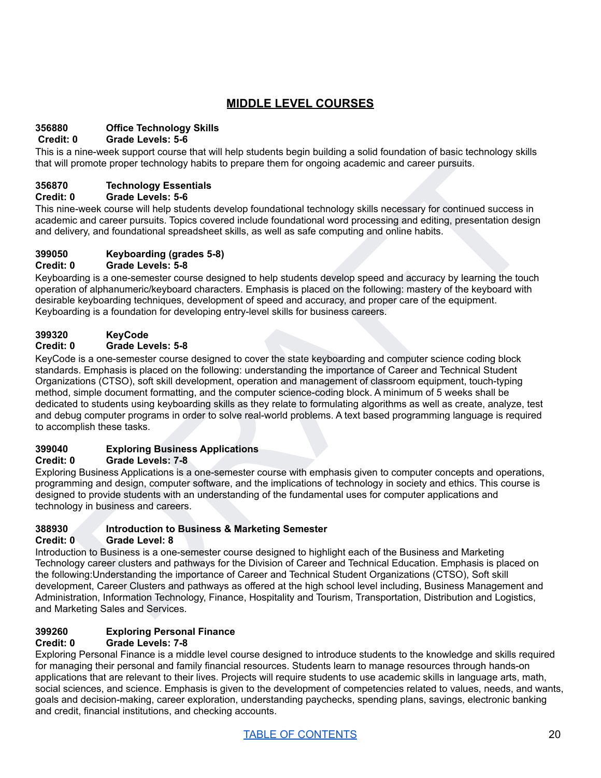# **MIDDLE LEVEL COURSES**

# **356880 Office Technology Skills**

#### **Credit: 0 Grade Levels: 5-6**

This is a nine-week support course that will help students begin building a solid foundation of basic technology skills that will promote proper technology habits to prepare them for ongoing academic and career pursuits.

## **356870 Technology Essentials**

#### **Credit: 0 Grade Levels: 5-6**

This nine-week course will help students develop foundational technology skills necessary for continued success in academic and career pursuits. Topics covered include foundational word processing and editing, presentation design and delivery, and foundational spreadsheet skills, as well as safe computing and online habits.

#### **399050 Keyboarding (grades 5-8) Credit: 0 Grade Levels: 5-8**

#### Keyboarding is a one-semester course designed to help students develop speed and accuracy by learning the touch operation of alphanumeric/keyboard characters. Emphasis is placed on the following: mastery of the keyboard with desirable keyboarding techniques, development of speed and accuracy, and proper care of the equipment. Keyboarding is a foundation for developing entry-level skills for business careers.

# **399320 KeyCode**

## **Credit: 0 Grade Levels: 5-8**

nine week supply it course tust win help success of productions in the studio of the feature of the course of the method of the method of the method of the week course in Carolina (and care pursuals. Topics occurs in the m KeyCode is a one-semester course designed to cover the state keyboarding and computer science coding block standards. Emphasis is placed on the following: understanding the importance of Career and Technical Student Organizations (CTSO), soft skill development, operation and management of classroom equipment, touch-typing method, simple document formatting, and the computer science-coding block. A minimum of 5 weeks shall be dedicated to students using keyboarding skills as they relate to formulating algorithms as well as create, analyze, test and debug computer programs in order to solve real-world problems. A text based programming language is required to accomplish these tasks.

#### **399040 Exploring Business Applications**

#### **Credit: 0 Grade Levels: 7-8**

Exploring Business Applications is a one-semester course with emphasis given to computer concepts and operations, programming and design, computer software, and the implications of technology in society and ethics. This course is designed to provide students with an understanding of the fundamental uses for computer applications and technology in business and careers.

# **388930 Introduction to Business & Marketing Semester**

#### **Credit: 0 Grade Level: 8**

Introduction to Business is a one-semester course designed to highlight each of the Business and Marketing Technology career clusters and pathways for the Division of Career and Technical Education. Emphasis is placed on the following:Understanding the importance of Career and Technical Student Organizations (CTSO), Soft skill development, Career Clusters and pathways as offered at the high school level including, Business Management and Administration, Information Technology, Finance, Hospitality and Tourism, Transportation, Distribution and Logistics, and Marketing Sales and Services.

## **399260 Exploring Personal Finance**

#### **Credit: 0 Grade Levels: 7-8**

Exploring Personal Finance is a middle level course designed to introduce students to the knowledge and skills required for managing their personal and family financial resources. Students learn to manage resources through hands-on applications that are relevant to their lives. Projects will require students to use academic skills in language arts, math, social sciences, and science. Emphasis is given to the development of competencies related to values, needs, and wants, goals and decision-making, career exploration, understanding paychecks, spending plans, savings, electronic banking and credit, financial institutions, and checking accounts.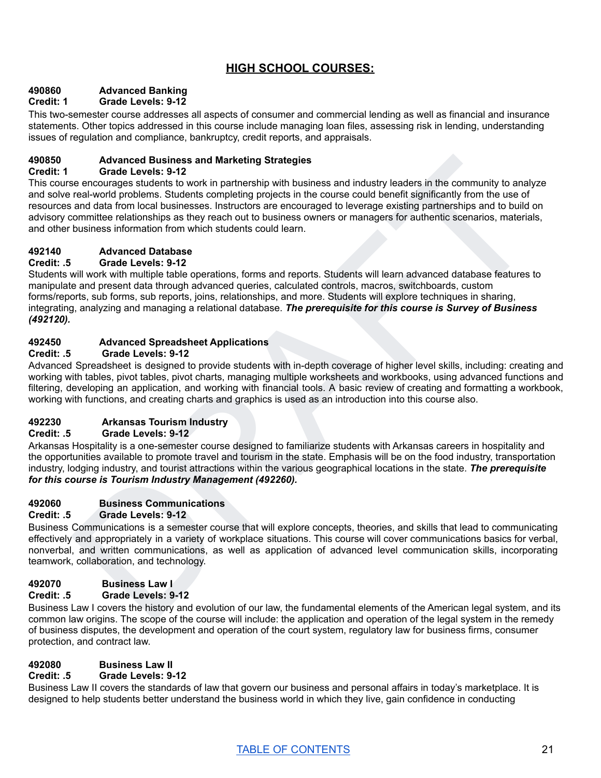# **HIGH SCHOOL COURSES:**

## **490860 Advanced Banking**

## **Credit: 1 Grade Levels: 9-12**

This two-semester course addresses all aspects of consumer and commercial lending as well as financial and insurance statements. Other topics addressed in this course include managing loan files, assessing risk in lending, understanding issues of regulation and compliance, bankruptcy, credit reports, and appraisals.

#### **490850 Advanced Business and Marketing Strategies**

#### **Credit: 1 Grade Levels: 9-12**

Advanced Business and Marketing Strategies<br>
Grade Levels. 9-12<br>
Grade Levels. 9-12<br>
Grade Levels. 9-12<br>
real voolic in partnership with business and industry leaders in the community to analyze<br>
real voolic problems. Stude This course encourages students to work in partnership with business and industry leaders in the community to analyze and solve real-world problems. Students completing projects in the course could benefit significantly from the use of resources and data from local businesses. Instructors are encouraged to leverage existing partnerships and to build on advisory committee relationships as they reach out to business owners or managers for authentic scenarios, materials, and other business information from which students could learn.

#### **492140 Advanced Database**

#### **Credit: .5 Grade Levels: 9-12**

Students will work with multiple table operations, forms and reports. Students will learn advanced database features to manipulate and present data through advanced queries, calculated controls, macros, switchboards, custom forms/reports, sub forms, sub reports, joins, relationships, and more. Students will explore techniques in sharing, integrating, analyzing and managing a relational database. *The prerequisite for this course is Survey of Business (492120).*

#### **492450 Advanced Spreadsheet Applications**

#### **Credit: .5 Grade Levels: 9-12**

Advanced Spreadsheet is designed to provide students with in-depth coverage of higher level skills, including: creating and working with tables, pivot tables, pivot charts, managing multiple worksheets and workbooks, using advanced functions and filtering, developing an application, and working with financial tools. A basic review of creating and formatting a workbook, working with functions, and creating charts and graphics is used as an introduction into this course also.

#### **492230 Arkansas Tourism Industry**

#### **Credit: .5 Grade Levels: 9-12**

Arkansas Hospitality is a one-semester course designed to familiarize students with Arkansas careers in hospitality and the opportunities available to promote travel and tourism in the state. Emphasis will be on the food industry, transportation industry, lodging industry, and tourist attractions within the various geographical locations in the state. *The prerequisite for this course is Tourism Industry Management (492260).*

#### **492060 Business Communications**

#### **Credit: .5 Grade Levels: 9-12**

Business Communications is a semester course that will explore concepts, theories, and skills that lead to communicating effectively and appropriately in a variety of workplace situations. This course will cover communications basics for verbal, nonverbal, and written communications, as well as application of advanced level communication skills, incorporating teamwork, collaboration, and technology.

#### **492070 Business Law I**

#### **Credit: .5 Grade Levels: 9-12**

Business Law I covers the history and evolution of our law, the fundamental elements of the American legal system, and its common law origins. The scope of the course will include: the application and operation of the legal system in the remedy of business disputes, the development and operation of the court system, regulatory law for business firms, consumer protection, and contract law.

# **492080 Business Law II**

# **Credit: .5 Grade Levels: 9-12**

Business Law II covers the standards of law that govern our business and personal affairs in today's marketplace. It is designed to help students better understand the business world in which they live, gain confidence in conducting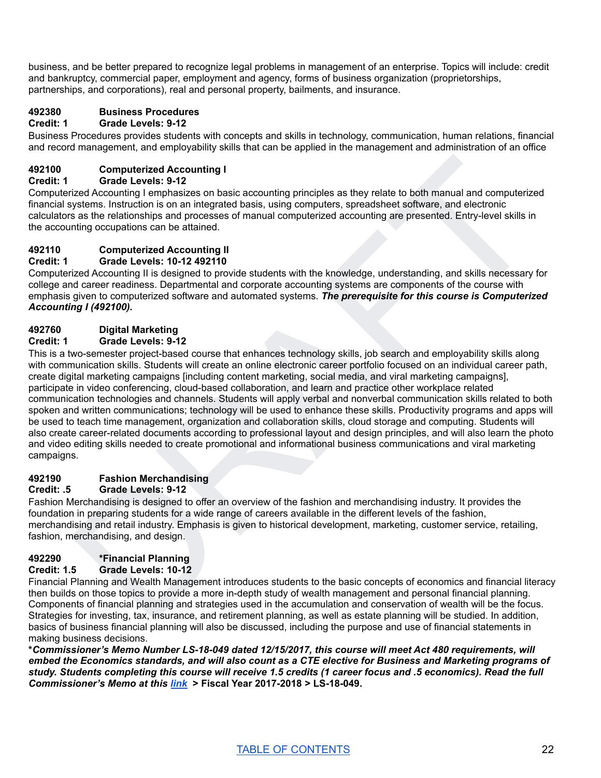business, and be better prepared to recognize legal problems in management of an enterprise. Topics will include: credit and bankruptcy, commercial paper, employment and agency, forms of business organization (proprietorships, partnerships, and corporations), real and personal property, bailments, and insurance.

# **492380 Business Procedures**

## **Credit: 1 Grade Levels: 9-12**

Business Procedures provides students with concepts and skills in technology, communication, human relations, financial and record management, and employability skills that can be applied in the management and administration of an office

#### **492100 Computerized Accounting I**

#### **Credit: 1 Grade Levels: 9-12**

Computerized Accounting I emphasizes on basic accounting principles as they relate to both manual and computerized financial systems. Instruction is on an integrated basis, using computers, spreadsheet software, and electronic calculators as the relationships and processes of manual computerized accounting are presented. Entry-level skills in the accounting occupations can be attained.

# **492110 Computerized Accounting II**

#### **Credit: 1 Grade Levels: 10-12 492110**

Computerized Accounting II is designed to provide students with the knowledge, understanding, and skills necessary for college and career readiness. Departmental and corporate accounting systems are components of the course with emphasis given to computerized software and automated systems. *The prerequisite for this course is Computerized Accounting I (492100).*

# **492760 Digital Marketing**

#### **Credit: 1 Grade Levels: 9-12**

Computerized Accounting I<br>
izcal Áccounting increments<br>
izcal Áccounting increments<br>
and Lovels : 9-12<br>
Scale Lovels : strathed and computerized and<br>
is used and excounting increments are computerized associated software a This is a two-semester project-based course that enhances technology skills, job search and employability skills along with communication skills. Students will create an online electronic career portfolio focused on an individual career path, create digital marketing campaigns [including content marketing, social media, and viral marketing campaigns], participate in video conferencing, cloud-based collaboration, and learn and practice other workplace related communication technologies and channels. Students will apply verbal and nonverbal communication skills related to both spoken and written communications; technology will be used to enhance these skills. Productivity programs and apps will be used to teach time management, organization and collaboration skills, cloud storage and computing. Students will also create career-related documents according to professional layout and design principles, and will also learn the photo and video editing skills needed to create promotional and informational business communications and viral marketing campaigns.

#### **492190 Fashion Merchandising**

#### **Credit: .5 Grade Levels: 9-12**

Fashion Merchandising is designed to offer an overview of the fashion and merchandising industry. It provides the foundation in preparing students for a wide range of careers available in the different levels of the fashion, merchandising and retail industry. Emphasis is given to historical development, marketing, customer service, retailing, fashion, merchandising, and design.

#### **492290 \*Financial Planning**

#### **Credit: 1.5 Grade Levels: 10-12**

Financial Planning and Wealth Management introduces students to the basic concepts of economics and financial literacy then builds on those topics to provide a more in-depth study of wealth management and personal financial planning. Components of financial planning and strategies used in the accumulation and conservation of wealth will be the focus. Strategies for investing, tax, insurance, and retirement planning, as well as estate planning will be studied. In addition, basics of business financial planning will also be discussed, including the purpose and use of financial statements in making business decisions.

**\****Commissioner's Memo Number LS-18-049 dated 12/15/2017, this course will meet Act 480 requirements, will* embed the Economics standards, and will also count as a CTE elective for Business and Marketing programs of study. Students completing this course will receive 1.5 credits (1 career focus and .5 economics). Read the full *Commissioner's Memo at this [link](https://adecm.ade.arkansas.gov/Default.aspxaspxedMemo.aspx?Id=3458)* **> Fiscal Year 2017-2018 > LS-18-049.**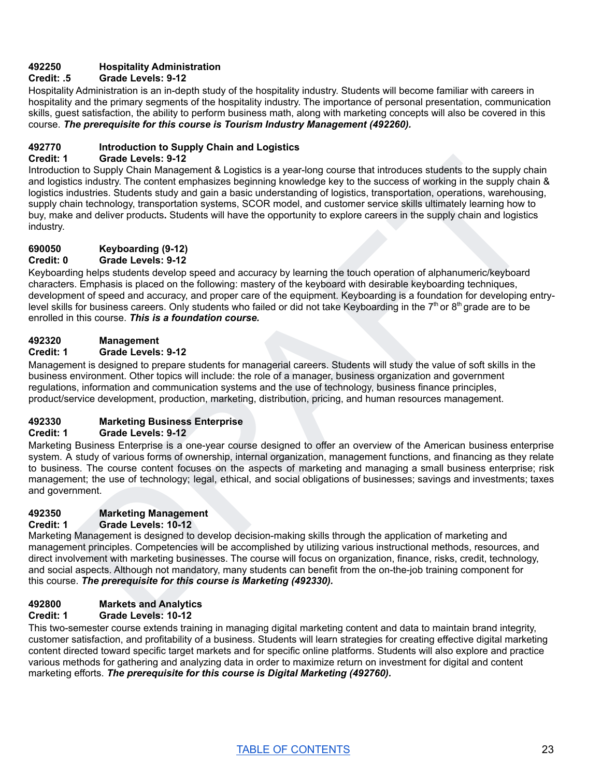#### **492250 Hospitality Administration**

#### **Credit: .5 Grade Levels: 9-12**

Hospitality Administration is an in-depth study of the hospitality industry. Students will become familiar with careers in hospitality and the primary segments of the hospitality industry. The importance of personal presentation, communication skills, guest satisfaction, the ability to perform business math, along with marketing concepts will also be covered in this course. *The prerequisite for this course is Tourism Industry Management (492260).*

#### **492770 Introduction to Supply Chain and Logistics**

#### **Credit: 1 Grade Levels: 9-12**

Grade Levels : 9-12<br>
or on to Supply Chain Management & Logistics is a year-long course that introduces students to the supply chain<br>
in this case from the supply chain Management & Logistics is a year-long to the uncodest Introduction to Supply Chain Management & Logistics is a year-long course that introduces students to the supply chain and logistics industry. The content emphasizes beginning knowledge key to the success of working in the supply chain & logistics industries. Students study and gain a basic understanding of logistics, transportation, operations, warehousing, supply chain technology, transportation systems, SCOR model, and customer service skills ultimately learning how to buy, make and deliver products**.** Students will have the opportunity to explore careers in the supply chain and logistics industry.

## **690050 Keyboarding (9-12)**

**Credit: 0 Grade Levels: 9-12**

Keyboarding helps students develop speed and accuracy by learning the touch operation of alphanumeric/keyboard characters. Emphasis is placed on the following: mastery of the keyboard with desirable keyboarding techniques, development of speed and accuracy, and proper care of the equipment. Keyboarding is a foundation for developing entrylevel skills for business careers. Only students who failed or did not take Keyboarding in the 7<sup>th</sup> or 8<sup>th</sup> grade are to be enrolled in this course. *This is a foundation course.*

#### **492320 Management**

#### **Credit: 1 Grade Levels: 9-12**

Management is designed to prepare students for managerial careers. Students will study the value of soft skills in the business environment. Other topics will include: the role of a manager, business organization and government regulations, information and communication systems and the use of technology, business finance principles, product/service development, production, marketing, distribution, pricing, and human resources management.

## **492330 Marketing Business Enterprise**

#### **Credit: 1 Grade Levels: 9-12**

Marketing Business Enterprise is a one-year course designed to offer an overview of the American business enterprise system. A study of various forms of ownership, internal organization, management functions, and financing as they relate to business. The course content focuses on the aspects of marketing and managing a small business enterprise; risk management; the use of technology; legal, ethical, and social obligations of businesses; savings and investments; taxes and government.

#### **492350 Marketing Management**

#### **Credit: 1 Grade Levels: 10-12**

Marketing Management is designed to develop decision-making skills through the application of marketing and management principles. Competencies will be accomplished by utilizing various instructional methods, resources, and direct involvement with marketing businesses. The course will focus on organization, finance, risks, credit, technology, and social aspects. Although not mandatory, many students can benefit from the on-the-job training component for this course. *The prerequisite for this course is Marketing (492330).*

#### **492800 Markets and Analytics**

#### **Credit: 1 Grade Levels: 10-12**

This two-semester course extends training in managing digital marketing content and data to maintain brand integrity, customer satisfaction, and profitability of a business. Students will learn strategies for creating effective digital marketing content directed toward specific target markets and for specific online platforms. Students will also explore and practice various methods for gathering and analyzing data in order to maximize return on investment for digital and content marketing efforts. *The prerequisite for this course is Digital Marketing (492760).*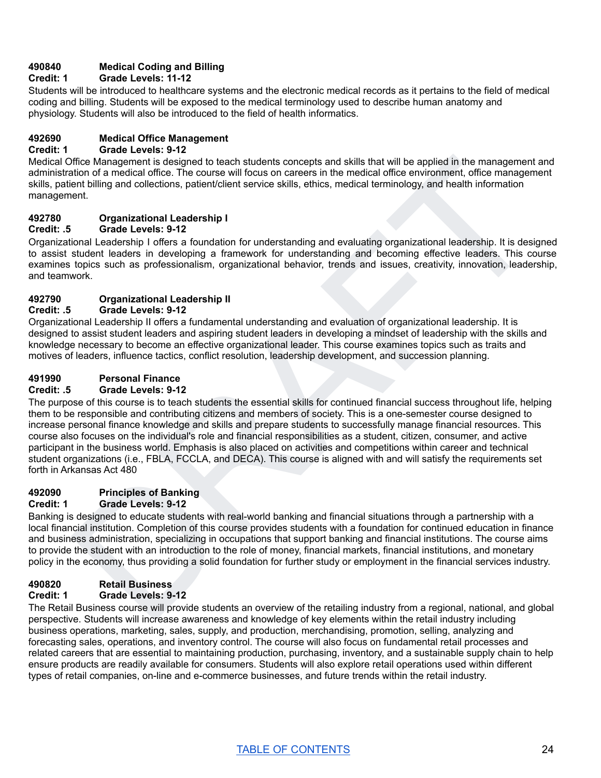#### **490840 Medical Coding and Billing**

#### **Credit: 1 Grade Levels: 11-12**

Students will be introduced to healthcare systems and the electronic medical records as it pertains to the field of medical coding and billing. Students will be exposed to the medical terminology used to describe human anatomy and physiology. Students will also be introduced to the field of health informatics.

#### **492690 Medical Office Management**

#### **Credit: 1 Grade Levels: 9-12**

Medical Office Management is designed to teach students concepts and skills that will be applied in the management and administration of a medical office. The course will focus on careers in the medical office environment, office management skills, patient billing and collections, patient/client service skills, ethics, medical terminology, and health information management.

#### **492780 Organizational Leadership I**

#### **Credit: .5 Grade Levels: 9-12**

Organizational Leadership I offers a foundation for understanding and evaluating organizational leadership. It is designed to assist student leaders in developing a framework for understanding and becoming effective leaders. This course examines topics such as professionalism, organizational behavior, trends and issues, creativity, innovation, leadership, and teamwork.

#### **492790 Organizational Leadership II**

#### **Credit: .5 Grade Levels: 9-12**

Organizational Leadership II offers a fundamental understanding and evaluation of organizational leadership. It is designed to assist student leaders and aspiring student leaders in developing a mindset of leadership with the skills and knowledge necessary to become an effective organizational leader. This course examines topics such as traits and motives of leaders, influence tactics, conflict resolution, leadership development, and succession planning.

#### **491990 Personal Finance**

#### **Credit: .5 Grade Levels: 9-12**

of Minagement is designed to beach students concepts and skills that will be applied in the management and<br>elicio of a medical office. The course will froms on careers in the medical office environment, office management<br>t The purpose of this course is to teach students the essential skills for continued financial success throughout life, helping them to be responsible and contributing citizens and members of society. This is a one-semester course designed to increase personal finance knowledge and skills and prepare students to successfully manage financial resources. This course also focuses on the individual's role and financial responsibilities as a student, citizen, consumer, and active participant in the business world. Emphasis is also placed on activities and competitions within career and technical student organizations (i.e., FBLA, FCCLA, and DECA). This course is aligned with and will satisfy the requirements set forth in Arkansas Act 480

#### **492090 Principles of Banking**

#### **Credit: 1 Grade Levels: 9-12**

Banking is designed to educate students with real-world banking and financial situations through a partnership with a local financial institution. Completion of this course provides students with a foundation for continued education in finance and business administration, specializing in occupations that support banking and financial institutions. The course aims to provide the student with an introduction to the role of money, financial markets, financial institutions, and monetary policy in the economy, thus providing a solid foundation for further study or employment in the financial services industry.

## **490820 Retail Business**

## **Credit: 1 Grade Levels: 9-12**

The Retail Business course will provide students an overview of the retailing industry from a regional, national, and global perspective. Students will increase awareness and knowledge of key elements within the retail industry including business operations, marketing, sales, supply, and production, merchandising, promotion, selling, analyzing and forecasting sales, operations, and inventory control. The course will also focus on fundamental retail processes and related careers that are essential to maintaining production, purchasing, inventory, and a sustainable supply chain to help ensure products are readily available for consumers. Students will also explore retail operations used within different types of retail companies, on-line and e-commerce businesses, and future trends within the retail industry.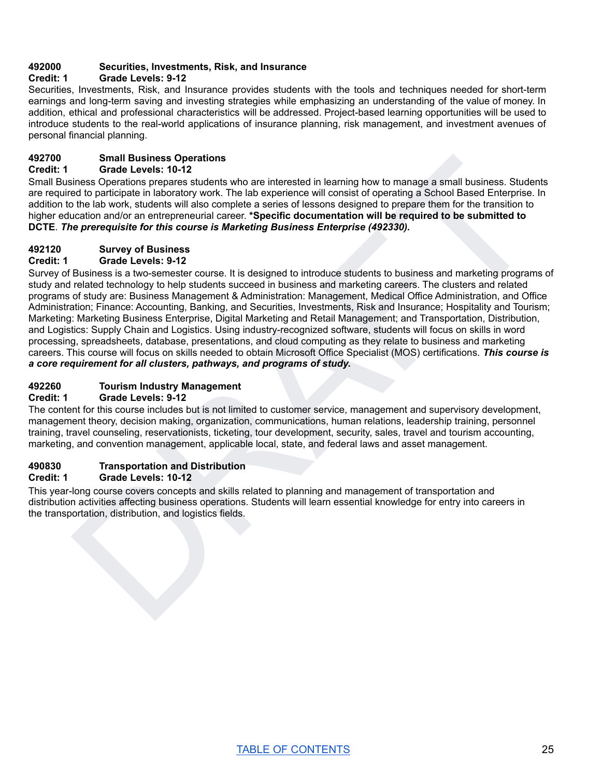#### **492000 Securities, Investments, Risk, and Insurance**

#### **Credit: 1 Grade Levels: 9-12**

Securities, Investments, Risk, and Insurance provides students with the tools and techniques needed for short-term earnings and long-term saving and investing strategies while emphasizing an understanding of the value of money. In addition, ethical and professional characteristics will be addressed. Project-based learning opportunities will be used to introduce students to the real-world applications of insurance planning, risk management, and investment avenues of personal financial planning.

#### **492700 Small Business Operations**

#### **Credit: 1 Grade Levels: 10-12**

Small Business Operations prepares students who are interested in learning how to manage a small business. Students are required to participate in laboratory work. The lab experience will consist of operating a School Based Enterprise. In addition to the lab work, students will also complete a series of lessons designed to prepare them for the transition to higher education and/or an entrepreneurial career. **\*Specific documentation will be required to be submitted to DCTE**. *The prerequisite for this course is Marketing Business Enterprise (492330).*

#### **492120 Survey of Business**

#### **Credit: 1 Grade Levels: 9-12**

Small Business Operations<br>
Small Business Operations<br>
Orado Lovels: 10-12<br>
Orado Lovels: 10-12<br>
ed by periodics proposes students who are interested in learning how to manage a small business. Students<br>
ed to particulate i Survey of Business is a two-semester course. It is designed to introduce students to business and marketing programs of study and related technology to help students succeed in business and marketing careers. The clusters and related programs of study are: Business Management & Administration: Management, Medical Office Administration, and Office Administration; Finance: Accounting, Banking, and Securities, Investments, Risk and Insurance; Hospitality and Tourism; Marketing: Marketing Business Enterprise, Digital Marketing and Retail Management; and Transportation, Distribution, and Logistics: Supply Chain and Logistics. Using industry-recognized software, students will focus on skills in word processing, spreadsheets, database, presentations, and cloud computing as they relate to business and marketing careers. This course will focus on skills needed to obtain Microsoft Office Specialist (MOS) certifications. *This course is a core requirement for all clusters, pathways, and programs of study.*

#### **492260 Tourism Industry Management**

#### **Credit: 1 Grade Levels: 9-12**

The content for this course includes but is not limited to customer service, management and supervisory development, management theory, decision making, organization, communications, human relations, leadership training, personnel training, travel counseling, reservationists, ticketing, tour development, security, sales, travel and tourism accounting, marketing, and convention management, applicable local, state, and federal laws and asset management.

#### **490830 Transportation and Distribution**

#### **Credit: 1 Grade Levels: 10-12**

This year-long course covers concepts and skills related to planning and management of transportation and distribution activities affecting business operations. Students will learn essential knowledge for entry into careers in the transportation, distribution, and logistics fields.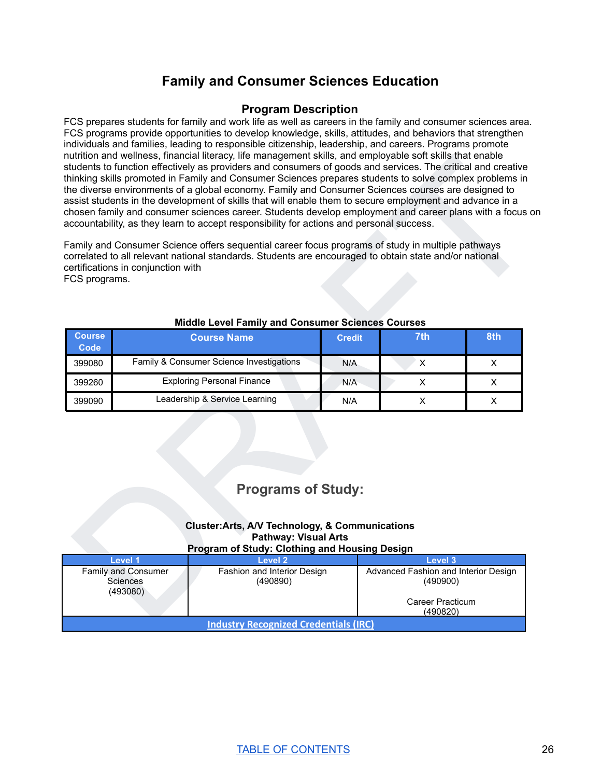# **Family and Consumer Sciences Education**

#### **Program Description**

<span id="page-26-0"></span>FCS prepares students for family and work life as well as careers in the family and consumer sciences area. FCS programs provide opportunities to develop knowledge, skills, attitudes, and behaviors that strengthen individuals and families, leading to responsible citizenship, leadership, and careers. Programs promote nutrition and wellness, financial literacy, life management skills, and employable soft skills that enable students to function effectively as providers and consumers of goods and services. The critical and creative thinking skills promoted in Family and Consumer Sciences prepares students to solve complex problems in the diverse environments of a global economy. Family and Consumer Sciences courses are designed to assist students in the development of skills that will enable them to secure employment and advance in a chosen family and consumer sciences career. Students develop employment and career plans with a focus on accountability, as they learn to accept responsibility for actions and personal success.

| FCS programs.                | thinking skills promoted in Family and Consumer Sciences prepares students to solve complex problems in<br>the diverse environments of a global economy. Family and Consumer Sciences courses are designed to<br>assist students in the development of skills that will enable them to secure employment and advance in a<br>chosen family and consumer sciences career. Students develop employment and career plans with a focus on<br>accountability, as they learn to accept responsibility for actions and personal success.<br>Family and Consumer Science offers sequential career focus programs of study in multiple pathways<br>correlated to all relevant national standards. Students are encouraged to obtain state and/or national<br>certifications in conjunction with<br>Middle Level Family and Consumer Sciences Courses |               |                | students to function effectively as providers and consumers of goods and services. The critical and creative |  |
|------------------------------|---------------------------------------------------------------------------------------------------------------------------------------------------------------------------------------------------------------------------------------------------------------------------------------------------------------------------------------------------------------------------------------------------------------------------------------------------------------------------------------------------------------------------------------------------------------------------------------------------------------------------------------------------------------------------------------------------------------------------------------------------------------------------------------------------------------------------------------------|---------------|----------------|--------------------------------------------------------------------------------------------------------------|--|
| <b>Course</b><br><b>Code</b> | <b>Course Name</b>                                                                                                                                                                                                                                                                                                                                                                                                                                                                                                                                                                                                                                                                                                                                                                                                                          | <b>Credit</b> | 7th            | 8th                                                                                                          |  |
| 399080                       | Family & Consumer Science Investigations                                                                                                                                                                                                                                                                                                                                                                                                                                                                                                                                                                                                                                                                                                                                                                                                    | N/A           | X              | X                                                                                                            |  |
| 399260                       | <b>Exploring Personal Finance</b>                                                                                                                                                                                                                                                                                                                                                                                                                                                                                                                                                                                                                                                                                                                                                                                                           | N/A           | X              | X                                                                                                            |  |
| 399090                       | Leadership & Service Learning                                                                                                                                                                                                                                                                                                                                                                                                                                                                                                                                                                                                                                                                                                                                                                                                               | N/A           | $\pmb{\times}$ | X                                                                                                            |  |
|                              |                                                                                                                                                                                                                                                                                                                                                                                                                                                                                                                                                                                                                                                                                                                                                                                                                                             |               |                |                                                                                                              |  |
|                              | <b>Programs of Study:</b>                                                                                                                                                                                                                                                                                                                                                                                                                                                                                                                                                                                                                                                                                                                                                                                                                   |               |                |                                                                                                              |  |
|                              | <b>Cluster:Arts, A/V Technology, &amp; Communications</b><br><b>Pathway: Visual Arts</b>                                                                                                                                                                                                                                                                                                                                                                                                                                                                                                                                                                                                                                                                                                                                                    |               |                |                                                                                                              |  |
|                              | Program of Study: Clothing and Housing Design<br><b>Level 1</b><br>Level 2                                                                                                                                                                                                                                                                                                                                                                                                                                                                                                                                                                                                                                                                                                                                                                  |               | Level 3        |                                                                                                              |  |

#### **Middle Level Family and Consumer Sciences Courses**

# **Programs of Study:**

#### **Cluster:Arts, A/V Technology, & Communications Pathway: Visual Arts Program of Study: Clothing and Housing Design**

| Level 1                                            | Level 2                                 | Level 3                                                                          |  |
|----------------------------------------------------|-----------------------------------------|----------------------------------------------------------------------------------|--|
| <b>Family and Consumer</b><br>Sciences<br>(493080) | Fashion and Interior Design<br>(490890) | Advanced Fashion and Interior Design<br>(490900)<br>Career Practicum<br>(490820) |  |
| <b>Industry Recognized Credentials (IRC)</b>       |                                         |                                                                                  |  |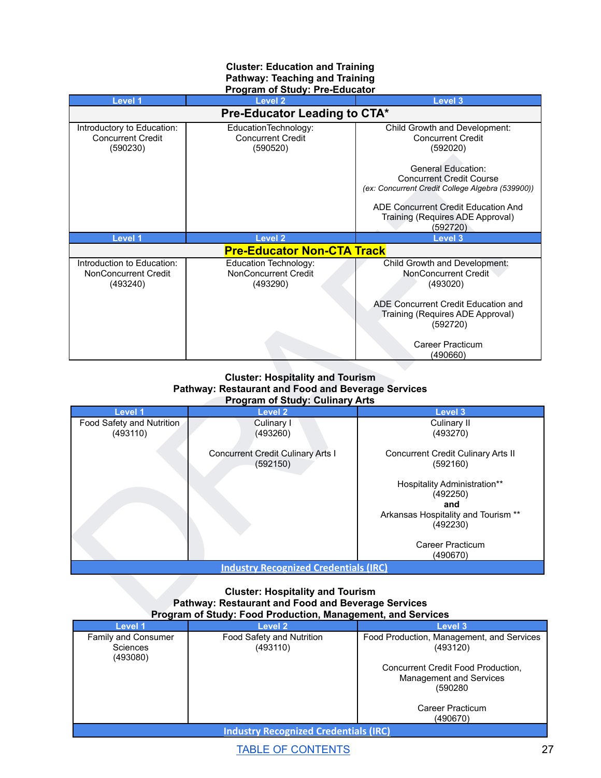#### **Cluster: Education and Training Pathway: Teaching and Training Program of Study: Pre-Educator**

| Introductory to Education:                                     |                                                                                                                                                | Level 3                                                                                                          |  |  |
|----------------------------------------------------------------|------------------------------------------------------------------------------------------------------------------------------------------------|------------------------------------------------------------------------------------------------------------------|--|--|
|                                                                | Pre-Educator Leading to CTA*                                                                                                                   |                                                                                                                  |  |  |
| <b>Concurrent Credit</b><br>(590230)                           | EducationTechnology:<br><b>Concurrent Credit</b><br>(590520)                                                                                   | Child Growth and Development:<br><b>Concurrent Credit</b><br>(592020)                                            |  |  |
|                                                                |                                                                                                                                                | <b>General Education:</b><br><b>Concurrent Credit Course</b><br>(ex: Concurrent Credit College Algebra (539900)) |  |  |
|                                                                |                                                                                                                                                | ADE Concurrent Credit Education And<br>Training (Requires ADE Approval)<br>(592720)                              |  |  |
| Level 1                                                        | <b>Level 2</b>                                                                                                                                 | Level 3                                                                                                          |  |  |
|                                                                | <b>Pre-Educator Non-CTA Track</b>                                                                                                              |                                                                                                                  |  |  |
| Introduction to Education:<br>NonConcurrent Credit<br>(493240) | Education Technology:<br>NonConcurrent Credit<br>(493290)                                                                                      | Child Growth and Development:<br>NonConcurrent Credit<br>(493020)                                                |  |  |
|                                                                |                                                                                                                                                | ADE Concurrent Credit Education and<br>Training (Requires ADE Approval)<br>(592720)                              |  |  |
|                                                                |                                                                                                                                                | <b>Career Practicum</b><br>(490660)                                                                              |  |  |
|                                                                |                                                                                                                                                |                                                                                                                  |  |  |
|                                                                | <b>Cluster: Hospitality and Tourism</b><br><b>Pathway: Restaurant and Food and Beverage Services</b><br><b>Program of Study: Culinary Arts</b> |                                                                                                                  |  |  |
| Level 1                                                        | Level 2                                                                                                                                        | Level 3                                                                                                          |  |  |
| Food Safety and Nutrition<br>(493110)                          | Culinary I<br>(493260)                                                                                                                         | Culinary II<br>(493270)                                                                                          |  |  |
|                                                                | <b>Concurrent Credit Culinary Arts I</b><br>(592150)                                                                                           | Concurrent Credit Culinary Arts II<br>(592160)                                                                   |  |  |
|                                                                |                                                                                                                                                | <b>Hospitality Administration**</b><br>(492250)                                                                  |  |  |
|                                                                |                                                                                                                                                | and<br>Arkansas Hospitality and Tourism **<br>(492230)                                                           |  |  |
|                                                                | <b>Industry Recognized Credentials (IRC)</b>                                                                                                   | <b>Career Practicum</b><br>(490670)                                                                              |  |  |

#### **Cluster: Hospitality and Tourism Pathway: Restaurant and Food and Beverage Services Program of Study: Culinary Arts**

| Level 1                   | Level 2                                              | Level 3                                         |
|---------------------------|------------------------------------------------------|-------------------------------------------------|
| Food Safety and Nutrition | Culinary I                                           | Culinary II                                     |
| (493110)                  | (493260)                                             | (493270)                                        |
|                           | <b>Concurrent Credit Culinary Arts I</b><br>(592150) | Concurrent Credit Culinary Arts II<br>(592160)  |
|                           |                                                      | <b>Hospitality Administration**</b><br>(492250) |
|                           |                                                      | and                                             |
|                           |                                                      | Arkansas Hospitality and Tourism **             |
|                           |                                                      | (492230)                                        |
|                           |                                                      | Career Practicum                                |
|                           |                                                      | (490670)                                        |
|                           | <b>Industry Recognized Credentials (IRC)</b>         |                                                 |

#### **Cluster: Hospitality and Tourism Pathway: Restaurant and Food and Beverage Services Program of Study: Food Production, Management, and Services**

| Level 1                                            | <b>Level 2</b>                        | Level 3                                                                                                                                                           |  |
|----------------------------------------------------|---------------------------------------|-------------------------------------------------------------------------------------------------------------------------------------------------------------------|--|
| Family and Consumer<br><b>Sciences</b><br>(493080) | Food Safety and Nutrition<br>(493110) | Food Production, Management, and Services<br>(493120)<br>Concurrent Credit Food Production,<br>Management and Services<br>(590280<br>Career Practicum<br>(490670) |  |
| <b>Industry Recognized Credentials (IRC)</b>       |                                       |                                                                                                                                                                   |  |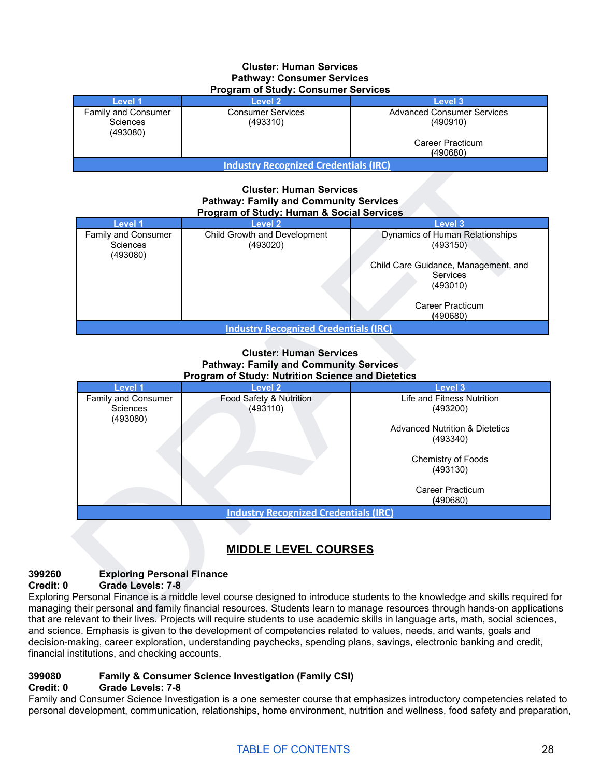#### **Cluster: Human Services Pathway: Consumer Services Program of Study: Consumer Services**

| <b>1 TOGFAILL OF OLDUBY.</b> OUTBUTTEL OCTVICES |                                      |                                               |  |
|-------------------------------------------------|--------------------------------------|-----------------------------------------------|--|
| Level 1                                         | Level 2                              | Level 3                                       |  |
| Family and Consumer<br>Sciences<br>(493080)     | <b>Consumer Services</b><br>(493310) | <b>Advanced Consumer Services</b><br>(490910) |  |
|                                                 |                                      | Career Practicum<br>(490680)                  |  |
| <b>Industry Recognized Credentials (IRC)</b>    |                                      |                                               |  |

#### **Cluster: Human Services Pathway: Family and Community Services Program of Study: Human & Social Services**

| Level 1                                            | Level 2                                  | Level 3                                                                                                                                     |  |
|----------------------------------------------------|------------------------------------------|---------------------------------------------------------------------------------------------------------------------------------------------|--|
| Family and Consumer<br><b>Sciences</b><br>(493080) | Child Growth and Development<br>(493020) | Dynamics of Human Relationships<br>(493150)<br>Child Care Guidance, Management, and<br>Services<br>(493010)<br>Career Practicum<br>(490680) |  |
| <b>Industry Recognized Credentials (IRC)</b>       |                                          |                                                                                                                                             |  |

#### **Cluster: Human Services Pathway: Family and Community Services Program of Study: Nutrition Science and Dietetics**



# **MIDDLE LEVEL COURSES**

#### **399260 Exploring Personal Finance Credit: 0 Grade Levels: 7-8**

Exploring Personal Finance is a middle level course designed to introduce students to the knowledge and skills required for managing their personal and family financial resources. Students learn to manage resources through hands-on applications that are relevant to their lives. Projects will require students to use academic skills in language arts, math, social sciences, and science. Emphasis is given to the development of competencies related to values, needs, and wants, goals and decision-making, career exploration, understanding paychecks, spending plans, savings, electronic banking and credit, financial institutions, and checking accounts.

## **399080 Family & Consumer Science Investigation (Family CSI)**

#### **Credit: 0 Grade Levels: 7-8**

Family and Consumer Science Investigation is a one semester course that emphasizes introductory competencies related to personal development, communication, relationships, home environment, nutrition and wellness, food safety and preparation,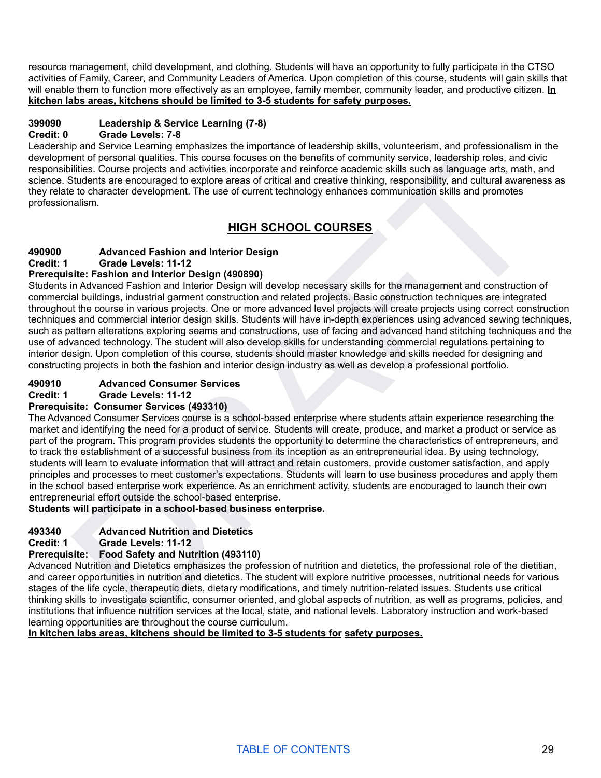resource management, child development, and clothing. Students will have an opportunity to fully participate in the CTSO activities of Family, Career, and Community Leaders of America. Upon completion of this course, students will gain skills that will enable them to function more effectively as an employee, family member, community leader, and productive citizen. **In kitchen labs areas, kitchens should be limited to 3-5 students for safety purposes.**

# **399090 Leadership & Service Learning (7-8)**

**Credit: 0 Grade Levels: 7-8**

Leadership and Service Learning emphasizes the importance of leadership skills, volunteerism, and professionalism in the development of personal qualities. This course focuses on the benefits of community service, leadership roles, and civic responsibilities. Course projects and activities incorporate and reinforce academic skills such as language arts, math, and science. Students are encouraged to explore areas of critical and creative thinking, responsibility, and cultural awareness as they relate to character development. The use of current technology enhances communication skills and promotes professionalism.

# **HIGH SCHOOL COURSES**

## **490900 Advanced Fashion and Interior Design**

**Credit: 1 Grade Levels: 11-12**

## **Prerequisite: Fashion and Interior Design (490890)**

ent of personal qualities. This course focuses on the benefits of community service, eaders profers and civilise.<br>Billise Course projects and activities incorporate and reflection examines the instantantial coupling and co Students in Advanced Fashion and Interior Design will develop necessary skills for the management and construction of commercial buildings, industrial garment construction and related projects. Basic construction techniques are integrated throughout the course in various projects. One or more advanced level projects will create projects using correct construction techniques and commercial interior design skills. Students will have in-depth experiences using advanced sewing techniques, such as pattern alterations exploring seams and constructions, use of facing and advanced hand stitching techniques and the use of advanced technology. The student will also develop skills for understanding commercial regulations pertaining to interior design. Upon completion of this course, students should master knowledge and skills needed for designing and constructing projects in both the fashion and interior design industry as well as develop a professional portfolio.

# **490910 Advanced Consumer Services**

**Credit: 1 Grade Levels: 11-12**

#### **Prerequisite: Consumer Services (493310)**

The Advanced Consumer Services course is a school-based enterprise where students attain experience researching the market and identifying the need for a product of service. Students will create, produce, and market a product or service as part of the program. This program provides students the opportunity to determine the characteristics of entrepreneurs, and to track the establishment of a successful business from its inception as an entrepreneurial idea. By using technology, students will learn to evaluate information that will attract and retain customers, provide customer satisfaction, and apply principles and processes to meet customer's expectations. Students will learn to use business procedures and apply them in the school based enterprise work experience. As an enrichment activity, students are encouraged to launch their own entrepreneurial effort outside the school-based enterprise.

#### **Students will participate in a school-based business enterprise.**

#### **493340 Advanced Nutrition and Dietetics**

#### **Credit: 1 Grade Levels: 11-12**

## **Prerequisite: Food Safety and Nutrition (493110)**

Advanced Nutrition and Dietetics emphasizes the profession of nutrition and dietetics, the professional role of the dietitian, and career opportunities in nutrition and dietetics. The student will explore nutritive processes, nutritional needs for various stages of the life cycle, therapeutic diets, dietary modifications, and timely nutrition-related issues. Students use critical thinking skills to investigate scientific, consumer oriented, and global aspects of nutrition, as well as programs, policies, and institutions that influence nutrition services at the local, state, and national levels. Laboratory instruction and work-based learning opportunities are throughout the course curriculum.

**In kitchen labs areas, kitchens should be limited to 3-5 students for safety purposes.**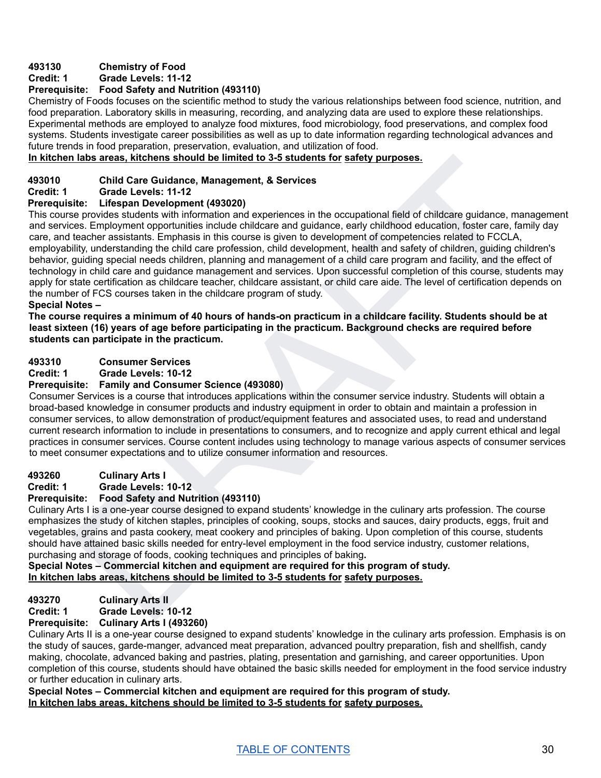## **493130 Chemistry of Food**

#### **Credit: 1 Grade Levels: 11-12**

#### **Prerequisite: Food Safety and Nutrition (493110)**

Chemistry of Foods focuses on the scientific method to study the various relationships between food science, nutrition, and food preparation. Laboratory skills in measuring, recording, and analyzing data are used to explore these relationships. Experimental methods are employed to analyze food mixtures, food microbiology, food preservations, and complex food systems. Students investigate career possibilities as well as up to date information regarding technological advances and future trends in food preparation, preservation, evaluation, and utilization of food.

#### **In kitchen labs areas, kitchens should be limited to 3-5 students for safety purposes.**

#### **493010 Child Care Guidance, Management, & Services**

**Credit: 1 Grade Levels: 11-12**

#### **Prerequisite: Lifespan Development (493020)**

In labs areas, kitchens should be limited to 3-5 students for safety purposes.<br>Child Care Guidence, Management<br>State: Child Care Guidence, Management and experiences in the occupational field of child<br>care and state is sta This course provides students with information and experiences in the occupational field of childcare guidance, management and services. Employment opportunities include childcare and guidance, early childhood education, foster care, family day care, and teacher assistants. Emphasis in this course is given to development of competencies related to FCCLA, employability, understanding the child care profession, child development, health and safety of children, guiding children's behavior, guiding special needs children, planning and management of a child care program and facility, and the effect of technology in child care and guidance management and services. Upon successful completion of this course, students may apply for state certification as childcare teacher, childcare assistant, or child care aide. The level of certification depends on the number of FCS courses taken in the childcare program of study.

#### **Special Notes –**

The course requires a minimum of 40 hours of hands-on practicum in a childcare facility. Students should be at **least sixteen (16) years of age before participating in the practicum. Background checks are required before students can participate in the practicum.**

#### **493310 Consumer Services**

**Credit: 1 Grade Levels: 10-12**

#### **Prerequisite: Family and Consumer Science (493080)**

Consumer Services is a course that introduces applications within the consumer service industry. Students will obtain a broad-based knowledge in consumer products and industry equipment in order to obtain and maintain a profession in consumer services, to allow demonstration of product/equipment features and associated uses, to read and understand current research information to include in presentations to consumers, and to recognize and apply current ethical and legal practices in consumer services. Course content includes using technology to manage various aspects of consumer services to meet consumer expectations and to utilize consumer information and resources.

#### **493260 Culinary Arts I**

**Credit: 1 Grade Levels: 10-12**

#### **Prerequisite: Food Safety and Nutrition (493110)**

Culinary Arts I is a one-year course designed to expand students' knowledge in the culinary arts profession. The course emphasizes the study of kitchen staples, principles of cooking, soups, stocks and sauces, dairy products, eggs, fruit and vegetables, grains and pasta cookery, meat cookery and principles of baking. Upon completion of this course, students should have attained basic skills needed for entry-level employment in the food service industry, customer relations, purchasing and storage of foods, cooking techniques and principles of baking**.**

**Special Notes – Commercial kitchen and equipment are required for this program of study. In kitchen labs areas, kitchens should be limited to 3-5 students for safety purposes.**

#### **493270 Culinary Arts II**

**Credit: 1 Grade Levels: 10-12**

#### **Prerequisite: Culinary Arts I (493260)**

Culinary Arts II is a one-year course designed to expand students' knowledge in the culinary arts profession. Emphasis is on the study of sauces, garde-manger, advanced meat preparation, advanced poultry preparation, fish and shellfish, candy making, chocolate, advanced baking and pastries, plating, presentation and garnishing, and career opportunities. Upon completion of this course, students should have obtained the basic skills needed for employment in the food service industry or further education in culinary arts.

**Special Notes – Commercial kitchen and equipment are required for this program of study. In kitchen labs areas, kitchens should be limited to 3-5 students for safety purposes.**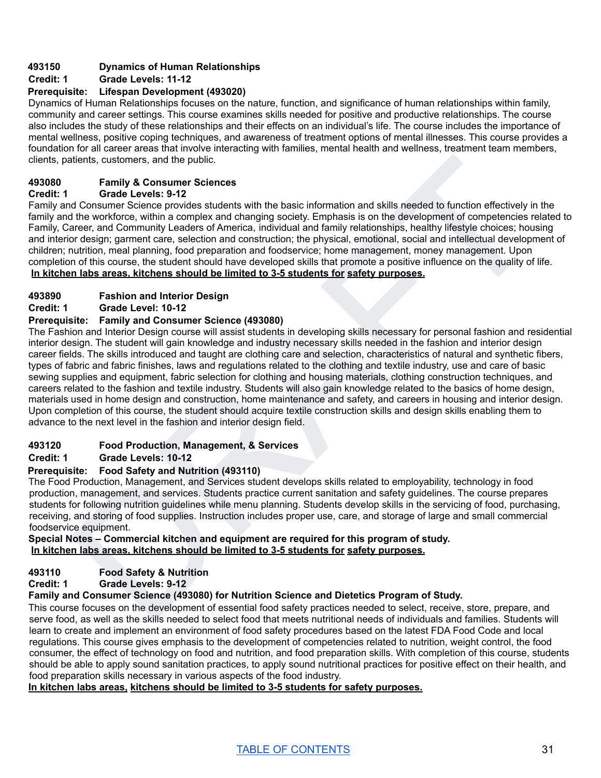#### **493150 Dynamics of Human Relationships**

#### **Credit: 1 Grade Levels: 11-12**

#### **Prerequisite: Lifespan Development (493020)**

Dynamics of Human Relationships focuses on the nature, function, and significance of human relationships within family, community and career settings. This course examines skills needed for positive and productive relationships. The course also includes the study of these relationships and their effects on an individual's life. The course includes the importance of mental wellness, positive coping techniques, and awareness of treatment options of mental illnesses. This course provides a foundation for all career areas that involve interacting with families, mental health and wellness, treatment team members, clients, patients, customers, and the public.

#### **493080 Family & Consumer Sciences**

#### **Credit: 1 Grade Levels: 9-12**

Family and Consumer Science provides students with the basic information and skills needed to function effectively in the family and the workforce, within a complex and changing society. Emphasis is on the development of competencies related to Family, Career, and Community Leaders of America, individual and family relationships, healthy lifestyle choices; housing and interior design; garment care, selection and construction; the physical, emotional, social and intellectual development of children; nutrition, meal planning, food preparation and foodservice; home management, money management. Upon completion of this course, the student should have developed skills that promote a positive influence on the quality of life. **In kitchen labs areas, kitchens should be limited to 3-5 students for safety purposes.**

#### **493890 Fashion and Interior Design**

#### **Credit: 1 Grade Level: 10-12**

#### **Prerequisite: Family and Consumer Science (493080)**

ationis, customers, and the public.<br> **Cannier Sciences**<br>
Cannier Sciences<br>
Cannier Sciences<br>
Consumer Science provides substants with the basic information and stills needed to function effectively in the<br>
Drocument Scienc The Fashion and Interior Design course will assist students in developing skills necessary for personal fashion and residential interior design. The student will gain knowledge and industry necessary skills needed in the fashion and interior design career fields. The skills introduced and taught are clothing care and selection, characteristics of natural and synthetic fibers, types of fabric and fabric finishes, laws and regulations related to the clothing and textile industry, use and care of basic sewing supplies and equipment, fabric selection for clothing and housing materials, clothing construction techniques, and careers related to the fashion and textile industry. Students will also gain knowledge related to the basics of home design, materials used in home design and construction, home maintenance and safety, and careers in housing and interior design. Upon completion of this course, the student should acquire textile construction skills and design skills enabling them to advance to the next level in the fashion and interior design field.

#### **493120 Food Production, Management, & Services**

#### **Credit: 1 Grade Levels: 10-12**

#### **Prerequisite: Food Safety and Nutrition (493110)**

The Food Production, Management, and Services student develops skills related to employability, technology in food production, management, and services. Students practice current sanitation and safety guidelines. The course prepares students for following nutrition guidelines while menu planning. Students develop skills in the servicing of food, purchasing, receiving, and storing of food supplies. Instruction includes proper use, care, and storage of large and small commercial foodservice equipment.

#### **Special Notes – Commercial kitchen and equipment are required for this program of study. In kitchen labs areas, kitchens should be limited to 3-5 students for safety purposes.**

#### **493110 Food Safety & Nutrition**

**Credit: 1 Grade Levels: 9-12**

#### **Family and Consumer Science (493080) for Nutrition Science and Dietetics Program of Study.**

This course focuses on the development of essential food safety practices needed to select, receive, store, prepare, and serve food, as well as the skills needed to select food that meets nutritional needs of individuals and families. Students will learn to create and implement an environment of food safety procedures based on the latest FDA Food Code and local regulations. This course gives emphasis to the development of competencies related to nutrition, weight control, the food consumer, the effect of technology on food and nutrition, and food preparation skills. With completion of this course, students should be able to apply sound sanitation practices, to apply sound nutritional practices for positive effect on their health, and food preparation skills necessary in various aspects of the food industry.

#### **In kitchen labs areas, kitchens should be limited to 3-5 students for safety purposes.**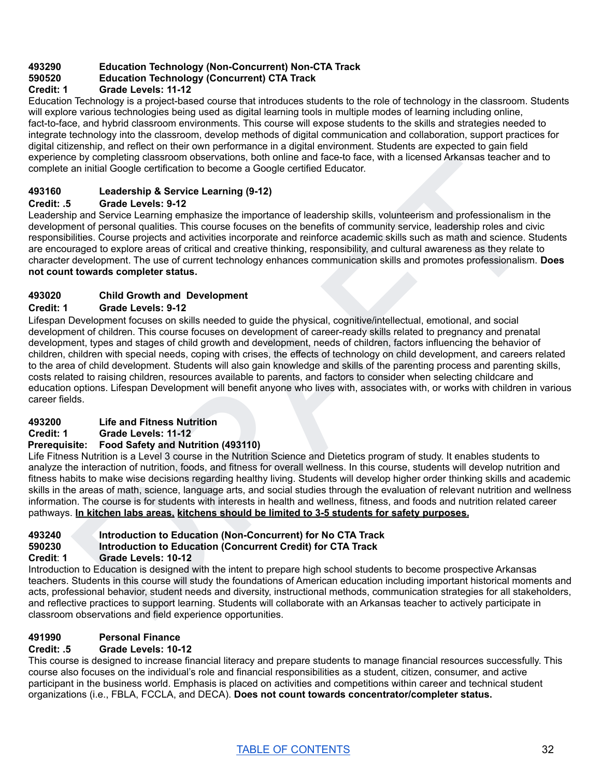## **493290 Education Technology (Non-Concurrent) Non-CTA Track**

#### **590520 Education Technology (Concurrent) CTA Track**

#### **Credit: 1 Grade Levels: 11-12**

Education Technology is a project-based course that introduces students to the role of technology in the classroom. Students will explore various technologies being used as digital learning tools in multiple modes of learning including online, fact-to-face, and hybrid classroom environments. This course will expose students to the skills and strategies needed to integrate technology into the classroom, develop methods of digital communication and collaboration, support practices for digital citizenship, and reflect on their own performance in a digital environment. Students are expected to gain field experience by completing classroom observations, both online and face-to face, with a licensed Arkansas teacher and to complete an initial Google certification to become a Google certified Educator.

#### **493160 Leadership & Service Learning (9-12)**

#### **Credit: .5 Grade Levels: 9-12**

Leadership and Service Learning emphasize the importance of leadership skills, volunteerism and professionalism in the development of personal qualities. This course focuses on the benefits of community service, leadership roles and civic responsibilities. Course projects and activities incorporate and reinforce academic skills such as math and science. Students are encouraged to explore areas of critical and creative thinking, responsibility, and cultural awareness as they relate to character development. The use of current technology enhances communication skills and promotes professionalism. **Does not count towards completer status.**

#### **493020 Child Growth and Development**

#### **Credit: 1 Grade Levels: 9-12**

is by completing diescurom observations, both online and fact-to frace, with a licensed Arkansas teacher and to<br>an initial Google cortification to become a Google certified Educator.<br> **Lander bing and Service Learning (9-1** Lifespan Development focuses on skills needed to guide the physical, cognitive/intellectual, emotional, and social development of children. This course focuses on development of career-ready skills related to pregnancy and prenatal development, types and stages of child growth and development, needs of children, factors influencing the behavior of children, children with special needs, coping with crises, the effects of technology on child development, and careers related to the area of child development. Students will also gain knowledge and skills of the parenting process and parenting skills, costs related to raising children, resources available to parents, and factors to consider when selecting childcare and education options. Lifespan Development will benefit anyone who lives with, associates with, or works with children in various career fields.

#### **493200 Life and Fitness Nutrition**

**Credit: 1 Grade Levels: 11-12**

#### **Prerequisite: Food Safety and Nutrition (493110)**

Life Fitness Nutrition is a Level 3 course in the Nutrition Science and Dietetics program of study. It enables students to analyze the interaction of nutrition, foods, and fitness for overall wellness. In this course, students will develop nutrition and fitness habits to make wise decisions regarding healthy living. Students will develop higher order thinking skills and academic skills in the areas of math, science, language arts, and social studies through the evaluation of relevant nutrition and wellness information. The course is for students with interests in health and wellness, fitness, and foods and nutrition related career pathways. **In kitchen labs areas, kitchens should be limited to 3-5 students for safety purposes.**

#### **493240 Introduction to Education (Non-Concurrent) for No CTA Track**

#### **590230 Introduction to Education (Concurrent Credit) for CTA Track**

#### **Credit**: **1 Grade Levels: 10-12**

Introduction to Education is designed with the intent to prepare high school students to become prospective Arkansas teachers. Students in this course will study the foundations of American education including important historical moments and acts, professional behavior, student needs and diversity, instructional methods, communication strategies for all stakeholders, and reflective practices to support learning. Students will collaborate with an Arkansas teacher to actively participate in classroom observations and field experience opportunities.

#### **491990 Personal Finance**

#### **Credit: .5 Grade Levels: 10-12**

This course is designed to increase financial literacy and prepare students to manage financial resources successfully. This course also focuses on the individual's role and financial responsibilities as a student, citizen, consumer, and active participant in the business world. Emphasis is placed on activities and competitions within career and technical student organizations (i.e., FBLA, FCCLA, and DECA). **Does not count towards concentrator/completer status.**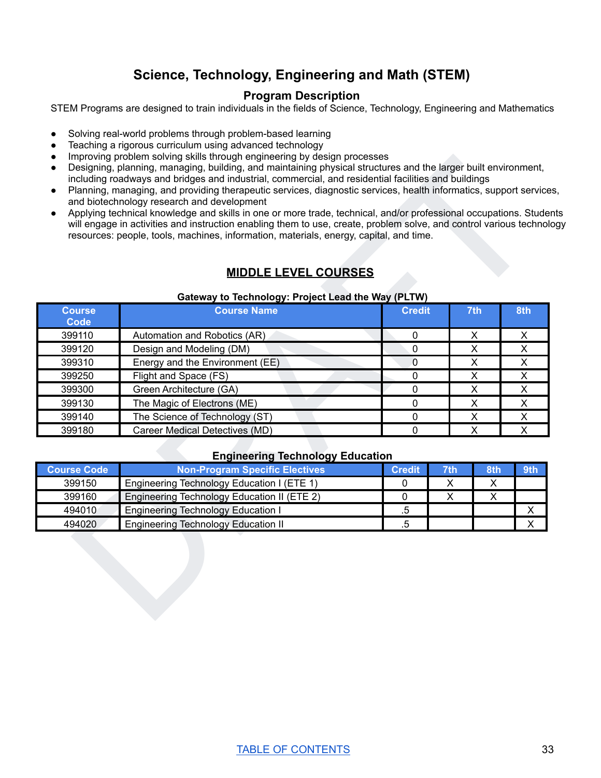# **Science, Technology, Engineering and Math (STEM)**

#### **Program Description**

<span id="page-33-0"></span>STEM Programs are designed to train individuals in the fields of Science, Technology, Engineering and Mathematics

- Solving real-world problems through problem-based learning
- Teaching a rigorous curriculum using advanced technology
- Improving problem solving skills through engineering by design processes
- Designing, planning, managing, building, and maintaining physical structures and the larger built environment, including roadways and bridges and industrial, commercial, and residential facilities and buildings
- Planning, managing, and providing therapeutic services, diagnostic services, health informatics, support services, and biotechnology research and development
- Applying technical knowledge and skills in one or more trade, technical, and/or professional occupations. Students will engage in activities and instruction enabling them to use, create, problem solve, and control various technology resources: people, tools, machines, information, materials, energy, capital, and time.

# **MIDDLE LEVEL COURSES**

#### **Gateway to Technology: Project Lead the Way (PLTW)**

|                       | <b>MIDDLE LEVEL COURSES</b>                        | resources: people, tools, machines, information, materials, energy, capital, and time. |                                         |                         | will engage in activities and instruction enabling them to use, create, problem solve, and control various technology |
|-----------------------|----------------------------------------------------|----------------------------------------------------------------------------------------|-----------------------------------------|-------------------------|-----------------------------------------------------------------------------------------------------------------------|
|                       | Gateway to Technology: Project Lead the Way (PLTW) |                                                                                        |                                         |                         |                                                                                                                       |
| <b>Course</b><br>Code | <b>Course Name</b>                                 | <b>Credit</b>                                                                          |                                         | 7th                     | 8th                                                                                                                   |
| 399110                | Automation and Robotics (AR)                       | $\pmb{0}$                                                                              |                                         | $\pmb{\times}$          | X                                                                                                                     |
| 399120                | Design and Modeling (DM)                           | $\pmb{0}$                                                                              |                                         | X                       | X                                                                                                                     |
| 399310                | Energy and the Environment (EE)                    | $\overline{0}$                                                                         |                                         | $\pmb{\times}$          | $\pmb{\times}$                                                                                                        |
| 399250                | Flight and Space (FS)                              | $\pmb{0}$                                                                              |                                         | $\overline{\mathsf{x}}$ | $\pmb{\times}$                                                                                                        |
| 399300                | Green Architecture (GA)                            | $\mathbf 0$                                                                            |                                         | X                       | $\mathsf{X}$                                                                                                          |
| 399130                | The Magic of Electrons (ME)                        | 0                                                                                      |                                         | X                       | $\pmb{\times}$                                                                                                        |
| 399140                | The Science of Technology (ST)                     | $\pmb{0}$                                                                              |                                         | $\pmb{\mathsf{X}}$      | X                                                                                                                     |
| 399180                | Career Medical Detectives (MD)                     | $\mathbf 0$                                                                            | $\overline{\mathsf{x}}$<br>$\mathsf{X}$ |                         |                                                                                                                       |
|                       | <b>Engineering Technology Education</b>            |                                                                                        |                                         |                         |                                                                                                                       |
| <b>Course Code</b>    | <b>Non-Program Specific Electives</b>              | <b>Credit</b>                                                                          | 7th                                     | 8th                     | 9th                                                                                                                   |
| 399150                | Engineering Technology Education I (ETE 1)         | 0                                                                                      | X                                       | X                       |                                                                                                                       |
| 399160                | Engineering Technology Education II (ETE 2)        | 0                                                                                      | $\overline{\mathsf{x}}$                 | $\overline{\mathsf{x}}$ |                                                                                                                       |
|                       | <b>Engineering Technology Education I</b>          | $.5\,$                                                                                 |                                         |                         | $\mathsf X$                                                                                                           |
| 494010                |                                                    |                                                                                        |                                         |                         | $\mathsf{X}$                                                                                                          |

#### **Engineering Technology Education**

| <b>Course Code</b> | <b>Non-Program Specific Electives</b>       | <b>Credit</b> | 7th | <b>8th</b> | 9th |
|--------------------|---------------------------------------------|---------------|-----|------------|-----|
| 399150             | Engineering Technology Education I (ETE 1)  |               |     |            |     |
| 399160             | Engineering Technology Education II (ETE 2) |               |     |            |     |
| 494010             | <b>Engineering Technology Education I</b>   | h             |     |            |     |
| 494020             | <b>Engineering Technology Education II</b>  | .b            |     |            |     |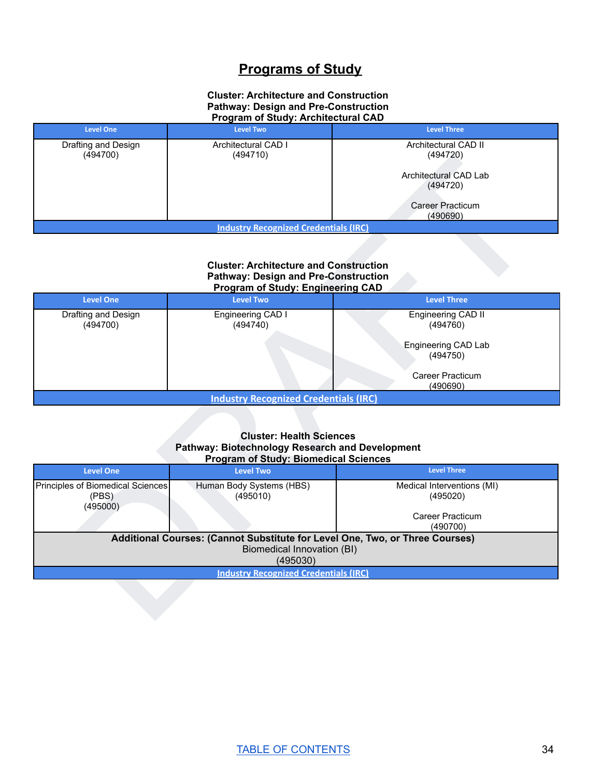# **Programs of Study**

#### **Cluster: Architecture and Construction Pathway: Design and Pre-Construction Program of Study: Architectural CAD**

| <b>Level One</b>                             | <b>Level Two</b>                | <b>Level Three</b>                  |  |  |
|----------------------------------------------|---------------------------------|-------------------------------------|--|--|
| Drafting and Design<br>(494700)              | Architectural CAD I<br>(494710) | Architectural CAD II<br>(494720)    |  |  |
|                                              |                                 | Architectural CAD Lab<br>(494720)   |  |  |
|                                              |                                 | <b>Career Practicum</b><br>(490690) |  |  |
| <b>Industry Recognized Credentials (IRC)</b> |                                 |                                     |  |  |

#### **Cluster: Architecture and Construction Pathway: Design and Pre-Construction Program of Study: Engineering CAD**

| <b>Level One</b>                             | <b>Trogram or otaug: Engineering ond</b><br><b>Level Two</b> | <b>Level Three</b>              |  |  |  |
|----------------------------------------------|--------------------------------------------------------------|---------------------------------|--|--|--|
| Drafting and Design<br>(494700)              | Engineering CAD I<br>(494740)                                | Engineering CAD II<br>(494760)  |  |  |  |
|                                              |                                                              | Engineering CAD Lab<br>(494750) |  |  |  |
|                                              |                                                              | Career Practicum<br>(490690)    |  |  |  |
| <b>Industry Recognized Credentials (IRC)</b> |                                                              |                                 |  |  |  |

#### **Cluster: Health Sciences Pathway: Biotechnology Research and Development Program of Study: Biomedical Sciences**

| (494700)                          | (494710)                                                                                                                                               | (494720)                            |  |  |  |
|-----------------------------------|--------------------------------------------------------------------------------------------------------------------------------------------------------|-------------------------------------|--|--|--|
|                                   |                                                                                                                                                        | Architectural CAD Lab<br>(494720)   |  |  |  |
|                                   |                                                                                                                                                        | Career Practicum<br>(490690)        |  |  |  |
|                                   | <b>Industry Recognized Credentials (IRC)</b>                                                                                                           |                                     |  |  |  |
|                                   |                                                                                                                                                        |                                     |  |  |  |
|                                   | <b>Cluster: Architecture and Construction</b><br><b>Pathway: Design and Pre-Construction</b><br>Program of Study: Engineering CAD                      |                                     |  |  |  |
| <b>Level One</b>                  | <b>Level Two</b>                                                                                                                                       | <b>Level Three</b>                  |  |  |  |
| Drafting and Design<br>(494700)   | Engineering CAD I<br>(494740)                                                                                                                          | Engineering CAD II<br>(494760)      |  |  |  |
|                                   |                                                                                                                                                        | Engineering CAD Lab<br>(494750)     |  |  |  |
|                                   |                                                                                                                                                        | <b>Career Practicum</b><br>(490690) |  |  |  |
|                                   | <b>Industry Recognized Credentials (IRC)</b>                                                                                                           |                                     |  |  |  |
| <b>Level One</b>                  | <b>Cluster: Health Sciences</b><br>Pathway: Biotechnology Research and Development<br><b>Program of Study: Biomedical Sciences</b><br><b>Level Two</b> | <b>Level Three</b>                  |  |  |  |
| Principles of Biomedical Sciences | Human Body Systems (HBS)                                                                                                                               | Medical Interventions (MI)          |  |  |  |
| (PBS)                             | (495010)                                                                                                                                               | (495020)                            |  |  |  |
| (495000)                          |                                                                                                                                                        | Career Practicum<br>(490700)        |  |  |  |
|                                   | Additional Courses: (Cannot Substitute for Level One, Two, or Three Courses)                                                                           |                                     |  |  |  |
|                                   | Biomedical Innovation (BI)<br>(495030)                                                                                                                 |                                     |  |  |  |
|                                   | <b>Industry Recognized Credentials (IRC)</b>                                                                                                           |                                     |  |  |  |
|                                   |                                                                                                                                                        |                                     |  |  |  |
|                                   |                                                                                                                                                        |                                     |  |  |  |
|                                   |                                                                                                                                                        |                                     |  |  |  |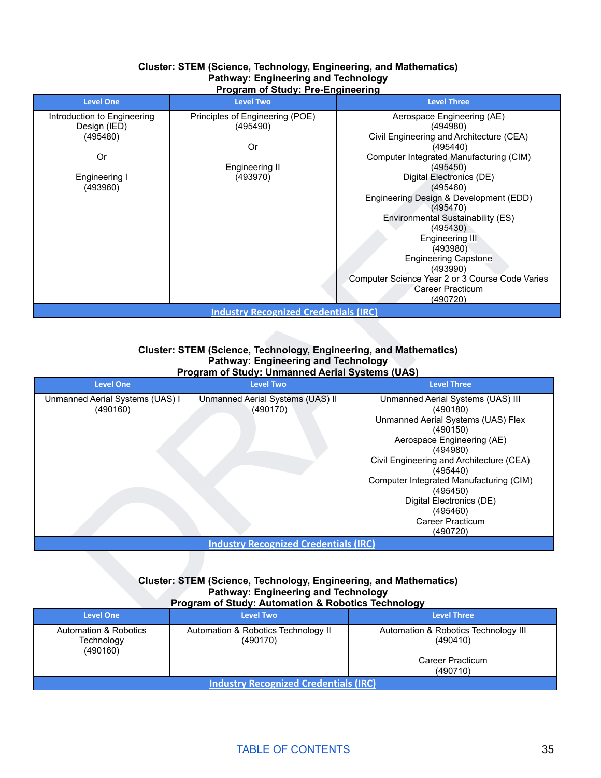#### **Cluster: STEM (Science, Technology, Engineering, and Mathematics) Pathway: Engineering and Technology Program of Study: Pre-Engineering**

| <b>Level One</b>            | <b>Level Two</b>                             | <b>Level Three</b>                              |
|-----------------------------|----------------------------------------------|-------------------------------------------------|
| Introduction to Engineering | Principles of Engineering (POE)              | Aerospace Engineering (AE)                      |
| Design (IED)                | (495490)                                     | (494980)                                        |
| (495480)                    |                                              | Civil Engineering and Architecture (CEA)        |
|                             | 0r                                           | (495440)                                        |
| <b>Or</b>                   |                                              | Computer Integrated Manufacturing (CIM)         |
|                             | Engineering II                               | (495450)                                        |
| Engineering I               | (493970)                                     | Digital Electronics (DE)                        |
| (493960)                    |                                              | (495460)                                        |
|                             |                                              | Engineering Design & Development (EDD)          |
|                             |                                              | (495470)                                        |
|                             |                                              | Environmental Sustainability (ES)               |
|                             |                                              | (495430)                                        |
|                             |                                              | Engineering III                                 |
|                             |                                              | (493980)                                        |
|                             |                                              | <b>Engineering Capstone</b>                     |
|                             |                                              | (493990)                                        |
|                             |                                              | Computer Science Year 2 or 3 Course Code Varies |
|                             |                                              | Career Practicum                                |
|                             |                                              | (490720)                                        |
|                             | <b>Industry Recognized Credentials (IRC)</b> |                                                 |

#### **Cluster: STEM (Science, Technology, Engineering, and Mathematics) Pathway: Engineering and Technology Program of Study: Unmanned Aerial Systems (UAS)**

| Or<br>Engineering I<br>(493960)                                                                                                                                    | Engineering II<br>(493970)<br><b>Industry Recognized Credentials (IRC)</b>                                                                                            | Computer Integrated Manufacturing (CIM)<br>(495450)<br>Digital Electronics (DE)<br>(495460)<br>Engineering Design & Development (EDD)<br>(495470)<br><b>Environmental Sustainability (ES)</b><br>(495430)<br>Engineering III<br>(493980)<br><b>Engineering Capstone</b><br>(493990)<br>Computer Science Year 2 or 3 Course Code Varies<br><b>Career Practicum</b><br>(490720) |  |  |  |
|--------------------------------------------------------------------------------------------------------------------------------------------------------------------|-----------------------------------------------------------------------------------------------------------------------------------------------------------------------|-------------------------------------------------------------------------------------------------------------------------------------------------------------------------------------------------------------------------------------------------------------------------------------------------------------------------------------------------------------------------------|--|--|--|
|                                                                                                                                                                    |                                                                                                                                                                       |                                                                                                                                                                                                                                                                                                                                                                               |  |  |  |
| Cluster: STEM (Science, Technology, Engineering, and Mathematics)<br><b>Pathway: Engineering and Technology</b><br>Program of Study: Unmanned Aerial Systems (UAS) |                                                                                                                                                                       |                                                                                                                                                                                                                                                                                                                                                                               |  |  |  |
| <b>Level One</b>                                                                                                                                                   | <b>Level Two</b>                                                                                                                                                      | <b>Level Three</b>                                                                                                                                                                                                                                                                                                                                                            |  |  |  |
| Unmanned Aerial Systems (UAS) I<br>(490160)                                                                                                                        | Unmanned Aerial Systems (UAS) II<br>(490170)                                                                                                                          | Unmanned Aerial Systems (UAS) III<br>(490180)<br>Unmanned Aerial Systems (UAS) Flex<br>(490150)<br>Aerospace Engineering (AE)<br>(494980)<br>Civil Engineering and Architecture (CEA)<br>(495440)<br>Computer Integrated Manufacturing (CIM)<br>(495450)<br>Digital Electronics (DE)<br>(495460)<br>Career Practicum<br>(490720)                                              |  |  |  |
|                                                                                                                                                                    | <b>Industry Recognized Credentials (IRC)</b>                                                                                                                          |                                                                                                                                                                                                                                                                                                                                                                               |  |  |  |
|                                                                                                                                                                    | Cluster: STEM (Science, Technology, Engineering, and Mathematics)<br><b>Pathway: Engineering and Technology</b><br>Program of Study: Automation & Robotics Technology |                                                                                                                                                                                                                                                                                                                                                                               |  |  |  |
| <b>Level One</b>                                                                                                                                                   | <b>Level Two</b>                                                                                                                                                      | <b>Level Three</b>                                                                                                                                                                                                                                                                                                                                                            |  |  |  |

#### **Cluster: STEM (Science, Technology, Engineering, and Mathematics) Pathway: Engineering and Technology Program of Study: Automation & Robotics Technology**

| <b>Level One</b>                                | <b>Level Two</b>                                | <b>Level Three</b>                                                               |  |  |
|-------------------------------------------------|-------------------------------------------------|----------------------------------------------------------------------------------|--|--|
| Automation & Robotics<br>Technology<br>(490160) | Automation & Robotics Technology II<br>(490170) | Automation & Robotics Technology III<br>(490410)<br>Career Practicum<br>(490710) |  |  |
| <b>Industry Recognized Credentials (IRC)</b>    |                                                 |                                                                                  |  |  |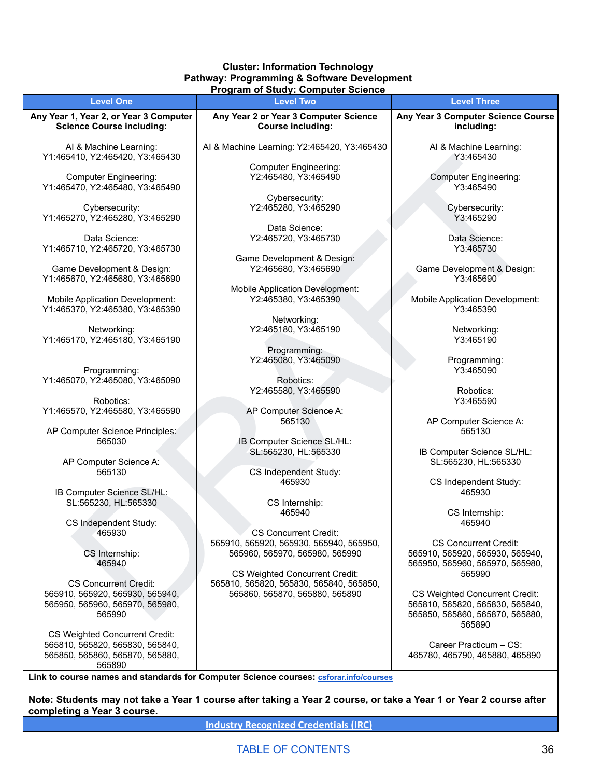#### **Cluster: Information Technology Pathway: Programming & Software Development Program of Study: Computer Science**

| <b>Level One</b>                                                   | r rogram or stuuy. Computer science<br><b>Level Two</b>                          | <b>Level Three</b>                                                 |
|--------------------------------------------------------------------|----------------------------------------------------------------------------------|--------------------------------------------------------------------|
| Any Year 1, Year 2, or Year 3 Computer                             | Any Year 2 or Year 3 Computer Science                                            | Any Year 3 Computer Science Course                                 |
| <b>Science Course including:</b>                                   | <b>Course including:</b>                                                         | including:                                                         |
| Al & Machine Learning:<br>Y1:465410, Y2:465420, Y3:465430          | Al & Machine Learning: Y2:465420, Y3:465430                                      | Al & Machine Learning:<br>Y3:465430                                |
|                                                                    | <b>Computer Engineering:</b>                                                     |                                                                    |
| <b>Computer Engineering:</b><br>Y1:465470, Y2:465480, Y3:465490    | Y2:465480, Y3:465490                                                             | <b>Computer Engineering:</b><br>Y3:465490                          |
| Cybersecurity:<br>Y1:465270, Y2:465280, Y3:465290                  | Cybersecurity:<br>Y2:465280, Y3:465290                                           | Cybersecurity:<br>Y3:465290                                        |
|                                                                    | Data Science:                                                                    |                                                                    |
| Data Science:<br>Y1:465710, Y2:465720, Y3:465730                   | Y2:465720, Y3:465730                                                             | Data Science:<br>Y3:465730                                         |
|                                                                    | Game Development & Design:                                                       |                                                                    |
| Game Development & Design:<br>Y1:465670, Y2:465680, Y3:465690      | Y2:465680, Y3:465690                                                             | Game Development & Design:<br>Y3:465690                            |
|                                                                    | <b>Mobile Application Development:</b>                                           |                                                                    |
| Mobile Application Development:<br>Y1:465370, Y2:465380, Y3:465390 | Y2:465380, Y3:465390                                                             | <b>Mobile Application Development:</b><br>Y3:465390                |
|                                                                    | Networking:                                                                      |                                                                    |
| Networking:<br>Y1:465170, Y2:465180, Y3:465190                     | Y2:465180, Y3:465190                                                             | Networking:<br>Y3:465190                                           |
|                                                                    | Programming:<br>Y2:465080, Y3:465090                                             | Programming:                                                       |
| Programming:                                                       |                                                                                  | Y3:465090                                                          |
| Y1:465070, Y2:465080, Y3:465090                                    | Robotics:                                                                        |                                                                    |
|                                                                    | Y2:465580, Y3:465590                                                             | Robotics:                                                          |
| Robotics:                                                          |                                                                                  | Y3:465590                                                          |
| Y1:465570, Y2:465580, Y3:465590                                    | AP Computer Science A:<br>565130                                                 | AP Computer Science A:                                             |
| AP Computer Science Principles:<br>565030                          | IB Computer Science SL/HL:                                                       | 565130                                                             |
| AP Computer Science A:                                             | SL:565230, HL:565330                                                             | IB Computer Science SL/HL:<br>SL:565230, HL:565330                 |
| 565130                                                             | CS Independent Study:                                                            |                                                                    |
| IB Computer Science SL/HL:                                         | 465930                                                                           | CS Independent Study:<br>465930                                    |
| SL:565230, HL:565330                                               | CS Internship:                                                                   |                                                                    |
| CS Independent Study:                                              | 465940                                                                           | CS Internship:<br>465940                                           |
| 465930                                                             | <b>CS Concurrent Credit:</b>                                                     |                                                                    |
|                                                                    | 565910, 565920, 565930, 565940, 565950,                                          | <b>CS Concurrent Credit:</b>                                       |
| CS Internship:<br>465940                                           | 565960, 565970, 565980, 565990                                                   | 565910, 565920, 565930, 565940,<br>565950, 565960, 565970, 565980, |
| <b>CS Concurrent Credit:</b>                                       | <b>CS Weighted Concurrent Credit:</b><br>565810, 565820, 565830, 565840, 565850, | 565990                                                             |
| 565910, 565920, 565930, 565940,                                    | 565860, 565870, 565880, 565890                                                   | <b>CS Weighted Concurrent Credit:</b>                              |
| 565950, 565960, 565970, 565980,<br>565990                          |                                                                                  | 565810, 565820, 565830, 565840,<br>565850, 565860, 565870, 565880, |
| CS Weighted Concurrent Credit:                                     |                                                                                  | 565890                                                             |
| 565810, 565820, 565830, 565840,<br>565850, 565860, 565870, 565880, |                                                                                  | Career Practicum - CS:<br>465780, 465790, 465880, 465890           |
| 565890                                                             |                                                                                  |                                                                    |

**Link to course names and standards for Computer Science courses: [csforar.info/courses](https://ardoe-my.sharepoint.com/personal/adam_musto_ade_arkansas_gov/Documents/Desktop/csforar.info/courses)**

Note: Students may not take a Year 1 course after taking a Year 2 course, or take a Year 1 or Year 2 course after **completing a Year 3 course.**

**Industry [Recognized](https://dcte.ade.arkansas.gov/Page/CteAdministration) Credentials (IRC)**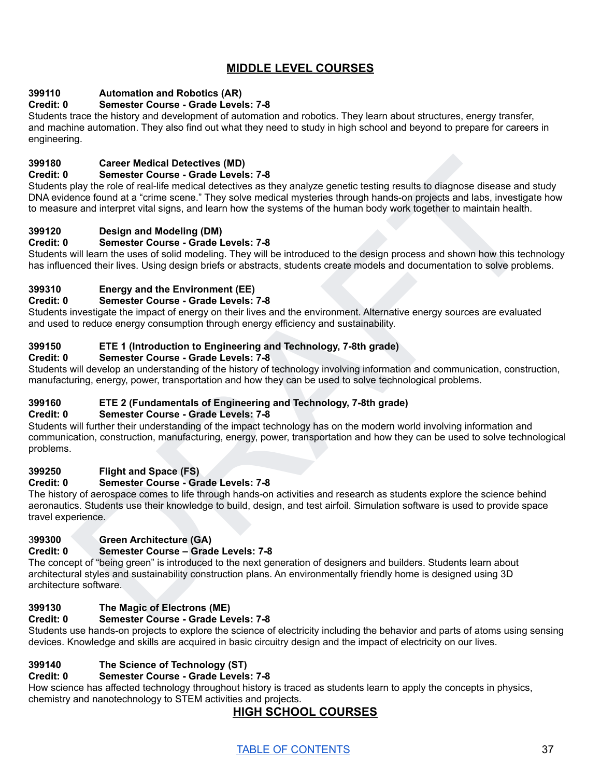# **MIDDLE LEVEL COURSES**

# **399110 Automation and Robotics (AR)**

# **Credit: 0 Semester Course - Grade Levels: 7-8**

Students trace the history and development of automation and robotics. They learn about structures, energy transfer, and machine automation. They also find out what they need to study in high school and beyond to prepare for careers in engineering.

# **399180 Career Medical Detectives (MD)**

#### **Credit: 0 Semester Course - Grade Levels: 7-8**

Carer Medical Detectives (MD)<br>
Samestive Course - Grade Levels: 7-8<br>
Samestive Course - Grade Levels: 7-8<br>
ence formal all medical detectives as they analyze genetic testing results to diagnose disease and study<br>
per color Students play the role of real-life medical detectives as they analyze genetic testing results to diagnose disease and study DNA evidence found at a "crime scene." They solve medical mysteries through hands-on projects and labs, investigate how to measure and interpret vital signs, and learn how the systems of the human body work together to maintain health.

# **399120 Design and Modeling (DM)**

# **Credit: 0 Semester Course - Grade Levels: 7-8**

Students will learn the uses of solid modeling. They will be introduced to the design process and shown how this technology has influenced their lives. Using design briefs or abstracts, students create models and documentation to solve problems.

# **399310 Energy and the Environment (EE)**

#### **Credit: 0 Semester Course - Grade Levels: 7-8**

Students investigate the impact of energy on their lives and the environment. Alternative energy sources are evaluated and used to reduce energy consumption through energy efficiency and sustainability.

# **399150 ETE 1 (Introduction to Engineering and Technology, 7-8th grade)**

# **Credit: 0 Semester Course - Grade Levels: 7-8**

Students will develop an understanding of the history of technology involving information and communication, construction, manufacturing, energy, power, transportation and how they can be used to solve technological problems.

# **399160 ETE 2 (Fundamentals of Engineering and Technology, 7-8th grade)**

# **Credit: 0 Semester Course - Grade Levels: 7-8**

Students will further their understanding of the impact technology has on the modern world involving information and communication, construction, manufacturing, energy, power, transportation and how they can be used to solve technological problems.

# **399250 Flight and Space (FS)**

# **Credit: 0 Semester Course - Grade Levels: 7-8**

The history of aerospace comes to life through hands-on activities and research as students explore the science behind aeronautics. Students use their knowledge to build, design, and test airfoil. Simulation software is used to provide space travel experience.

# 3**99300 Green Architecture (GA)**

# **Credit: 0 Semester Course – Grade Levels: 7-8**

The concept of "being green" is introduced to the next generation of designers and builders. Students learn about architectural styles and sustainability construction plans. An environmentally friendly home is designed using 3D architecture software.

# **399130 The Magic of Electrons (ME)**

# **Credit: 0 Semester Course - Grade Levels: 7-8**

Students use hands-on projects to explore the science of electricity including the behavior and parts of atoms using sensing devices. Knowledge and skills are acquired in basic circuitry design and the impact of electricity on our lives.

# **399140 The Science of Technology (ST)**

# **Credit: 0 Semester Course - Grade Levels: 7-8**

How science has affected technology throughout history is traced as students learn to apply the concepts in physics, chemistry and nanotechnology to STEM activities and projects.

# **HIGH SCHOOL COURSES**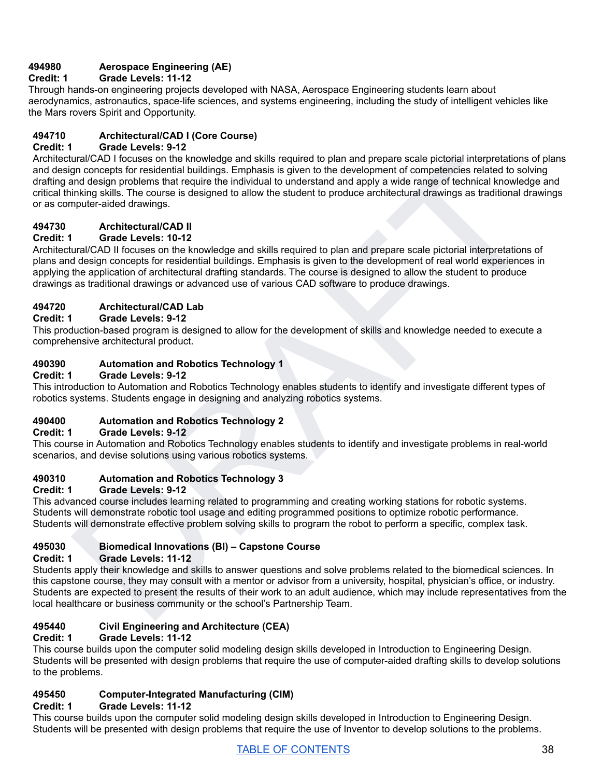# **494980 Aerospace Engineering (AE)**

# **Credit: 1 Grade Levels: 11-12**

Through hands-on engineering projects developed with NASA, Aerospace Engineering students learn about aerodynamics, astronautics, space-life sciences, and systems engineering, including the study of intelligent vehicles like the Mars rovers Spirit and Opportunity.

# **494710 Architectural/CAD I (Core Course)**

# **Credit: 1 Grade Levels: 9-12**

Unrate CAD I house on the knowledge and skills required to plan and prepare scale plotoial informerations of process for ensidertal buildings. Emphasis is given to the development of competencies related to solving<br>an conc Architectural/CAD I focuses on the knowledge and skills required to plan and prepare scale pictorial interpretations of plans and design concepts for residential buildings. Emphasis is given to the development of competencies related to solving drafting and design problems that require the individual to understand and apply a wide range of technical knowledge and critical thinking skills. The course is designed to allow the student to produce architectural drawings as traditional drawings or as computer-aided drawings.

# **494730 Architectural/CAD II**

# **Credit: 1 Grade Levels: 10-12**

Architectural/CAD II focuses on the knowledge and skills required to plan and prepare scale pictorial interpretations of plans and design concepts for residential buildings. Emphasis is given to the development of real world experiences in applying the application of architectural drafting standards. The course is designed to allow the student to produce drawings as traditional drawings or advanced use of various CAD software to produce drawings.

# **494720 Architectural/CAD Lab**

# **Credit: 1 Grade Levels: 9-12**

This production-based program is designed to allow for the development of skills and knowledge needed to execute a comprehensive architectural product.

# **490390 Automation and Robotics Technology 1**

# **Credit: 1 Grade Levels: 9-12**

This introduction to Automation and Robotics Technology enables students to identify and investigate different types of robotics systems. Students engage in designing and analyzing robotics systems.

# **490400 Automation and Robotics Technology 2**

# **Credit: 1 Grade Levels: 9-12**

This course in Automation and Robotics Technology enables students to identify and investigate problems in real-world scenarios, and devise solutions using various robotics systems.

# **490310 Automation and Robotics Technology 3**

# **Credit: 1 Grade Levels: 9-12**

This advanced course includes learning related to programming and creating working stations for robotic systems. Students will demonstrate robotic tool usage and editing programmed positions to optimize robotic performance. Students will demonstrate effective problem solving skills to program the robot to perform a specific, complex task.

# **495030 Biomedical Innovations (BI) – Capstone Course**

# **Credit: 1 Grade Levels: 11-12**

Students apply their knowledge and skills to answer questions and solve problems related to the biomedical sciences. In this capstone course, they may consult with a mentor or advisor from a university, hospital, physician's office, or industry. Students are expected to present the results of their work to an adult audience, which may include representatives from the local healthcare or business community or the school's Partnership Team.

# **495440 Civil Engineering and Architecture (CEA)**

# **Credit: 1 Grade Levels: 11-12**

This course builds upon the computer solid modeling design skills developed in Introduction to Engineering Design. Students will be presented with design problems that require the use of computer-aided drafting skills to develop solutions to the problems.

# **495450 Computer-Integrated Manufacturing (CIM)**

# **Credit: 1 Grade Levels: 11-12**

This course builds upon the computer solid modeling design skills developed in Introduction to Engineering Design. Students will be presented with design problems that require the use of Inventor to develop solutions to the problems.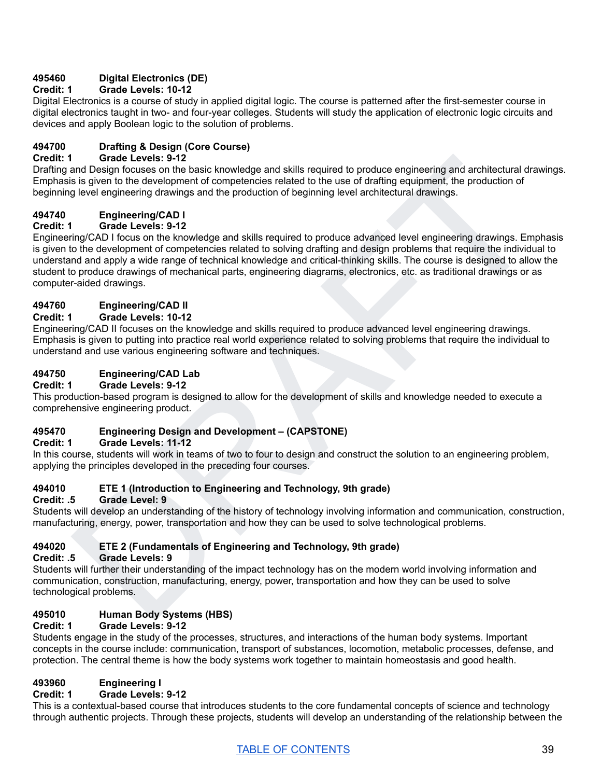# **495460 Digital Electronics (DE)**

# **Credit: 1 Grade Levels: 10-12**

Digital Electronics is a course of study in applied digital logic. The course is patterned after the first-semester course in digital electronics taught in two- and four-year colleges. Students will study the application of electronic logic circuits and devices and apply Boolean logic to the solution of problems.

# **494700 Drafting & Design (Core Course)**

#### **Credit: 1 Grade Levels: 9-12**

Drafting and Design focuses on the basic knowledge and skills required to produce engineering and architectural drawings. Emphasis is given to the development of competencies related to the use of drafting equipment, the production of beginning level engineering drawings and the production of beginning level architectural drawings.

#### **494740 Engineering/CAD I**

# **Credit: 1 Grade Levels: 9-12**

1 Grade Levels 9-12<br>and Design focuses on the basic knowledge and skills required to produce engineering and architectural drawings.<br>Bis by level to the development of completendes related to the use of draming equipment, Engineering/CAD I focus on the knowledge and skills required to produce advanced level engineering drawings. Emphasis is given to the development of competencies related to solving drafting and design problems that require the individual to understand and apply a wide range of technical knowledge and critical-thinking skills. The course is designed to allow the student to produce drawings of mechanical parts, engineering diagrams, electronics, etc. as traditional drawings or as computer-aided drawings.

# **494760 Engineering/CAD II**

#### **Credit: 1 Grade Levels: 10-12**

Engineering/CAD II focuses on the knowledge and skills required to produce advanced level engineering drawings. Emphasis is given to putting into practice real world experience related to solving problems that require the individual to understand and use various engineering software and techniques.

# **494750 Engineering/CAD Lab**

#### **Credit: 1 Grade Levels: 9-12**

This production-based program is designed to allow for the development of skills and knowledge needed to execute a comprehensive engineering product.

# **495470 Engineering Design and Development – (CAPSTONE)**

#### **Credit: 1 Grade Levels: 11-12**

In this course, students will work in teams of two to four to design and construct the solution to an engineering problem, applying the principles developed in the preceding four courses.

# **494010 ETE 1 (Introduction to Engineering and Technology, 9th grade)**

#### **Credit: .5 Grade Level: 9**

Students will develop an understanding of the history of technology involving information and communication, construction, manufacturing, energy, power, transportation and how they can be used to solve technological problems.

# **494020 ETE 2 (Fundamentals of Engineering and Technology, 9th grade)**

#### **Credit: .5 Grade Levels: 9**

Students will further their understanding of the impact technology has on the modern world involving information and communication, construction, manufacturing, energy, power, transportation and how they can be used to solve technological problems.

# **495010 Human Body Systems (HBS)**

# **Credit: 1 Grade Levels: 9-12**

Students engage in the study of the processes, structures, and interactions of the human body systems. Important concepts in the course include: communication, transport of substances, locomotion, metabolic processes, defense, and protection. The central theme is how the body systems work together to maintain homeostasis and good health.

# **493960 Engineering I**

# **Credit: 1 Grade Levels: 9-12**

This is a contextual-based course that introduces students to the core fundamental concepts of science and technology through authentic projects. Through these projects, students will develop an understanding of the relationship between the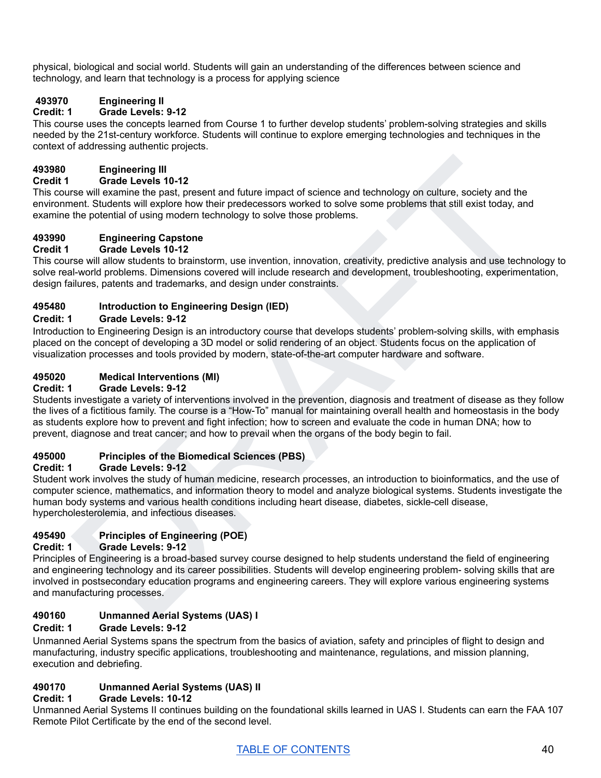physical, biological and social world. Students will gain an understanding of the differences between science and technology, and learn that technology is a process for applying science

# **493970 Engineering II**

# **Credit: 1 Grade Levels: 9-12**

This course uses the concepts learned from Course 1 to further develop students' problem-solving strategies and skills needed by the 21st-century workforce. Students will continue to explore emerging technologies and techniques in the context of addressing authentic projects.

# **493980 Engineering III**

# **Credit 1 Grade Levels 10-12**

This course will examine the past, present and future impact of science and technology on culture, society and the environment. Students will explore how their predecessors worked to solve some problems that still exist today, and examine the potential of using modern technology to solve those problems.

# **493990 Engineering Capstone**

# **Credit 1 Grade Levels 10-12**

This course will allow students to brainstorm, use invention, innovation, creativity, predictive analysis and use technology to solve real-world problems. Dimensions covered will include research and development, troubleshooting, experimentation, design failures, patents and trademarks, and design under constraints.

# **495480 Introduction to Engineering Design (IED)**

# **Credit: 1 Grade Levels: 9-12**

Introduction to Engineering Design is an introductory course that develops students' problem-solving skills, with emphasis placed on the concept of developing a 3D model or solid rendering of an object. Students focus on the application of visualization processes and tools provided by modern, state-of-the-art computer hardware and software.

# **495020 Medical Interventions (MI)**

#### **Credit: 1 Grade Levels: 9-12**

Engineering III<br>
The will examine the past, present and future impact of science and technology on culture, society and the<br>
term in somme the past, present and future impact of science some problems that still exist today Students investigate a variety of interventions involved in the prevention, diagnosis and treatment of disease as they follow the lives of a fictitious family. The course is a "How-To" manual for maintaining overall health and homeostasis in the body as students explore how to prevent and fight infection; how to screen and evaluate the code in human DNA; how to prevent, diagnose and treat cancer; and how to prevail when the organs of the body begin to fail.

# **495000 Principles of the Biomedical Sciences (PBS)**

# **Credit: 1 Grade Levels: 9-12**

Student work involves the study of human medicine, research processes, an introduction to bioinformatics, and the use of computer science, mathematics, and information theory to model and analyze biological systems. Students investigate the human body systems and various health conditions including heart disease, diabetes, sickle-cell disease, hypercholesterolemia, and infectious diseases.

# **495490 Principles of Engineering (POE)**

# **Credit: 1 Grade Levels: 9-12**

Principles of Engineering is a broad-based survey course designed to help students understand the field of engineering and engineering technology and its career possibilities. Students will develop engineering problem- solving skills that are involved in postsecondary education programs and engineering careers. They will explore various engineering systems and manufacturing processes.

# **490160 Unmanned Aerial Systems (UAS) I**

# **Credit: 1 Grade Levels: 9-12**

Unmanned Aerial Systems spans the spectrum from the basics of aviation, safety and principles of flight to design and manufacturing, industry specific applications, troubleshooting and maintenance, regulations, and mission planning, execution and debriefing.

# **490170 Unmanned Aerial Systems (UAS) II**

# **Credit: 1 Grade Levels: 10-12**

Unmanned Aerial Systems II continues building on the foundational skills learned in UAS I. Students can earn the FAA 107 Remote Pilot Certificate by the end of the second level.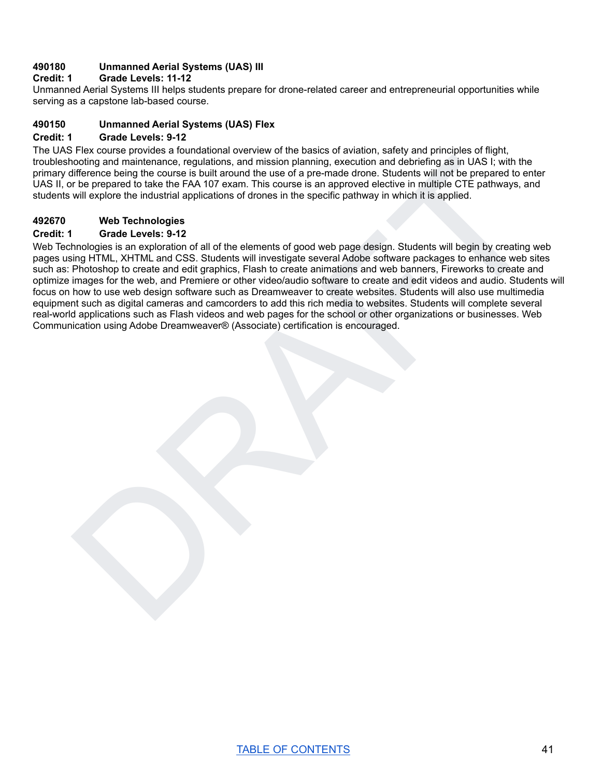# **490180 Unmanned Aerial Systems (UAS) III**

#### **Credit: 1 Grade Levels: 11-12**

Unmanned Aerial Systems III helps students prepare for drone-related career and entrepreneurial opportunities while serving as a capstone lab-based course.

#### **490150 Unmanned Aerial Systems (UAS) Flex**

#### **Credit: 1 Grade Levels: 9-12**

The UAS Flex course provides a foundational overview of the basics of aviation, safety and principles of flight, troubleshooting and maintenance, regulations, and mission planning, execution and debriefing as in UAS I; with the primary difference being the course is built around the use of a pre-made drone. Students will not be prepared to enter UAS II, or be prepared to take the FAA 107 exam. This course is an approved elective in multiple CTE pathways, and students will explore the industrial applications of drones in the specific pathway in which it is applied.

#### **492670 Web Technologies**

#### **Credit: 1 Grade Levels: 9-12**

noting and maintenance, requisitors, and massive planning, oveculon and debtriefing as in UAS II with the<br>difference being the course is built smooth the use of a pre-made drone. Students will not be prepared to enter<br>the Web Technologies is an exploration of all of the elements of good web page design. Students will begin by creating web pages using HTML, XHTML and CSS. Students will investigate several Adobe software packages to enhance web sites such as: Photoshop to create and edit graphics, Flash to create animations and web banners, Fireworks to create and optimize images for the web, and Premiere or other video/audio software to create and edit videos and audio. Students will focus on how to use web design software such as Dreamweaver to create websites. Students will also use multimedia equipment such as digital cameras and camcorders to add this rich media to websites. Students will complete several real-world applications such as Flash videos and web pages for the school or other organizations or businesses. Web Communication using Adobe Dreamweaver® (Associate) certification is encouraged.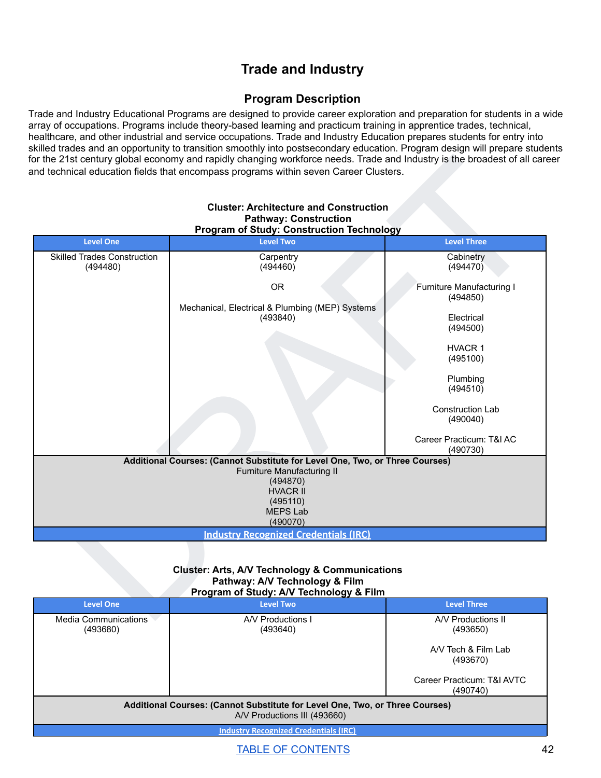# **Trade and Industry**

# **Program Description**

Trade and Industry Educational Programs are designed to provide career exploration and preparation for students in a wide array of occupations. Programs include theory-based learning and practicum training in apprentice trades, technical, healthcare, and other industrial and service occupations. Trade and Industry Education prepares students for entry into skilled trades and an opportunity to transition smoothly into postsecondary education. Program design will prepare students for the 21st century global economy and rapidly changing workforce needs. Trade and Industry is the broadest of all career and technical education fields that encompass programs within seven Career Clusters.

|                                                | <b>Cluster: Architecture and Construction</b><br><b>Pathway: Construction</b><br><b>Program of Study: Construction Technology</b>                                                    |                                       |  |
|------------------------------------------------|--------------------------------------------------------------------------------------------------------------------------------------------------------------------------------------|---------------------------------------|--|
| <b>Level One</b>                               | <b>Level Two</b>                                                                                                                                                                     | <b>Level Three</b>                    |  |
| <b>Skilled Trades Construction</b><br>(494480) | Carpentry<br>(494460)                                                                                                                                                                | Cabinetry<br>(494470)                 |  |
|                                                | <b>OR</b>                                                                                                                                                                            | Furniture Manufacturing I<br>(494850) |  |
|                                                | Mechanical, Electrical & Plumbing (MEP) Systems<br>(493840)                                                                                                                          | Electrical<br>(494500)                |  |
|                                                |                                                                                                                                                                                      | HVACR 1<br>(495100)                   |  |
|                                                |                                                                                                                                                                                      | Plumbing<br>(494510)                  |  |
|                                                |                                                                                                                                                                                      | Construction Lab<br>(490040)          |  |
|                                                |                                                                                                                                                                                      | Career Practicum: T&I AC<br>(490730)  |  |
|                                                | Additional Courses: (Cannot Substitute for Level One, Two, or Three Courses)<br>Furniture Manufacturing II<br>(494870)<br><b>HVACR II</b><br>(495110)<br><b>MEPS Lab</b><br>(490070) |                                       |  |
| <b>Industry Recognized Credentials (IRC)</b>   |                                                                                                                                                                                      |                                       |  |
|                                                | <b>Cluster: Arts, A/V Technology &amp; Communications</b><br>Pathway: A/V Technology & Film<br>Program of Study: A/V Technology & Film                                               |                                       |  |
| <b>Level One</b>                               | <b>Level Two</b>                                                                                                                                                                     | <b>Level Three</b>                    |  |
|                                                | AN Productions I                                                                                                                                                                     | AA/ Productions II                    |  |

#### **Cluster: Architecture and Construction Pathway: Construction Program of Study: Construction Technology**

#### **Cluster: Arts, A/V Technology & Communications Pathway: A/V Technology & Film Program of Study: A/V Technology & Film**

| <b>Level One</b>                                                                                             | <b>Level Two</b>              | <b>Level Three</b>                     |
|--------------------------------------------------------------------------------------------------------------|-------------------------------|----------------------------------------|
| <b>Media Communications</b><br>(493680)                                                                      | A/V Productions I<br>(493640) | A/V Productions II<br>(493650)         |
|                                                                                                              |                               | A/V Tech & Film Lab<br>(493670)        |
|                                                                                                              |                               | Career Practicum: T&I AVTC<br>(490740) |
| Additional Courses: (Cannot Substitute for Level One, Two, or Three Courses)<br>A/V Productions III (493660) |                               |                                        |
| <b>Industry Recognized Credentials (IRC)</b>                                                                 |                               |                                        |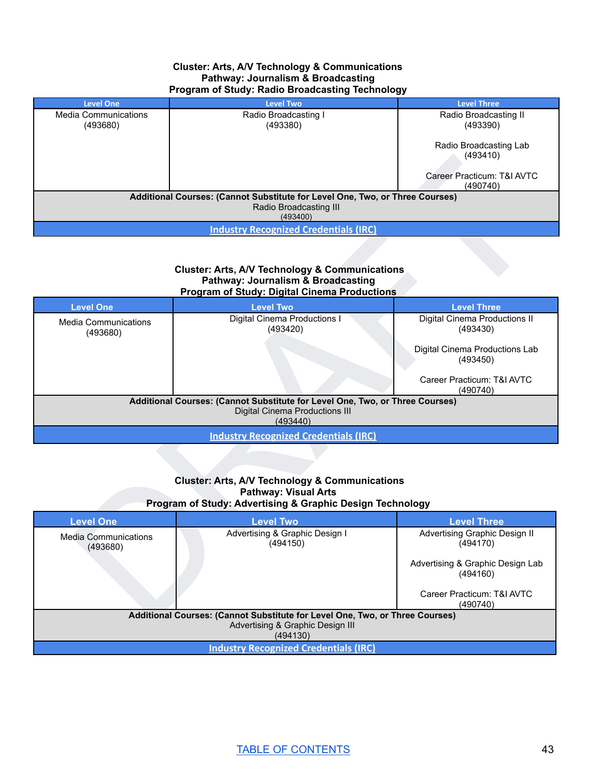#### **Cluster: Arts, A/V Technology & Communications Pathway: Journalism & Broadcasting Program of Study: Radio Broadcasting Technology**

| <b>Level One</b>                                                             | <b>Level Two</b>                             | <b>Level Three</b>         |  |
|------------------------------------------------------------------------------|----------------------------------------------|----------------------------|--|
| <b>Media Communications</b>                                                  | Radio Broadcasting I                         | Radio Broadcasting II      |  |
| (493680)                                                                     | (493380)                                     | (493390)                   |  |
|                                                                              |                                              |                            |  |
|                                                                              |                                              | Radio Broadcasting Lab     |  |
|                                                                              |                                              | (493410)                   |  |
|                                                                              |                                              |                            |  |
|                                                                              |                                              | Career Practicum: T&I AVTC |  |
|                                                                              |                                              | (490740)                   |  |
| Additional Courses: (Cannot Substitute for Level One, Two, or Three Courses) |                                              |                            |  |
| Radio Broadcasting III                                                       |                                              |                            |  |
| (493400)                                                                     |                                              |                            |  |
|                                                                              | <b>Industry Recognized Credentials (IRC)</b> |                            |  |

#### **Cluster: Arts, A/V Technology & Communications Pathway: Journalism & Broadcasting Program of Study: Digital Cinema Productions**

| Career Practicum: T&I AVTC<br>(490740)<br>Additional Courses: (Cannot Substitute for Level One, Two, or Three Courses)<br>Radio Broadcasting III<br>(493400)<br><b>Industry Recognized Credentials (IRC)</b><br><b>Cluster: Arts, A/V Technology &amp; Communications</b><br><b>Pathway: Journalism &amp; Broadcasting</b><br><b>Program of Study: Digital Cinema Productions</b><br><b>Level One</b><br><b>Level Two</b><br><b>Level Three</b><br>Digital Cinema Productions I<br>Digital Cinema Productions II<br><b>Media Communications</b><br>(493420)<br>(493430)<br>(493680)<br>Digital Cinema Productions Lab<br>(493450)<br>Career Practicum: T&I AVTC<br>(490740)<br>Additional Courses: (Cannot Substitute for Level One, Two, or Three Courses)<br><b>Digital Cinema Productions III</b><br>(493440)<br><b>Industry Recognized Credentials (IRC)</b><br><b>Cluster: Arts, A/V Technology &amp; Communications</b><br><b>Pathway: Visual Arts</b><br>Program of Study: Advertising & Graphic Design Technology<br><b>Level One</b><br><b>Level Two</b><br><b>Level Three</b><br>Advertising & Graphic Design I<br>Advertising Graphic Design II<br><b>Media Communications</b><br>(494150)<br>(494170)<br>(493680)<br>Advertising & Graphic Design Lab<br>(494160)<br>Career Practicum: T&I AVTC<br>(490740)<br>Additional Courses: (Cannot Substitute for Level One, Two, or Three Courses) |  |  | (493410) |
|---------------------------------------------------------------------------------------------------------------------------------------------------------------------------------------------------------------------------------------------------------------------------------------------------------------------------------------------------------------------------------------------------------------------------------------------------------------------------------------------------------------------------------------------------------------------------------------------------------------------------------------------------------------------------------------------------------------------------------------------------------------------------------------------------------------------------------------------------------------------------------------------------------------------------------------------------------------------------------------------------------------------------------------------------------------------------------------------------------------------------------------------------------------------------------------------------------------------------------------------------------------------------------------------------------------------------------------------------------------------------------------------------------|--|--|----------|
|                                                                                                                                                                                                                                                                                                                                                                                                                                                                                                                                                                                                                                                                                                                                                                                                                                                                                                                                                                                                                                                                                                                                                                                                                                                                                                                                                                                                         |  |  |          |
|                                                                                                                                                                                                                                                                                                                                                                                                                                                                                                                                                                                                                                                                                                                                                                                                                                                                                                                                                                                                                                                                                                                                                                                                                                                                                                                                                                                                         |  |  |          |
|                                                                                                                                                                                                                                                                                                                                                                                                                                                                                                                                                                                                                                                                                                                                                                                                                                                                                                                                                                                                                                                                                                                                                                                                                                                                                                                                                                                                         |  |  |          |
|                                                                                                                                                                                                                                                                                                                                                                                                                                                                                                                                                                                                                                                                                                                                                                                                                                                                                                                                                                                                                                                                                                                                                                                                                                                                                                                                                                                                         |  |  |          |
|                                                                                                                                                                                                                                                                                                                                                                                                                                                                                                                                                                                                                                                                                                                                                                                                                                                                                                                                                                                                                                                                                                                                                                                                                                                                                                                                                                                                         |  |  |          |
|                                                                                                                                                                                                                                                                                                                                                                                                                                                                                                                                                                                                                                                                                                                                                                                                                                                                                                                                                                                                                                                                                                                                                                                                                                                                                                                                                                                                         |  |  |          |
|                                                                                                                                                                                                                                                                                                                                                                                                                                                                                                                                                                                                                                                                                                                                                                                                                                                                                                                                                                                                                                                                                                                                                                                                                                                                                                                                                                                                         |  |  |          |
|                                                                                                                                                                                                                                                                                                                                                                                                                                                                                                                                                                                                                                                                                                                                                                                                                                                                                                                                                                                                                                                                                                                                                                                                                                                                                                                                                                                                         |  |  |          |
|                                                                                                                                                                                                                                                                                                                                                                                                                                                                                                                                                                                                                                                                                                                                                                                                                                                                                                                                                                                                                                                                                                                                                                                                                                                                                                                                                                                                         |  |  |          |
|                                                                                                                                                                                                                                                                                                                                                                                                                                                                                                                                                                                                                                                                                                                                                                                                                                                                                                                                                                                                                                                                                                                                                                                                                                                                                                                                                                                                         |  |  |          |
|                                                                                                                                                                                                                                                                                                                                                                                                                                                                                                                                                                                                                                                                                                                                                                                                                                                                                                                                                                                                                                                                                                                                                                                                                                                                                                                                                                                                         |  |  |          |
|                                                                                                                                                                                                                                                                                                                                                                                                                                                                                                                                                                                                                                                                                                                                                                                                                                                                                                                                                                                                                                                                                                                                                                                                                                                                                                                                                                                                         |  |  |          |
|                                                                                                                                                                                                                                                                                                                                                                                                                                                                                                                                                                                                                                                                                                                                                                                                                                                                                                                                                                                                                                                                                                                                                                                                                                                                                                                                                                                                         |  |  |          |
|                                                                                                                                                                                                                                                                                                                                                                                                                                                                                                                                                                                                                                                                                                                                                                                                                                                                                                                                                                                                                                                                                                                                                                                                                                                                                                                                                                                                         |  |  |          |
|                                                                                                                                                                                                                                                                                                                                                                                                                                                                                                                                                                                                                                                                                                                                                                                                                                                                                                                                                                                                                                                                                                                                                                                                                                                                                                                                                                                                         |  |  |          |
|                                                                                                                                                                                                                                                                                                                                                                                                                                                                                                                                                                                                                                                                                                                                                                                                                                                                                                                                                                                                                                                                                                                                                                                                                                                                                                                                                                                                         |  |  |          |

#### **Cluster: Arts, A/V Technology & Communications Pathway: Visual Arts Program of Study: Advertising & Graphic Design Technology**

| <b>Level One</b>                                                             | <b>Level Two</b>                             | <b>Level Three</b>                           |  |
|------------------------------------------------------------------------------|----------------------------------------------|----------------------------------------------|--|
| <b>Media Communications</b><br>(493680)                                      | Advertising & Graphic Design I<br>(494150)   | Advertising Graphic Design II<br>(494170)    |  |
|                                                                              |                                              | Advertising & Graphic Design Lab<br>(494160) |  |
|                                                                              |                                              | Career Practicum: T&I AVTC<br>(490740)       |  |
| Additional Courses: (Cannot Substitute for Level One, Two, or Three Courses) |                                              |                                              |  |
| Advertising & Graphic Design III                                             |                                              |                                              |  |
| (494130)                                                                     |                                              |                                              |  |
|                                                                              | <b>Industry Recognized Credentials (IRC)</b> |                                              |  |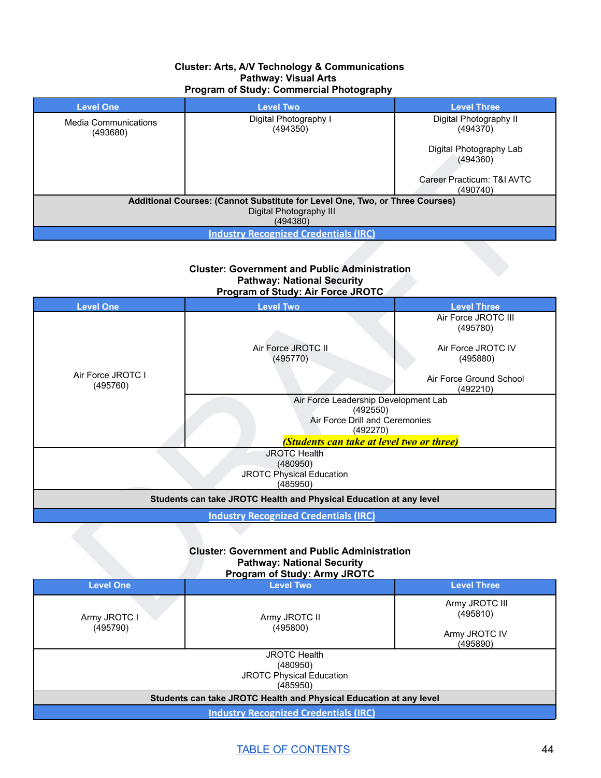#### **Cluster: Arts, A/V Technology & Communications Pathway: Visual Arts Program of Study: Commercial Photography**

| <b>Level One</b>                                                             | <b>Level Two</b>                             | <b>Level Three</b>                     |  |
|------------------------------------------------------------------------------|----------------------------------------------|----------------------------------------|--|
| <b>Media Communications</b><br>(493680)                                      | Digital Photography I<br>(494350)            | Digital Photography II<br>(494370)     |  |
|                                                                              |                                              | Digital Photography Lab<br>(494360)    |  |
|                                                                              |                                              | Career Practicum: T&I AVTC<br>(490740) |  |
| Additional Courses: (Cannot Substitute for Level One, Two, or Three Courses) |                                              |                                        |  |
| Digital Photography III                                                      |                                              |                                        |  |
| (494380)                                                                     |                                              |                                        |  |
|                                                                              | <b>Industry Recognized Credentials (IRC)</b> |                                        |  |

|                               |                                                                                                                                             | (494360)                               |
|-------------------------------|---------------------------------------------------------------------------------------------------------------------------------------------|----------------------------------------|
|                               |                                                                                                                                             | Career Practicum: T&I AVTC<br>(490740) |
|                               | Additional Courses: (Cannot Substitute for Level One, Two, or Three Courses)<br>Digital Photography III<br>(494380)                         |                                        |
|                               | <b>Industry Recognized Credentials (IRC)</b>                                                                                                |                                        |
|                               | <b>Cluster: Government and Public Administration</b><br><b>Pathway: National Security</b><br>Program of Study: Air Force JROTC              |                                        |
| <b>Level One</b>              | <b>Level Two</b>                                                                                                                            | <b>Level Three</b>                     |
|                               |                                                                                                                                             | Air Force JROTC III<br>(495780)        |
|                               | Air Force JROTC II<br>(495770)                                                                                                              | Air Force JROTC IV<br>(495880)         |
| Air Force JROTC I<br>(495760) |                                                                                                                                             | Air Force Ground School<br>(492210)    |
|                               | Air Force Leadership Development Lab<br>(492550)<br>Air Force Drill and Ceremonies<br>(492270)<br>(Students can take at level two or three) |                                        |
|                               | <b>JROTC Health</b><br>(480950)<br><b>JROTC Physical Education</b><br>(485950)                                                              |                                        |
|                               | Students can take JROTC Health and Physical Education at any level                                                                          |                                        |
|                               | <b>Industry Recognized Credentials (IRC)</b>                                                                                                |                                        |
|                               | <b>Cluster: Government and Public Administration</b><br><b>Pathway: National Security</b>                                                   |                                        |
|                               | <b>Program of Study: Army JROTC</b>                                                                                                         |                                        |
| <b>Level One</b>              | <b>Level Two</b>                                                                                                                            | <b>Level Three</b>                     |
| Army JROTC I                  | Army JROTC II                                                                                                                               | Army JROTC III<br>(495810)             |

#### **Cluster: Government and Public Administration Pathway: National Security Program of Study: Army JROTC**

| <b>Level One</b>                                                   | <b>Level Two</b>                             | <b>Level Three</b>                                      |
|--------------------------------------------------------------------|----------------------------------------------|---------------------------------------------------------|
| Army JROTC I<br>(495790)                                           | Army JROTC II<br>(495800)                    | Army JROTC III<br>(495810)<br>Army JROTC IV<br>(495890) |
|                                                                    | <b>JROTC Health</b>                          |                                                         |
|                                                                    | (480950)                                     |                                                         |
| <b>JROTC Physical Education</b>                                    |                                              |                                                         |
|                                                                    | (485950)                                     |                                                         |
| Students can take JROTC Health and Physical Education at any level |                                              |                                                         |
|                                                                    | <b>Industry Recognized Credentials (IRC)</b> |                                                         |

# TABLE OF [CONTENTS](#page-1-0) 44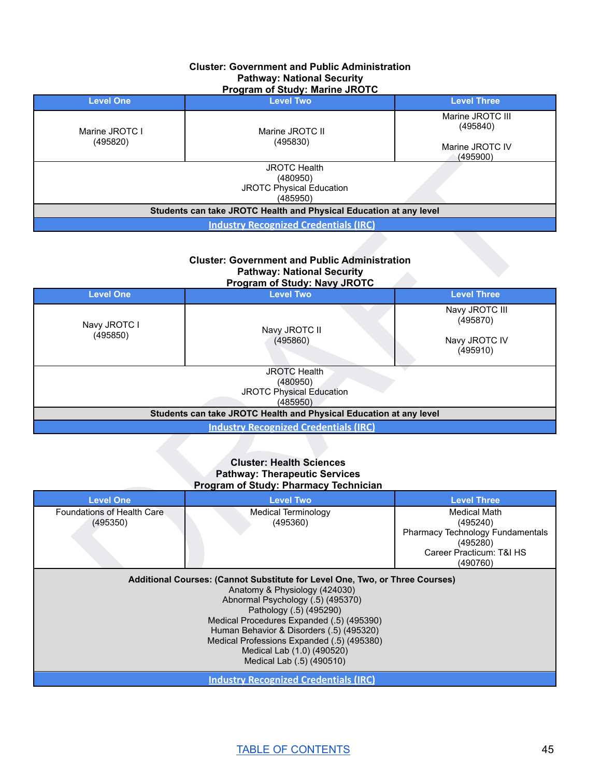#### **Cluster: Government and Public Administration Pathway: National Security Program of Study: Marine JROTC**

| <b>Level One</b>                                                               | <b>Level Two</b>            | <b>Level Three</b>                                          |
|--------------------------------------------------------------------------------|-----------------------------|-------------------------------------------------------------|
| Marine JROTC I<br>(495820)                                                     | Marine JROTC II<br>(495830) | Marine JROTC III<br>(495840)<br>Marine JROTC IV<br>(495900) |
| <b>JROTC Health</b><br>(480950)<br><b>JROTC Physical Education</b><br>(485950) |                             |                                                             |
| Students can take JROTC Health and Physical Education at any level             |                             |                                                             |
| <b>Industry Recognized Credentials (IRC)</b>                                   |                             |                                                             |

#### **Cluster: Government and Public Administration Pathway: National Security Program of Study: Navy JROTC**

|                                                |                                                                                                                                                                                                                           | (495900)                                                                                         |
|------------------------------------------------|---------------------------------------------------------------------------------------------------------------------------------------------------------------------------------------------------------------------------|--------------------------------------------------------------------------------------------------|
|                                                | <b>JROTC Health</b><br>(480950)<br><b>JROTC Physical Education</b><br>(485950)                                                                                                                                            |                                                                                                  |
|                                                | Students can take JROTC Health and Physical Education at any level                                                                                                                                                        |                                                                                                  |
|                                                | <b>Industry Recognized Credentials (IRC)</b>                                                                                                                                                                              |                                                                                                  |
|                                                | <b>Cluster: Government and Public Administration</b><br><b>Pathway: National Security</b><br><b>Program of Study: Navy JROTC</b>                                                                                          |                                                                                                  |
| <b>Level One</b>                               | <b>Level Two</b>                                                                                                                                                                                                          | <b>Level Three</b>                                                                               |
| Navy JROTC I<br>(495850)                       | Navy JROTC II<br>(495860)                                                                                                                                                                                                 | Navy JROTC III<br>(495870)<br>Navy JROTC IV<br>(495910)                                          |
|                                                | <b>JROTC Health</b><br>(480950)<br><b>JROTC Physical Education</b><br>(485950)<br>Students can take JROTC Health and Physical Education at any level                                                                      |                                                                                                  |
|                                                | <b>Industry Recognized Credentials (IRC)</b>                                                                                                                                                                              |                                                                                                  |
|                                                | <b>Cluster: Health Sciences</b><br><b>Pathway: Therapeutic Services</b><br>Program of Study: Pharmacy Technician                                                                                                          |                                                                                                  |
| <b>Level One</b><br>Foundations of Health Care | <b>Level Two</b><br><b>Medical Terminology</b>                                                                                                                                                                            | <b>Level Three</b><br><b>Medical Math</b>                                                        |
| (495350)                                       | (495360)                                                                                                                                                                                                                  | (495240)<br>Pharmacy Technology Fundamentals<br>(495280)<br>Career Practicum: T&I HS<br>(490760) |
|                                                | Additional Courses: (Cannot Substitute for Level One, Two, or Three Courses)<br>Anatomy & Physiology (424030)<br>Abnormal Psychology (.5) (495370)<br>Pathology (.5) (495290)<br>Modical Procedures Expanded (5) (405300) |                                                                                                  |

#### **Cluster: Health Sciences Pathway: Therapeutic Services Program of Study: Pharmacy Technician**

| <b>Level One</b>           | <b>Level Two</b>                                                                                                                                                                                                                                                                                                                                                                | <b>Level Three</b>               |  |
|----------------------------|---------------------------------------------------------------------------------------------------------------------------------------------------------------------------------------------------------------------------------------------------------------------------------------------------------------------------------------------------------------------------------|----------------------------------|--|
| Foundations of Health Care | Medical Terminology                                                                                                                                                                                                                                                                                                                                                             | <b>Medical Math</b>              |  |
| (495350)                   | (495360)                                                                                                                                                                                                                                                                                                                                                                        | (495240)                         |  |
|                            |                                                                                                                                                                                                                                                                                                                                                                                 | Pharmacy Technology Fundamentals |  |
|                            |                                                                                                                                                                                                                                                                                                                                                                                 | (495280)                         |  |
|                            |                                                                                                                                                                                                                                                                                                                                                                                 | Career Practicum: T&I HS         |  |
|                            |                                                                                                                                                                                                                                                                                                                                                                                 | (490760)                         |  |
|                            | Additional Courses: (Cannot Substitute for Level One, Two, or Three Courses)<br>Anatomy & Physiology (424030)<br>Abnormal Psychology (.5) (495370)<br>Pathology (.5) (495290)<br>Medical Procedures Expanded (.5) (495390)<br>Human Behavior & Disorders (.5) (495320)<br>Medical Professions Expanded (.5) (495380)<br>Medical Lab (1.0) (490520)<br>Medical Lab (.5) (490510) |                                  |  |
|                            | <b>Industry Recognized Credentials (IRC)</b>                                                                                                                                                                                                                                                                                                                                    |                                  |  |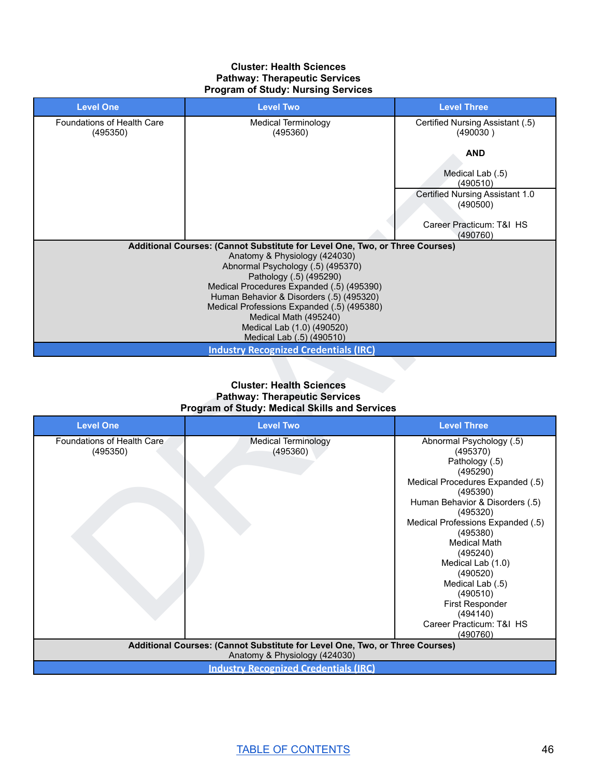#### **Cluster: Health Sciences Pathway: Therapeutic Services Program of Study: Nursing Services**

| <b>Level One</b>                       | <b>Level Two</b>                                                                                                                                                                                                                                                                                                                              | <b>Level Three</b>                                      |
|----------------------------------------|-----------------------------------------------------------------------------------------------------------------------------------------------------------------------------------------------------------------------------------------------------------------------------------------------------------------------------------------------|---------------------------------------------------------|
| Foundations of Health Care<br>(495350) | Medical Terminology<br>(495360)                                                                                                                                                                                                                                                                                                               | Certified Nursing Assistant (.5)<br>(490030)            |
|                                        |                                                                                                                                                                                                                                                                                                                                               | <b>AND</b><br>Medical Lab (.5)                          |
|                                        |                                                                                                                                                                                                                                                                                                                                               | (490510)<br>Certified Nursing Assistant 1.0<br>(490500) |
|                                        |                                                                                                                                                                                                                                                                                                                                               | Career Practicum: T&I HS<br>(490760)                    |
|                                        | Additional Courses: (Cannot Substitute for Level One, Two, or Three Courses)<br>Anatomy & Physiology (424030)<br>Abnormal Psychology (.5) (495370)<br>Pathology (.5) (495290)<br>Medical Procedures Expanded (.5) (495390)<br>Human Behavior & Disorders (.5) (495320)<br>Medical Professions Expanded (.5) (495380)<br>Medical Math (495240) |                                                         |
|                                        | Medical Lab (1.0) (490520)<br>Medical Lab (.5) (490510)                                                                                                                                                                                                                                                                                       |                                                         |
|                                        | <b>Industry Recognized Credentials (IRC)</b>                                                                                                                                                                                                                                                                                                  |                                                         |

# **Cluster: Health Sciences Pathway: Therapeutic Services Program of Study: Medical Skills and Services**

|                            |                                                                                                               | AND                                         |
|----------------------------|---------------------------------------------------------------------------------------------------------------|---------------------------------------------|
|                            |                                                                                                               | Medical Lab (.5)                            |
|                            |                                                                                                               | (490510)                                    |
|                            |                                                                                                               | Certified Nursing Assistant 1.0<br>(490500) |
|                            |                                                                                                               | Career Practicum: T&I HS                    |
|                            |                                                                                                               | (490760)                                    |
|                            | Additional Courses: (Cannot Substitute for Level One, Two, or Three Courses)<br>Anatomy & Physiology (424030) |                                             |
|                            | Abnormal Psychology (.5) (495370)                                                                             |                                             |
|                            | Pathology (.5) (495290)                                                                                       |                                             |
|                            | Medical Procedures Expanded (.5) (495390)                                                                     |                                             |
|                            | Human Behavior & Disorders (.5) (495320)                                                                      |                                             |
|                            | Medical Professions Expanded (.5) (495380)<br>Medical Math (495240)                                           |                                             |
|                            | Medical Lab (1.0) (490520)                                                                                    |                                             |
|                            | Medical Lab (.5) (490510)                                                                                     |                                             |
|                            | <b>Industry Recognized Credentials (IRC)</b>                                                                  |                                             |
|                            |                                                                                                               |                                             |
|                            |                                                                                                               |                                             |
|                            | <b>Cluster: Health Sciences</b>                                                                               |                                             |
|                            | <b>Pathway: Therapeutic Services</b>                                                                          |                                             |
|                            | <b>Program of Study: Medical Skills and Services</b>                                                          |                                             |
| <b>Level One</b>           |                                                                                                               |                                             |
|                            | <b>Level Two</b>                                                                                              | <b>Level Three</b>                          |
| Foundations of Health Care | <b>Medical Terminology</b>                                                                                    | Abnormal Psychology (.5)                    |
| (495350)                   | (495360)                                                                                                      | (495370)                                    |
|                            |                                                                                                               | Pathology (.5)                              |
|                            |                                                                                                               | (495290)                                    |
|                            |                                                                                                               | Medical Procedures Expanded (.5)            |
|                            |                                                                                                               | (495390)                                    |
|                            |                                                                                                               | Human Behavior & Disorders (.5)             |
|                            |                                                                                                               | (495320)                                    |
|                            |                                                                                                               | Medical Professions Expanded (.5)           |
|                            |                                                                                                               | (495380)<br><b>Medical Math</b>             |
|                            |                                                                                                               | (495240)                                    |
|                            |                                                                                                               | Medical Lab (1.0)                           |
|                            |                                                                                                               | (490520)                                    |
|                            |                                                                                                               | Medical Lab (.5)                            |
|                            |                                                                                                               | (490510)                                    |
|                            |                                                                                                               | <b>First Responder</b>                      |
|                            |                                                                                                               | (494140)                                    |
|                            |                                                                                                               | Career Practicum: T&I HS<br>(490760)        |
|                            | Additional Courses: (Cannot Substitute for Level One, Two, or Three Courses)                                  |                                             |
|                            | Anatomy & Physiology (424030)<br><b>Industry Recognized Credentials (IRC)</b>                                 |                                             |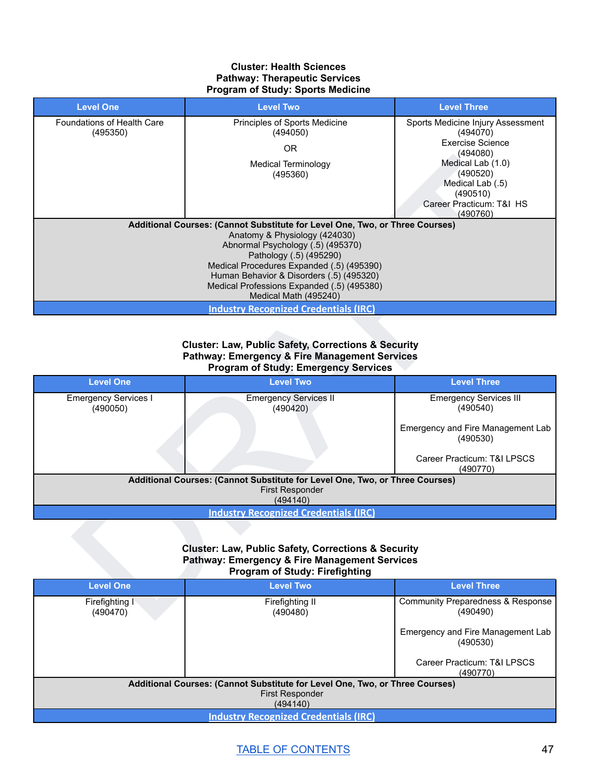#### **Cluster: Health Sciences Pathway: Therapeutic Services Program of Study: Sports Medicine**

| <b>Level One</b>                        | <b>Level Two</b>                                                                                                                                                    | <b>Level Three</b>                            |
|-----------------------------------------|---------------------------------------------------------------------------------------------------------------------------------------------------------------------|-----------------------------------------------|
| Foundations of Health Care              | Principles of Sports Medicine                                                                                                                                       | Sports Medicine Injury Assessment             |
| (495350)                                | (494050)                                                                                                                                                            | (494070)<br><b>Exercise Science</b>           |
|                                         | <b>OR</b>                                                                                                                                                           | (494080)                                      |
|                                         | <b>Medical Terminology</b>                                                                                                                                          | Medical Lab (1.0)<br>(490520)                 |
|                                         | (495360)                                                                                                                                                            | Medical Lab (.5)                              |
|                                         |                                                                                                                                                                     | (490510)                                      |
|                                         |                                                                                                                                                                     | Career Practicum: T&I HS<br>(490760)          |
|                                         | Additional Courses: (Cannot Substitute for Level One, Two, or Three Courses)                                                                                        |                                               |
|                                         | Anatomy & Physiology (424030)<br>Abnormal Psychology (.5) (495370)                                                                                                  |                                               |
|                                         | Pathology (.5) (495290)                                                                                                                                             |                                               |
|                                         | Medical Procedures Expanded (.5) (495390)                                                                                                                           |                                               |
|                                         | Human Behavior & Disorders (.5) (495320)<br>Medical Professions Expanded (.5) (495380)                                                                              |                                               |
|                                         | Medical Math (495240)                                                                                                                                               |                                               |
|                                         | <b>Industry Recognized Credentials (IRC)</b>                                                                                                                        |                                               |
|                                         |                                                                                                                                                                     |                                               |
|                                         | <b>Cluster: Law, Public Safety, Corrections &amp; Security</b>                                                                                                      |                                               |
| <b>Level One</b>                        | <b>Pathway: Emergency &amp; Fire Management Services</b><br><b>Program of Study: Emergency Services</b><br><b>Level Two</b>                                         | <b>Level Three</b>                            |
|                                         |                                                                                                                                                                     |                                               |
| <b>Emergency Services I</b><br>(490050) | <b>Emergency Services II</b><br>(490420)                                                                                                                            | <b>Emergency Services III</b><br>(490540)     |
|                                         |                                                                                                                                                                     | Emergency and Fire Management Lab<br>(490530) |
|                                         |                                                                                                                                                                     | Career Practicum: T&I LPSCS<br>(490770)       |
|                                         | Additional Courses: (Cannot Substitute for Level One, Two, or Three Courses)<br>First Responder<br>(494140)                                                         |                                               |
|                                         | <b>Industry Recognized Credentials (IRC)</b>                                                                                                                        |                                               |
|                                         | <b>Cluster: Law, Public Safety, Corrections &amp; Security</b><br><b>Pathway: Emergency &amp; Fire Management Services</b><br><b>Program of Study: Firefighting</b> |                                               |
| <b>Level One</b>                        | <b>Level Two</b>                                                                                                                                                    | <b>Level Three</b>                            |

#### **Cluster: Law, Public Safety, Corrections & Security Pathway: Emergency & Fire Management Services Program of Study: Emergency Services**

| <b>Level One</b>                        | <b>Level Two</b>                                                             | <b>Level Three</b>                            |
|-----------------------------------------|------------------------------------------------------------------------------|-----------------------------------------------|
| <b>Emergency Services I</b><br>(490050) | <b>Emergency Services II</b><br>(490420)                                     | <b>Emergency Services III</b><br>(490540)     |
|                                         |                                                                              | Emergency and Fire Management Lab<br>(490530) |
|                                         |                                                                              | Career Practicum: T&I LPSCS<br>(490770)       |
|                                         | Additional Courses: (Cannot Substitute for Level One, Two, or Three Courses) |                                               |
|                                         | <b>First Responder</b><br>(494140)                                           |                                               |
|                                         | <b>Industry Recognized Credentials (IRC)</b>                                 |                                               |

#### **Cluster: Law, Public Safety, Corrections & Security Pathway: Emergency & Fire Management Services Program of Study: Firefighting**

| <b>Level One</b>           | <b>Level Two</b>                                                             | <b>Level Three</b>                            |
|----------------------------|------------------------------------------------------------------------------|-----------------------------------------------|
| Firefighting I<br>(490470) | Firefighting II<br>(490480)                                                  | Community Preparedness & Response<br>(490490) |
|                            |                                                                              | Emergency and Fire Management Lab<br>(490530) |
|                            |                                                                              | Career Practicum: T&I LPSCS<br>(490770)       |
|                            | Additional Courses: (Cannot Substitute for Level One, Two, or Three Courses) |                                               |
|                            | <b>First Responder</b>                                                       |                                               |
|                            | (494140)                                                                     |                                               |
|                            | <b>Industry Recognized Credentials (IRC)</b>                                 |                                               |

# TABLE OF [CONTENTS](#page-1-0) 47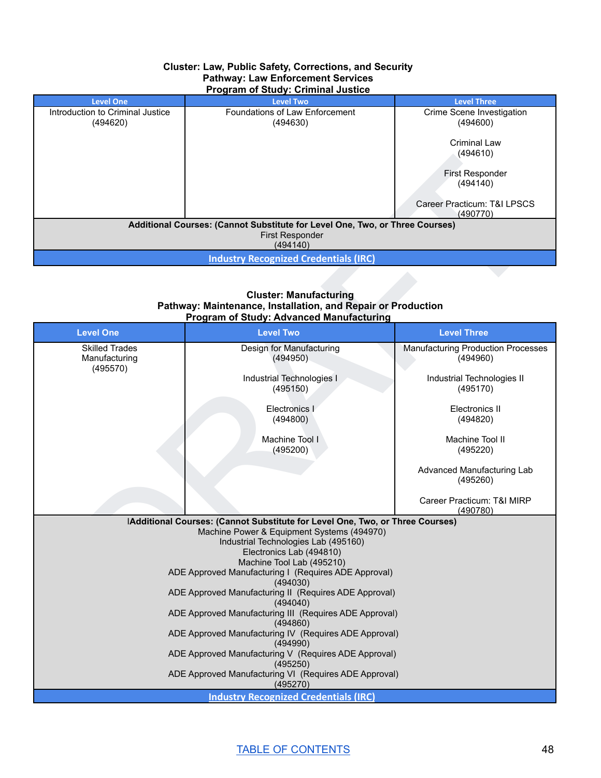#### **Cluster: Law, Public Safety, Corrections, and Security Pathway: Law Enforcement Services Program of Study: Criminal Justice**

|                                              | $\ldots$ , and $\ldots$ , and $\ldots$ are $\ldots$ . The second second second second second second second second second second second second second second second second second second second second second second second second second |                                         |
|----------------------------------------------|------------------------------------------------------------------------------------------------------------------------------------------------------------------------------------------------------------------------------------------|-----------------------------------------|
| <b>Level One</b>                             | <b>Level Two</b>                                                                                                                                                                                                                         | <b>Level Three</b>                      |
| Introduction to Criminal Justice<br>(494620) | Foundations of Law Enforcement<br>(494630)                                                                                                                                                                                               | Crime Scene Investigation<br>(494600)   |
|                                              |                                                                                                                                                                                                                                          | Criminal Law                            |
|                                              |                                                                                                                                                                                                                                          | (494610)                                |
|                                              |                                                                                                                                                                                                                                          | <b>First Responder</b><br>(494140)      |
|                                              |                                                                                                                                                                                                                                          | Career Practicum: T&I LPSCS<br>(490770) |
|                                              | Additional Courses: (Cannot Substitute for Level One, Two, or Three Courses)                                                                                                                                                             |                                         |
|                                              | <b>First Responder</b><br>(494140)                                                                                                                                                                                                       |                                         |
|                                              | <b>Industry Recognized Credentials (IRC)</b>                                                                                                                                                                                             |                                         |

#### **Cluster: Manufacturing Pathway: Maintenance, Installation, and Repair or Production Program of Study: Advanced Manufacturing**

|                                                    |                                                                                                                                                                                                                                                                                                                                                                                                                                                                                                                                                                          | (4940 IU)                                             |
|----------------------------------------------------|--------------------------------------------------------------------------------------------------------------------------------------------------------------------------------------------------------------------------------------------------------------------------------------------------------------------------------------------------------------------------------------------------------------------------------------------------------------------------------------------------------------------------------------------------------------------------|-------------------------------------------------------|
|                                                    |                                                                                                                                                                                                                                                                                                                                                                                                                                                                                                                                                                          | First Responder<br>(494140)                           |
|                                                    |                                                                                                                                                                                                                                                                                                                                                                                                                                                                                                                                                                          | Career Practicum: T&I LPSCS<br>(490770)               |
|                                                    | Additional Courses: (Cannot Substitute for Level One, Two, or Three Courses)<br>First Responder<br>(494140)                                                                                                                                                                                                                                                                                                                                                                                                                                                              |                                                       |
|                                                    | <b>Industry Recognized Credentials (IRC)</b>                                                                                                                                                                                                                                                                                                                                                                                                                                                                                                                             |                                                       |
|                                                    | <b>Cluster: Manufacturing</b><br>Pathway: Maintenance, Installation, and Repair or Production<br><b>Program of Study: Advanced Manufacturing</b>                                                                                                                                                                                                                                                                                                                                                                                                                         |                                                       |
| <b>Level One</b>                                   | <b>Level Two</b>                                                                                                                                                                                                                                                                                                                                                                                                                                                                                                                                                         | <b>Level Three</b>                                    |
| <b>Skilled Trades</b><br>Manufacturing<br>(495570) | Design for Manufacturing<br>(494950)                                                                                                                                                                                                                                                                                                                                                                                                                                                                                                                                     | <b>Manufacturing Production Processes</b><br>(494960) |
|                                                    | Industrial Technologies I<br>(495150)                                                                                                                                                                                                                                                                                                                                                                                                                                                                                                                                    | Industrial Technologies II<br>(495170)                |
|                                                    | Electronics I<br>(494800)                                                                                                                                                                                                                                                                                                                                                                                                                                                                                                                                                | Electronics II<br>(494820)                            |
|                                                    | Machine Tool I<br>(495200)                                                                                                                                                                                                                                                                                                                                                                                                                                                                                                                                               | Machine Tool II<br>(495220)                           |
|                                                    |                                                                                                                                                                                                                                                                                                                                                                                                                                                                                                                                                                          | Advanced Manufacturing Lab<br>(495260)                |
|                                                    |                                                                                                                                                                                                                                                                                                                                                                                                                                                                                                                                                                          | Career Practicum: T&I MIRP<br>(490780)                |
|                                                    | IAdditional Courses: (Cannot Substitute for Level One, Two, or Three Courses)<br>Machine Power & Equipment Systems (494970)<br>Industrial Technologies Lab (495160)<br>Electronics Lab (494810)<br>Machine Tool Lab (495210)<br>ADE Approved Manufacturing I (Requires ADE Approval)<br>(494030)<br>ADE Approved Manufacturing II (Requires ADE Approval)<br>(494040)<br>ADE Approved Manufacturing III (Requires ADE Approval)<br>(494860)<br>ADE Approved Manufacturing IV (Requires ADE Approval)<br>(494990)<br>ADE Approved Manufacturing V (Requires ADE Approval) |                                                       |
|                                                    | (495250)<br>ADE Approved Manufacturing VI (Requires ADE Approval)<br>(495270)                                                                                                                                                                                                                                                                                                                                                                                                                                                                                            |                                                       |
|                                                    | <b>Industry Recognized Credentials (IRC)</b>                                                                                                                                                                                                                                                                                                                                                                                                                                                                                                                             |                                                       |

TABLE OF [CONTENTS](#page-1-0) 48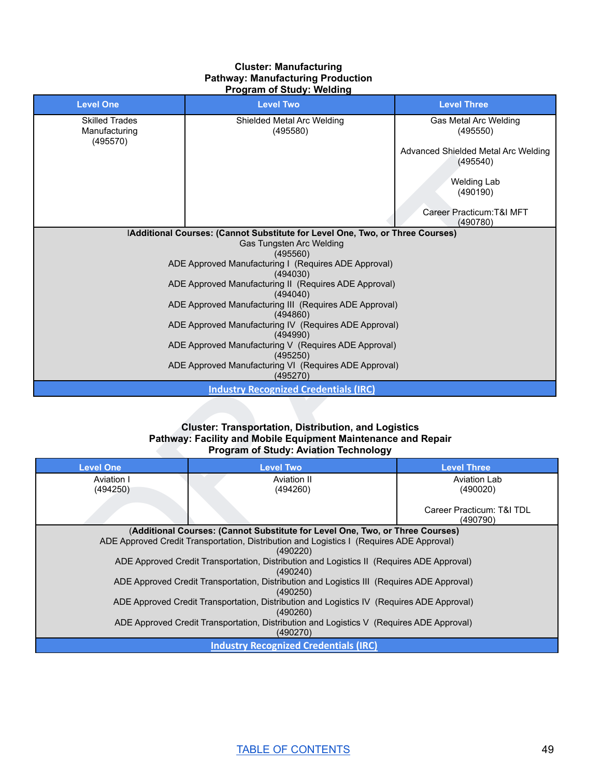#### **Cluster: Manufacturing Pathway: Manufacturing Production Program of Study: Welding**

| <b>Level One</b>                                   | <b>Level Two</b>                                                                                                                                                             | <b>Level Three</b>                              |
|----------------------------------------------------|------------------------------------------------------------------------------------------------------------------------------------------------------------------------------|-------------------------------------------------|
| <b>Skilled Trades</b><br>Manufacturing<br>(495570) | Shielded Metal Arc Welding<br>(495580)                                                                                                                                       | <b>Gas Metal Arc Welding</b><br>(495550)        |
|                                                    |                                                                                                                                                                              | Advanced Shielded Metal Arc Welding<br>(495540) |
|                                                    |                                                                                                                                                                              | <b>Welding Lab</b><br>(490190)                  |
|                                                    |                                                                                                                                                                              | Career Practicum: T&I MFT<br>(490780)           |
|                                                    | IAdditional Courses: (Cannot Substitute for Level One, Two, or Three Courses)<br>Gas Tungsten Arc Welding                                                                    |                                                 |
|                                                    | (495560)                                                                                                                                                                     |                                                 |
|                                                    | ADE Approved Manufacturing I (Requires ADE Approval)                                                                                                                         |                                                 |
|                                                    | (494030)<br>ADE Approved Manufacturing II (Requires ADE Approval)                                                                                                            |                                                 |
|                                                    | (494040)                                                                                                                                                                     |                                                 |
|                                                    | ADE Approved Manufacturing III (Requires ADE Approval)                                                                                                                       |                                                 |
|                                                    | (494860)<br>ADE Approved Manufacturing IV (Requires ADE Approval)                                                                                                            |                                                 |
|                                                    | (494990)                                                                                                                                                                     |                                                 |
|                                                    | ADE Approved Manufacturing V (Requires ADE Approval)<br>(495250)                                                                                                             |                                                 |
|                                                    | ADE Approved Manufacturing VI (Requires ADE Approval)                                                                                                                        |                                                 |
|                                                    | (495270)                                                                                                                                                                     |                                                 |
|                                                    | <b>Industry Recognized Credentials (IRC)</b>                                                                                                                                 |                                                 |
|                                                    | <b>Cluster: Transportation, Distribution, and Logistics</b><br>Pathway: Facility and Mobile Equipment Maintenance and Repair<br><b>Program of Study: Aviation Technology</b> |                                                 |
| <b>Level One</b>                                   | <b>Level Two</b>                                                                                                                                                             | <b>Level Three</b>                              |
| Aviation I<br>(494250)                             | Aviation II<br>(494260)                                                                                                                                                      | <b>Aviation Lab</b><br>(490020)                 |
|                                                    |                                                                                                                                                                              | Career Practicum: T&I TDL<br>(490790)           |
|                                                    | (Additional Courses: (Cannot Substitute for Level One, Two, or Three Courses)                                                                                                |                                                 |
|                                                    | ADE Approved Credit Transportation, Distribution and Logistics I (Requires ADE Approval)<br>(490220)                                                                         |                                                 |
|                                                    | ADE Approved Credit Transportation, Distribution and Logistics II (Requires ADE Approval)<br>(490240)                                                                        |                                                 |
|                                                    | ADE Approved Credit Transportation, Distribution and Logistics III (Requires ADE Approval)<br>(490250)                                                                       |                                                 |
|                                                    | ADE Approved Credit Transportation, Distribution and Logistics IV (Requires ADE Approval)                                                                                    |                                                 |

#### **Cluster: Transportation, Distribution, and Logistics Pathway: Facility and Mobile Equipment Maintenance and Repair Program of Study: Aviation Technology**

| <b>Level One</b> | <b>Level Two</b>                                                                                       | <b>Level Three</b>                    |
|------------------|--------------------------------------------------------------------------------------------------------|---------------------------------------|
| Aviation I       | Aviation II                                                                                            | Aviation Lab                          |
| (494250)         | (494260)                                                                                               | (490020)                              |
|                  |                                                                                                        | Career Practicum: T&I TDL<br>(490790) |
|                  | (Additional Courses: (Cannot Substitute for Level One, Two, or Three Courses)                          |                                       |
|                  | ADE Approved Credit Transportation, Distribution and Logistics I (Requires ADE Approval)               |                                       |
|                  | (490220)                                                                                               |                                       |
|                  | ADE Approved Credit Transportation, Distribution and Logistics II (Requires ADE Approval)<br>(490240)  |                                       |
|                  | ADE Approved Credit Transportation, Distribution and Logistics III (Requires ADE Approval)<br>(490250) |                                       |
|                  | ADE Approved Credit Transportation, Distribution and Logistics IV (Requires ADE Approval)<br>(490260)  |                                       |
|                  | ADE Approved Credit Transportation, Distribution and Logistics V (Requires ADE Approval)<br>(490270)   |                                       |
|                  | <b>Industry Recognized Credentials (IRC)</b>                                                           |                                       |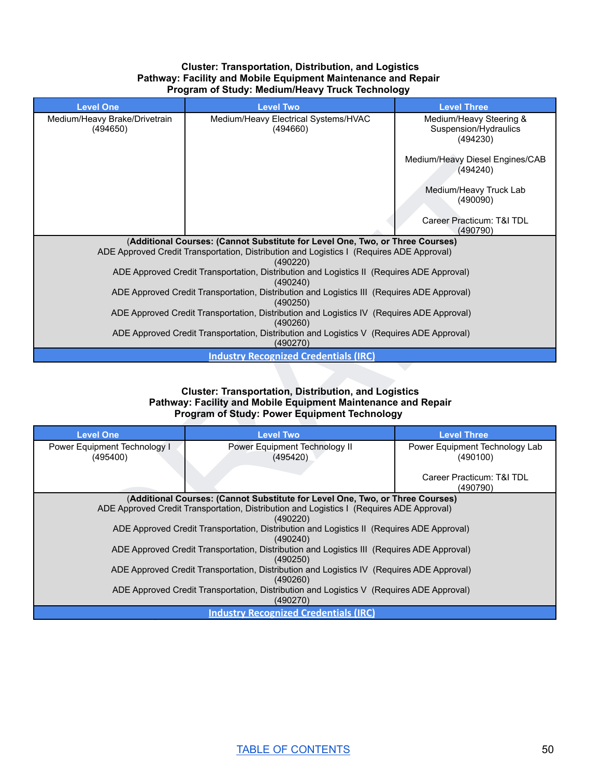#### **Cluster: Transportation, Distribution, and Logistics Pathway: Facility and Mobile Equipment Maintenance and Repair Program of Study: Medium/Heavy Truck Technology**

| <b>Level One</b>                          | <b>Level Two</b>                                                                                                                                                                      | <b>Level Three</b>                                           |
|-------------------------------------------|---------------------------------------------------------------------------------------------------------------------------------------------------------------------------------------|--------------------------------------------------------------|
| Medium/Heavy Brake/Drivetrain<br>(494650) | Medium/Heavy Electrical Systems/HVAC<br>(494660)                                                                                                                                      | Medium/Heavy Steering &<br>Suspension/Hydraulics<br>(494230) |
|                                           |                                                                                                                                                                                       | Medium/Heavy Diesel Engines/CAB<br>(494240)                  |
|                                           |                                                                                                                                                                                       | Medium/Heavy Truck Lab<br>(490090)                           |
|                                           |                                                                                                                                                                                       | Career Practicum: T&I TDL<br>(490790)                        |
|                                           | (Additional Courses: (Cannot Substitute for Level One, Two, or Three Courses)<br>ADE Approved Credit Transportation, Distribution and Logistics I (Requires ADE Approval)<br>(490220) |                                                              |
|                                           | ADE Approved Credit Transportation, Distribution and Logistics II (Requires ADE Approval)<br>(490240)                                                                                 |                                                              |
|                                           | ADE Approved Credit Transportation, Distribution and Logistics III (Requires ADE Approval)<br>(490250)                                                                                |                                                              |
|                                           | ADE Approved Credit Transportation, Distribution and Logistics IV (Requires ADE Approval)<br>(490260)                                                                                 |                                                              |
|                                           |                                                                                                                                                                                       |                                                              |
|                                           | ADE Approved Credit Transportation, Distribution and Logistics V (Requires ADE Approval)<br>(490270)                                                                                  |                                                              |
|                                           | <b>Industry Recognized Credentials (IRC)</b>                                                                                                                                          |                                                              |
|                                           | <b>Cluster: Transportation, Distribution, and Logistics</b><br>Pathway: Facility and Mobile Equipment Maintenance and Repair<br><b>Program of Study: Power Equipment Technology</b>   |                                                              |
| <b>Level One</b>                          | <b>Level Two</b>                                                                                                                                                                      | <b>Level Three</b>                                           |
| Power Equipment Technology I<br>(495400)  | Power Equipment Technology II<br>(495420)                                                                                                                                             | Power Equipment Technology Lab<br>(490100)                   |
|                                           |                                                                                                                                                                                       | Career Practicum: T&I TDL<br>(490790)                        |
|                                           | (Additional Courses: (Cannot Substitute for Level One, Two, or Three Courses)<br>ADE Approved Credit Transportation, Distribution and Logistics I (Requires ADE Approval)<br>(490220) |                                                              |
|                                           | ADE Approved Credit Transportation, Distribution and Logistics II (Requires ADE Approval)<br>(490240)                                                                                 |                                                              |
|                                           | ADE Approved Credit Transportation, Distribution and Logistics III (Requires ADE Approval)<br>(490250)                                                                                |                                                              |
|                                           | ADE Approved Credit Transportation, Distribution and Logistics IV (Requires ADE Approval)<br>(490260)                                                                                 |                                                              |
|                                           | ADE Approved Credit Transportation, Distribution and Logistics V (Requires ADE Approval)<br>(490270)<br><b>Industry Recognized Credentials (IRC)</b>                                  |                                                              |

#### **Cluster: Transportation, Distribution, and Logistics Pathway: Facility and Mobile Equipment Maintenance and Repair Program of Study: Power Equipment Technology**

| <b>Level One</b>                         | <b>Level Two</b>                                                                                      | <b>Level Three</b>                         |
|------------------------------------------|-------------------------------------------------------------------------------------------------------|--------------------------------------------|
| Power Equipment Technology I<br>(495400) | Power Equipment Technology II<br>(495420)                                                             | Power Equipment Technology Lab<br>(490100) |
|                                          |                                                                                                       | Career Practicum: T&I TDL<br>(490790)      |
|                                          | (Additional Courses: (Cannot Substitute for Level One, Two, or Three Courses)                         |                                            |
|                                          | ADE Approved Credit Transportation, Distribution and Logistics I (Requires ADE Approval)              |                                            |
|                                          | (490220)                                                                                              |                                            |
|                                          | ADE Approved Credit Transportation, Distribution and Logistics II (Requires ADE Approval)<br>(490240) |                                            |
|                                          | ADE Approved Credit Transportation, Distribution and Logistics III (Requires ADE Approval)            |                                            |
|                                          | (490250)                                                                                              |                                            |
|                                          | ADE Approved Credit Transportation, Distribution and Logistics IV (Requires ADE Approval)<br>(490260) |                                            |
|                                          | ADE Approved Credit Transportation, Distribution and Logistics V (Requires ADE Approval)<br>(490270)  |                                            |
|                                          | <b>Industry Recognized Credentials (IRC)</b>                                                          |                                            |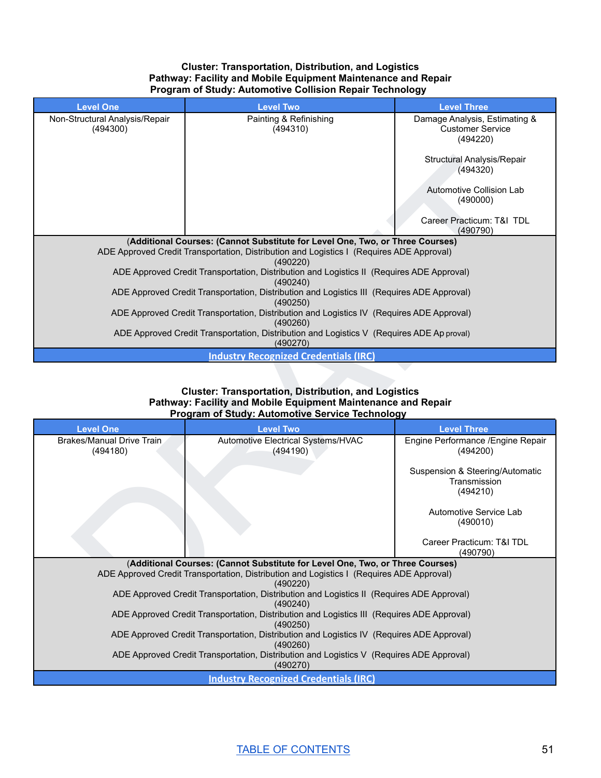#### **Cluster: Transportation, Distribution, and Logistics Pathway: Facility and Mobile Equipment Maintenance and Repair Program of Study: Automotive Collision Repair Technology**

| <b>Level One</b>                                     | <b>Level Two</b>                                                                                                                                                                                    | <b>Level Three</b>                                                   |
|------------------------------------------------------|-----------------------------------------------------------------------------------------------------------------------------------------------------------------------------------------------------|----------------------------------------------------------------------|
| Non-Structural Analysis/Repair<br>(494300)           | Painting & Refinishing<br>(494310)                                                                                                                                                                  | Damage Analysis, Estimating &<br><b>Customer Service</b><br>(494220) |
|                                                      |                                                                                                                                                                                                     | Structural Analysis/Repair<br>(494320)                               |
|                                                      |                                                                                                                                                                                                     | Automotive Collision Lab<br>(490000)                                 |
|                                                      |                                                                                                                                                                                                     | Career Practicum: T&I TDL<br>(490790)                                |
|                                                      | (Additional Courses: (Cannot Substitute for Level One, Two, or Three Courses)<br>ADE Approved Credit Transportation, Distribution and Logistics I (Requires ADE Approval)<br>(490220)               |                                                                      |
|                                                      | ADE Approved Credit Transportation, Distribution and Logistics II (Requires ADE Approval)<br>(490240)                                                                                               |                                                                      |
|                                                      | ADE Approved Credit Transportation, Distribution and Logistics III (Requires ADE Approval)<br>(490250)                                                                                              |                                                                      |
|                                                      | ADE Approved Credit Transportation, Distribution and Logistics IV (Requires ADE Approval)<br>(490260)                                                                                               |                                                                      |
|                                                      |                                                                                                                                                                                                     |                                                                      |
|                                                      | ADE Approved Credit Transportation, Distribution and Logistics V (Requires ADE Ap proval)<br>(490270)                                                                                               |                                                                      |
|                                                      | <b>Industry Recognized Credentials (IRC)</b>                                                                                                                                                        |                                                                      |
|                                                      | <b>Cluster: Transportation, Distribution, and Logistics</b><br>Pathway: Facility and Mobile Equipment Maintenance and Repair<br>Program of Study: Automotive Service Technology                     |                                                                      |
| <b>Level One</b><br><b>Brakes/Manual Drive Train</b> | <b>Level Two</b>                                                                                                                                                                                    | <b>Level Three</b><br>Engine Performance / Engine Repair             |
| (494180)                                             | Automotive Electrical Systems/HVAC<br>(494190)                                                                                                                                                      | (494200)                                                             |
|                                                      |                                                                                                                                                                                                     | Suspension & Steering/Automatic<br>Transmission<br>(494210)          |
|                                                      |                                                                                                                                                                                                     | Automotive Service Lab<br>(490010)                                   |
|                                                      |                                                                                                                                                                                                     | Career Practicum: T&I TDL<br>(490790)                                |
|                                                      | (Additional Courses: (Cannot Substitute for Level One, Two, or Three Courses)<br>ADE Approved Credit Transportation, Distribution and Logistics I (Requires ADE Approval)<br>(490220)               |                                                                      |
|                                                      | ADE Approved Credit Transportation, Distribution and Logistics II (Requires ADE Approval)<br>(490240)<br>ADE Approved Credit Transportation, Distribution and Logistics III (Requires ADE Approval) |                                                                      |

#### **Cluster: Transportation, Distribution, and Logistics Pathway: Facility and Mobile Equipment Maintenance and Repair Program of Study: Automotive Service Technology**

| <b>Level One</b>                      | <b>Level Two</b>                                                                                                                                                                      | <b>Level Three</b>                                          |
|---------------------------------------|---------------------------------------------------------------------------------------------------------------------------------------------------------------------------------------|-------------------------------------------------------------|
| Brakes/Manual Drive Train<br>(494180) | Automotive Electrical Systems/HVAC<br>(494190)                                                                                                                                        | Engine Performance / Engine Repair<br>(494200)              |
|                                       |                                                                                                                                                                                       | Suspension & Steering/Automatic<br>Transmission<br>(494210) |
|                                       |                                                                                                                                                                                       | Automotive Service Lab<br>(490010)                          |
|                                       |                                                                                                                                                                                       | Career Practicum: T&I TDL<br>(490790)                       |
|                                       | (Additional Courses: (Cannot Substitute for Level One, Two, or Three Courses)<br>ADE Approved Credit Transportation, Distribution and Logistics   (Reguires ADE Approval)<br>(490220) |                                                             |
|                                       | ADE Approved Credit Transportation, Distribution and Logistics II (Requires ADE Approval)<br>(490240)                                                                                 |                                                             |
|                                       | ADE Approved Credit Transportation, Distribution and Logistics III (Requires ADE Approval)<br>(490250)                                                                                |                                                             |
|                                       | ADE Approved Credit Transportation, Distribution and Logistics IV (Requires ADE Approval)<br>(490260)                                                                                 |                                                             |
|                                       | ADE Approved Credit Transportation, Distribution and Logistics V (Requires ADE Approval)<br>(490270)                                                                                  |                                                             |
|                                       | <b>Industry Recognized Credentials (IRC)</b>                                                                                                                                          |                                                             |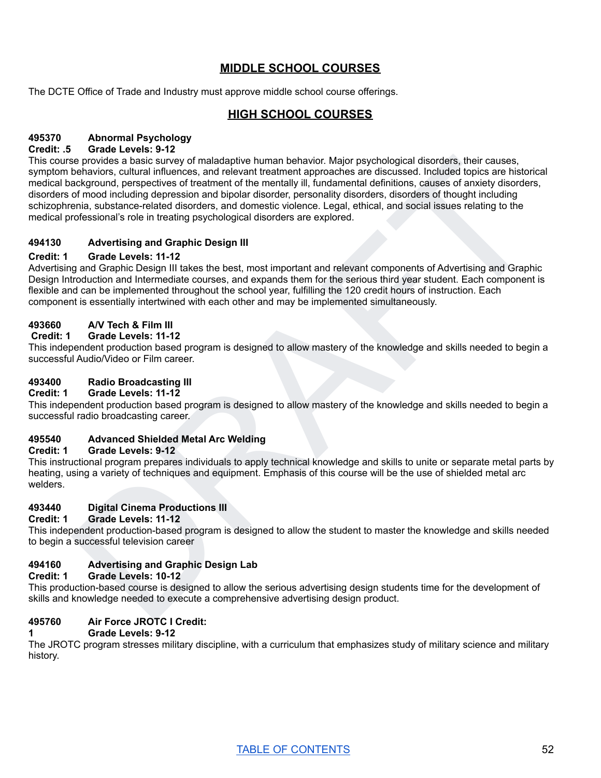# **MIDDLE SCHOOL COURSES**

The DCTE Office of Trade and Industry must approve middle school course offerings.

# **HIGH SCHOOL COURSES**

# **495370 Abnormal Psychology**

# **Credit: .5 Grade Levels: 9-12**

es provides a basic survey of maladoptive human behavior, Maly psychological disorders, their causes,<br>the haviors, cultural influences, and relevant treatment inprovacies are discussed. Included topics are historical<br>origi This course provides a basic survey of maladaptive human behavior. Major psychological disorders, their causes, symptom behaviors, cultural influences, and relevant treatment approaches are discussed. Included topics are historical medical background, perspectives of treatment of the mentally ill, fundamental definitions, causes of anxiety disorders, disorders of mood including depression and bipolar disorder, personality disorders, disorders of thought including schizophrenia, substance-related disorders, and domestic violence. Legal, ethical, and social issues relating to the medical professional's role in treating psychological disorders are explored.

# **494130 Advertising and Graphic Design III**

#### **Credit: 1 Grade Levels: 11-12**

Advertising and Graphic Design III takes the best, most important and relevant components of Advertising and Graphic Design Introduction and Intermediate courses, and expands them for the serious third year student. Each component is flexible and can be implemented throughout the school year, fulfilling the 120 credit hours of instruction. Each component is essentially intertwined with each other and may be implemented simultaneously.

#### **493660 A/V Tech & Film III**

#### **Credit: 1 Grade Levels: 11-12**

This independent production based program is designed to allow mastery of the knowledge and skills needed to begin a successful Audio/Video or Film career.

#### **493400 Radio Broadcasting III**

#### **Credit: 1 Grade Levels: 11-12**

This independent production based program is designed to allow mastery of the knowledge and skills needed to begin a successful radio broadcasting career.

# **495540 Advanced Shielded Metal Arc Welding**

#### **Credit: 1 Grade Levels: 9-12**

This instructional program prepares individuals to apply technical knowledge and skills to unite or separate metal parts by heating, using a variety of techniques and equipment. Emphasis of this course will be the use of shielded metal arc welders.

# **493440 Digital Cinema Productions III**

**Credit: 1 Grade Levels: 11-12**

This independent production-based program is designed to allow the student to master the knowledge and skills needed to begin a successful television career

# **494160 Advertising and Graphic Design Lab**

#### **Credit: 1 Grade Levels: 10-12**

This production-based course is designed to allow the serious advertising design students time for the development of skills and knowledge needed to execute a comprehensive advertising design product.

#### **495760 Air Force JROTC I Credit:**

#### **1 Grade Levels: 9-12**

The JROTC program stresses military discipline, with a curriculum that emphasizes study of military science and military history.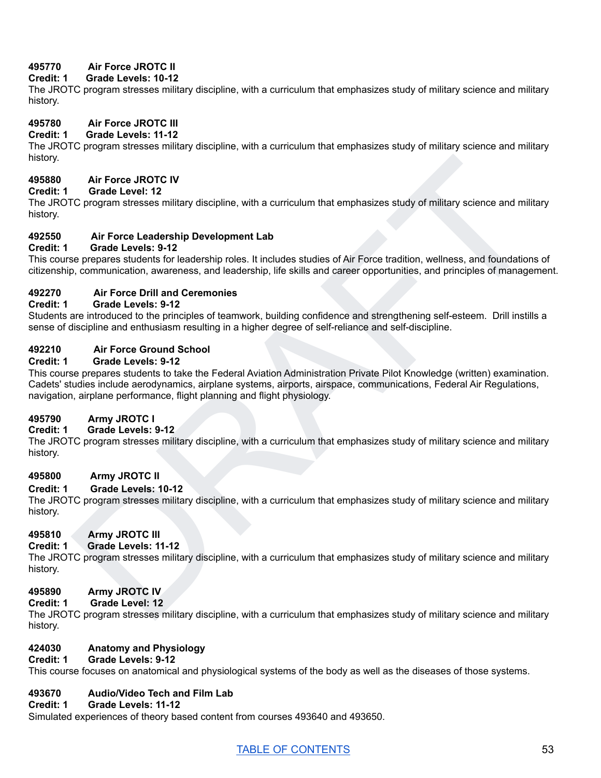# **495770 Air Force JROTC II**

# **Credit: 1 Grade Levels: 10-12**

The JROTC program stresses military discipline, with a curriculum that emphasizes study of military science and military history.

# **495780 Air Force JROTC III**

# **Credit: 1 Grade Levels: 11-12**

The JROTC program stresses military discipline, with a curriculum that emphasizes study of military science and military history.

# **495880 Air Force JROTC IV**

# **Credit: 1 Grade Level: 12**

The JROTC program stresses military discipline, with a curriculum that emphasizes study of military science and military history.

# **492550 Air Force Leadership Development Lab**

# **Credit: 1 Grade Levels: 9-12**

This course prepares students for leadership roles. It includes studies of Air Force tradition, wellness, and foundations of citizenship, communication, awareness, and leadership, life skills and career opportunities, and principles of management.

# **492270 Air Force Drill and Ceremonies**

#### **Credit: 1 Grade Levels: 9-12**

Students are introduced to the principles of teamwork, building confidence and strengthening self-esteem. Drill instills a sense of discipline and enthusiasm resulting in a higher degree of self-reliance and self-discipline.

#### **492210 Air Force Ground School**

#### **Credit: 1 Grade Levels: 9-12**

Air Force JROTC IV<br>
Circustrant stresses military discipline, with a curriculum that emphasizes study of military science and military<br>
NR Force Levelsting Development Lab<br>
Grade Levelsting Toreologonic rotes. It includes This course prepares students to take the Federal Aviation Administration Private Pilot Knowledge (written) examination. Cadets' studies include aerodynamics, airplane systems, airports, airspace, communications, Federal Air Regulations, navigation, airplane performance, flight planning and flight physiology.

# **495790 Army JROTC I**

# **Credit: 1 Grade Levels: 9-12**

The JROTC program stresses military discipline, with a curriculum that emphasizes study of military science and military history.

# **495800 Army JROTC II**

#### **Credit: 1 Grade Levels: 10-12**

The JROTC program stresses military discipline, with a curriculum that emphasizes study of military science and military history.

# **495810 Army JROTC III**

# **Credit: 1 Grade Levels: 11-12**

The JROTC program stresses military discipline, with a curriculum that emphasizes study of military science and military history.

# **495890 Army JROTC IV**

#### **Credit: 1 Grade Level: 12**

The JROTC program stresses military discipline, with a curriculum that emphasizes study of military science and military history.

#### **424030 Anatomy and Physiology Credit: 1 Grade Levels: 9-12**

This course focuses on anatomical and physiological systems of the body as well as the diseases of those systems.

# **493670 Audio/Video Tech and Film Lab**

#### **Credit: 1 Grade Levels: 11-12**

Simulated experiences of theory based content from courses 493640 and 493650.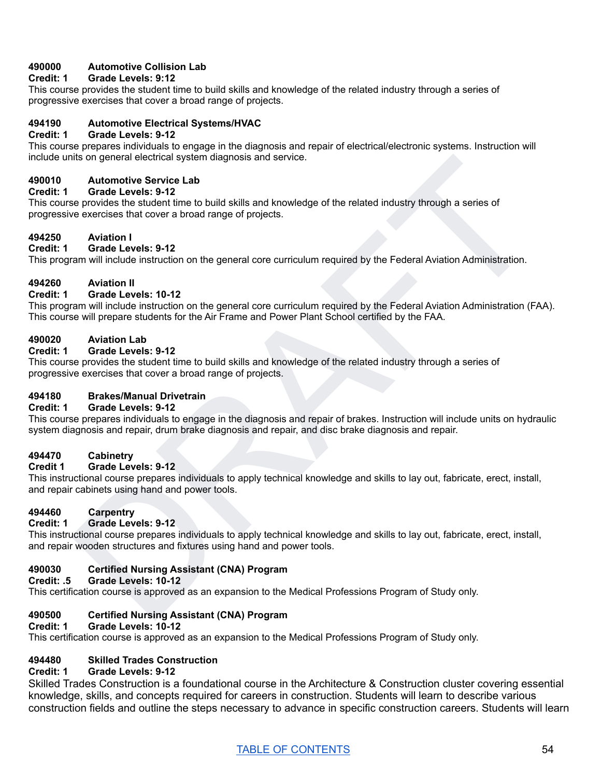# **490000 Automotive Collision Lab**

# **Credit: 1 Grade Levels: 9:12**

This course provides the student time to build skills and knowledge of the related industry through a series of progressive exercises that cover a broad range of projects.

#### **494190 Automotive Electrical Systems/HVAC**

#### **Credit: 1 Grade Levels: 9-12**

This course prepares individuals to engage in the diagnosis and repair of electrical/electronic systems. Instruction will include units on general electrical system diagnosis and service.

#### **490010 Automotive Service Lab**

#### **Credit: 1 Grade Levels: 9-12**

This course provides the student time to build skills and knowledge of the related industry through a series of progressive exercises that cover a broad range of projects.

# **494250 Aviation I**

# **Credit: 1 Grade Levels: 9-12**

This program will include instruction on the general core curriculum required by the Federal Aviation Administration.

#### **494260 Aviation II**

#### **Credit: 1 Grade Levels: 10-12**

This program will include instruction on the general core curriculum required by the Federal Aviation Administration (FAA). This course will prepare students for the Air Frame and Power Plant School certified by the FAA.

#### **490020 Aviation Lab**

#### **Credit: 1 Grade Levels: 9-12**

This course provides the student time to build skills and knowledge of the related industry through a series of progressive exercises that cover a broad range of projects.

#### **494180 Brakes/Manual Drivetrain**

#### **Credit: 1 Grade Levels: 9-12**

Automative Service Lable and Service.<br>
Automative Service Lable and Knowledge of the related industry through a series of<br>
see Origins Lable and Knowledge of the related industry through a series of<br>
see Origins That Cover This course prepares individuals to engage in the diagnosis and repair of brakes. Instruction will include units on hydraulic system diagnosis and repair, drum brake diagnosis and repair, and disc brake diagnosis and repair.

#### **494470 Cabinetry**

#### **Credit 1 Grade Levels: 9-12**

This instructional course prepares individuals to apply technical knowledge and skills to lay out, fabricate, erect, install, and repair cabinets using hand and power tools.

# **494460 Carpentry**

#### **Credit: 1 Grade Levels: 9-12**

This instructional course prepares individuals to apply technical knowledge and skills to lay out, fabricate, erect, install, and repair wooden structures and fixtures using hand and power tools.

# **490030 Certified Nursing Assistant (CNA) Program**

#### **Credit: .5 Grade Levels: 10-12**

This certification course is approved as an expansion to the Medical Professions Program of Study only.

# **490500 Certified Nursing Assistant (CNA) Program**

#### **Credit: 1 Grade Levels: 10-12**

This certification course is approved as an expansion to the Medical Professions Program of Study only.

# **494480 Skilled Trades Construction**

#### **Credit: 1 Grade Levels: 9-12**

Skilled Trades Construction is a foundational course in the Architecture & Construction cluster covering essential knowledge, skills, and concepts required for careers in construction. Students will learn to describe various construction fields and outline the steps necessary to advance in specific construction careers. Students will learn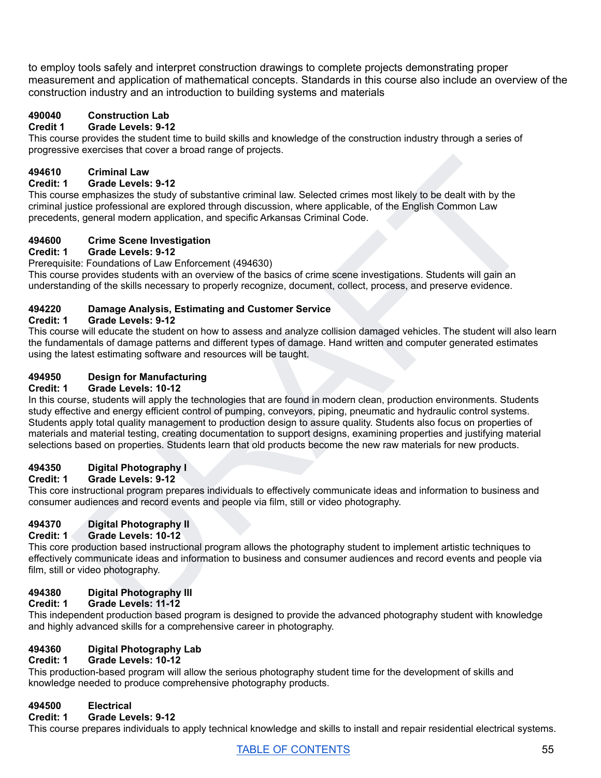to employ tools safely and interpret construction drawings to complete projects demonstrating proper measurement and application of mathematical concepts. Standards in this course also include an overview of the construction industry and an introduction to building systems and materials

# **490040 Construction Lab**

# **Credit 1 Grade Levels: 9-12**

This course provides the student time to build skills and knowledge of the construction industry through a series of progressive exercises that cover a broad range of projects.

# **494610 Criminal Law**

# **Credit: 1 Grade Levels: 9-12**

This course emphasizes the study of substantive criminal law. Selected crimes most likely to be dealt with by the criminal justice professional are explored through discussion, where applicable, of the English Common Law precedents, general modern application, and specific Arkansas Criminal Code.

# **494600 Crime Scene Investigation**

#### **Credit: 1 Grade Levels: 9-12**

Prerequisite: Foundations of Law Enforcement (494630)

This course provides students with an overview of the basics of crime scene investigations. Students will gain an understanding of the skills necessary to properly recognize, document, collect, process, and preserve evidence.

# **494220 Damage Analysis, Estimating and Customer Service**

# **Credit: 1 Grade Levels: 9-12**

This course will educate the student on how to assess and analyze collision damaged vehicles. The student will also learn the fundamentals of damage patterns and different types of damage. Hand written and computer generated estimates using the latest estimating software and resources will be taught.

# **494950 Design for Manufacturing**

#### **Credit: 1 Grade Levels: 10-12**

Criminal Law<br>
Grantal Law<br>
Set care the study of substantive criminal law. Setected crimes most likely to be dealt with by the<br>
set care mechanizes the study of substantive criminal law. Setected crimes most likely to be d In this course, students will apply the technologies that are found in modern clean, production environments. Students study effective and energy efficient control of pumping, conveyors, piping, pneumatic and hydraulic control systems. Students apply total quality management to production design to assure quality. Students also focus on properties of materials and material testing, creating documentation to support designs, examining properties and justifying material selections based on properties. Students learn that old products become the new raw materials for new products.

# **494350 Digital Photography I**

# **Credit: 1 Grade Levels: 9-12**

This core instructional program prepares individuals to effectively communicate ideas and information to business and consumer audiences and record events and people via film, still or video photography.

# **494370 Digital Photography II**

# **Credit: 1 Grade Levels: 10-12**

This core production based instructional program allows the photography student to implement artistic techniques to effectively communicate ideas and information to business and consumer audiences and record events and people via film, still or video photography.

# **494380 Digital Photography III**

# **Credit: 1 Grade Levels: 11-12**

This independent production based program is designed to provide the advanced photography student with knowledge and highly advanced skills for a comprehensive career in photography.

# **494360 Digital Photography Lab**

# **Credit: 1 Grade Levels: 10-12**

This production-based program will allow the serious photography student time for the development of skills and knowledge needed to produce comprehensive photography products.

# **494500 Electrical**

#### **Credit: 1 Grade Levels: 9-12**

This course prepares individuals to apply technical knowledge and skills to install and repair residential electrical systems.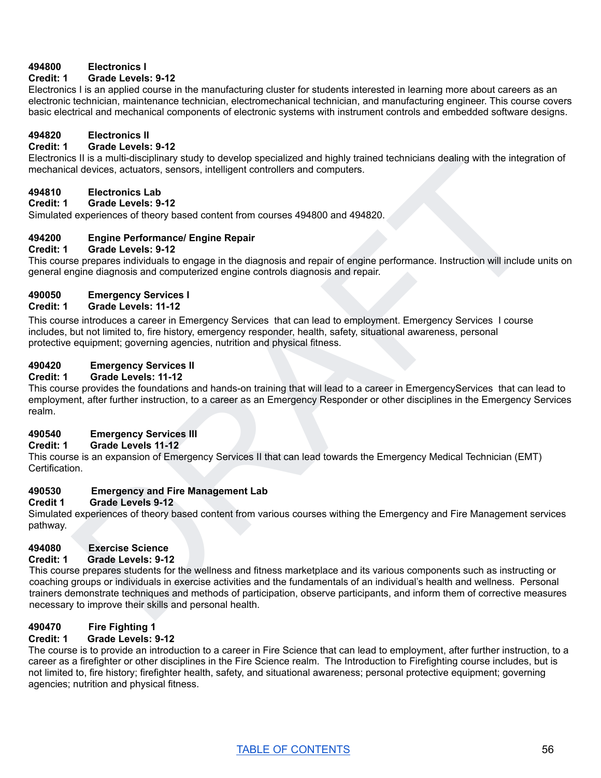# **494800 Electronics I**

#### **Credit: 1 Grade Levels: 9-12**

Electronics I is an applied course in the manufacturing cluster for students interested in learning more about careers as an electronic technician, maintenance technician, electromechanical technician, and manufacturing engineer. This course covers basic electrical and mechanical components of electronic systems with instrument controls and embedded software designs.

# **494820 Electronics II**

#### **Credit: 1 Grade Levels: 9-12**

Electronics II is a multi-disciplinary study to develop specialized and highly trained technicians dealing with the integration of mechanical devices, actuators, sensors, intelligent controllers and computers.

#### **494810 Electronics Lab**

**Credit: 1 Grade Levels: 9-12**

Simulated experiences of theory based content from courses 494800 and 494820.

#### **494200 Engine Performance/ Engine Repair**

#### **Credit: 1 Grade Levels: 9-12**

This course prepares individuals to engage in the diagnosis and repair of engine performance. Instruction will include units on general engine diagnosis and computerized engine controls diagnosis and repair.

# **490050 Emergency Services I**

#### **Credit: 1 Grade Levels: 11-12**

This course introduces a career in Emergency Services that can lead to employment. Emergency Services I course includes, but not limited to, fire history, emergency responder, health, safety, situational awareness, personal protective equipment; governing agencies, nutrition and physical fitness.

#### **490420 Emergency Services II**

#### **Credit: 1 Grade Levels: 11-12**

This course provides the foundations and hands-on training that will lead to a career in EmergencyServices that can lead to employment, after further instruction, to a career as an Emergency Responder or other disciplines in the Emergency Services realm.

#### **490540 Emergency Services III**

#### **Credit: 1 Grade Levels 11-12**

This course is an expansion of Emergency Services II that can lead towards the Emergency Medical Technician (EMT) Certification.

# **490530 Emergency and Fire Management Lab**

#### **Credit 1 Grade Levels 9-12**

Simulated experiences of theory based content from various courses withing the Emergency and Fire Management services pathway.

# **494080 Exercise Science**

# **Credit: 1 Grade Levels: 9-12**

is II is a multi-disciplinary study to develop specialized and highly trained technicians desiling with the integration of<br>
Electronics Lab<br>
Crack Lawles 9-12<br>
Crack Lawles 9-12<br>
Experiences of theory based content from co This course prepares students for the wellness and fitness marketplace and its various components such as instructing or coaching groups or individuals in exercise activities and the fundamentals of an individual's health and wellness. Personal trainers demonstrate techniques and methods of participation, observe participants, and inform them of corrective measures necessary to improve their skills and personal health.

# **490470 Fire Fighting 1**

#### **Credit: 1 Grade Levels: 9-12**

The course is to provide an introduction to a career in Fire Science that can lead to employment, after further instruction, to a career as a firefighter or other disciplines in the Fire Science realm. The Introduction to Firefighting course includes, but is not limited to, fire history; firefighter health, safety, and situational awareness; personal protective equipment; governing agencies; nutrition and physical fitness.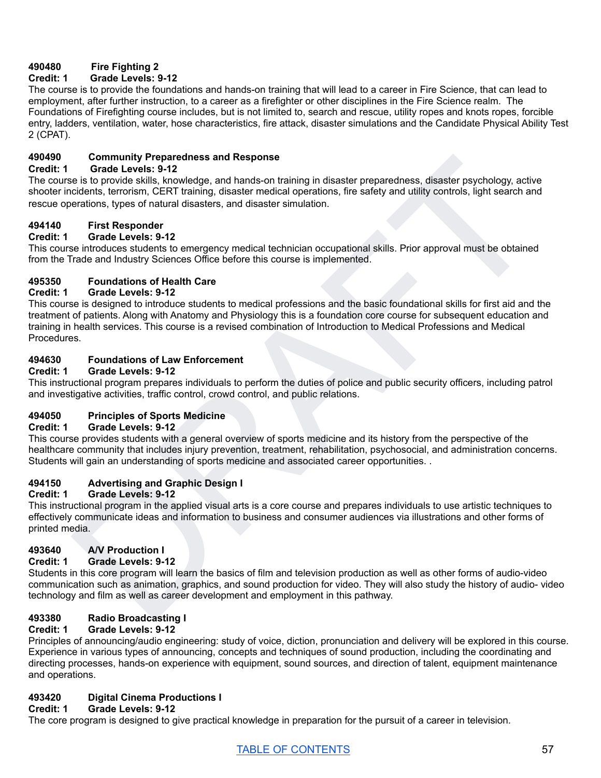# **490480 Fire Fighting 2**

# **Credit: 1 Grade Levels: 9-12**

The course is to provide the foundations and hands-on training that will lead to a career in Fire Science, that can lead to employment, after further instruction, to a career as a firefighter or other disciplines in the Fire Science realm. The Foundations of Firefighting course includes, but is not limited to, search and rescue, utility ropes and knots ropes, forcible entry, ladders, ventilation, water, hose characteristics, fire attack, disaster simulations and the Candidate Physical Ability Test 2 (CPAT).

# **490490 Community Preparedness and Response**

#### **Credit: 1 Grade Levels: 9-12**

The course is to provide skills, knowledge, and hands-on training in disaster preparedness, disaster psychology, active shooter incidents, terrorism, CERT training, disaster medical operations, fire safety and utility controls, light search and rescue operations, types of natural disasters, and disaster simulation.

#### **494140 First Responder**

#### **Credit: 1 Grade Levels: 9-12**

This course introduces students to emergency medical technician occupational skills. Prior approval must be obtained from the Trade and Industry Sciences Office before this course is implemented.

#### **495350 Foundations of Health Care**

#### **Credit: 1 Grade Levels: 9-12**

Community Preparedness and Response<br>
Grade Levels: 9-12<br>
Grade Levels: 9-12<br>
Grade Levels: 9-12<br>
Grade Levels: 9-12<br>
Grade Levels: Strive Musik, work and hands-on training in disaster propertions, the safety and trailing c This course is designed to introduce students to medical professions and the basic foundational skills for first aid and the treatment of patients. Along with Anatomy and Physiology this is a foundation core course for subsequent education and training in health services. This course is a revised combination of Introduction to Medical Professions and Medical **Procedures** 

# **494630 Foundations of Law Enforcement**

#### **Credit: 1 Grade Levels: 9-12**

This instructional program prepares individuals to perform the duties of police and public security officers, including patrol and investigative activities, traffic control, crowd control, and public relations.

# **494050 Principles of Sports Medicine**

#### **Credit: 1 Grade Levels: 9-12**

This course provides students with a general overview of sports medicine and its history from the perspective of the healthcare community that includes injury prevention, treatment, rehabilitation, psychosocial, and administration concerns. Students will gain an understanding of sports medicine and associated career opportunities. .

# **494150 Advertising and Graphic Design I**

#### **Credit: 1 Grade Levels: 9-12**

This instructional program in the applied visual arts is a core course and prepares individuals to use artistic techniques to effectively communicate ideas and information to business and consumer audiences via illustrations and other forms of printed media.

# **493640 A/V Production I**

# **Credit: 1 Grade Levels: 9-12**

Students in this core program will learn the basics of film and television production as well as other forms of audio-video communication such as animation, graphics, and sound production for video. They will also study the history of audio- video technology and film as well as career development and employment in this pathway.

# **493380 Radio Broadcasting I**

# **Credit: 1 Grade Levels: 9-12**

Principles of announcing/audio engineering: study of voice, diction, pronunciation and delivery will be explored in this course. Experience in various types of announcing, concepts and techniques of sound production, including the coordinating and directing processes, hands-on experience with equipment, sound sources, and direction of talent, equipment maintenance and operations.

# **493420 Digital Cinema Productions I**

# **Credit: 1 Grade Levels: 9-12**

The core program is designed to give practical knowledge in preparation for the pursuit of a career in television.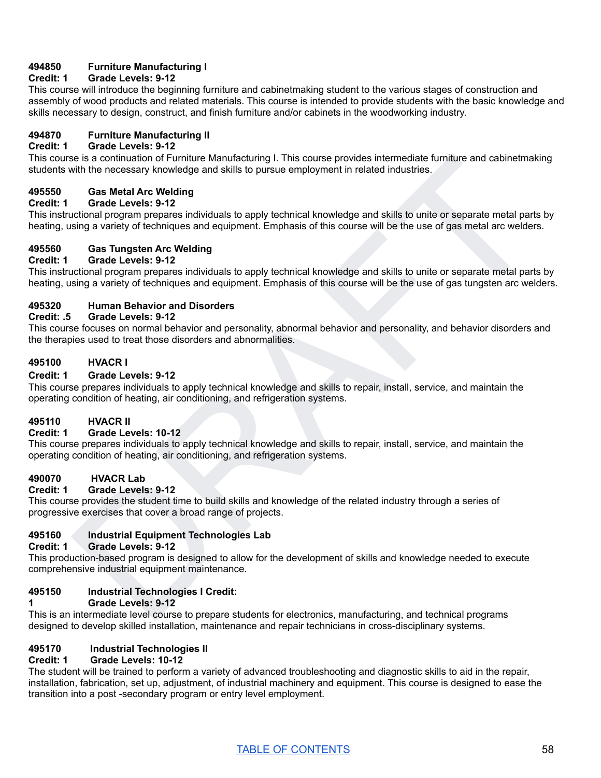# **494850 Furniture Manufacturing I**

# **Credit: 1 Grade Levels: 9-12**

This course will introduce the beginning furniture and cabinetmaking student to the various stages of construction and assembly of wood products and related materials. This course is intended to provide students with the basic knowledge and skills necessary to design, construct, and finish furniture and/or cabinets in the woodworking industry.

# **494870 Furniture Manufacturing II**

# **Credit: 1 Grade Levels: 9-12**

This course is a continuation of Furniture Manufacturing I. This course provides intermediate furniture and cabinetmaking students with the necessary knowledge and skills to pursue employment in related industries.

#### **495550 Gas Metal Arc Welding**

#### **Credit: 1 Grade Levels: 9-12**

is is a continuation of Furniture Manufacturing I. This course provides instermediate furniture and cabinetmaking<br>
Case Mata Arc Wedding<br>
Case Mata Manufacturing the metallity of the comparison individuals to apply technic This instructional program prepares individuals to apply technical knowledge and skills to unite or separate metal parts by heating, using a variety of techniques and equipment. Emphasis of this course will be the use of gas metal arc welders.

#### **495560 Gas Tungsten Arc Welding**

# **Credit: 1 Grade Levels: 9-12**

This instructional program prepares individuals to apply technical knowledge and skills to unite or separate metal parts by heating, using a variety of techniques and equipment. Emphasis of this course will be the use of gas tungsten arc welders.

# **495320 Human Behavior and Disorders**

#### **Credit: .5 Grade Levels: 9-12**

This course focuses on normal behavior and personality, abnormal behavior and personality, and behavior disorders and the therapies used to treat those disorders and abnormalities.

# **495100 HVACR I**

#### **Credit: 1 Grade Levels: 9-12**

This course prepares individuals to apply technical knowledge and skills to repair, install, service, and maintain the operating condition of heating, air conditioning, and refrigeration systems.

#### **495110 HVACR II**

#### **Credit: 1 Grade Levels: 10-12**

This course prepares individuals to apply technical knowledge and skills to repair, install, service, and maintain the operating condition of heating, air conditioning, and refrigeration systems.

#### **490070 HVACR Lab**

#### **Credit: 1 Grade Levels: 9-12**

This course provides the student time to build skills and knowledge of the related industry through a series of progressive exercises that cover a broad range of projects.

# **495160 Industrial Equipment Technologies Lab**

#### **Credit: 1 Grade Levels: 9-12**

This production-based program is designed to allow for the development of skills and knowledge needed to execute comprehensive industrial equipment maintenance.

#### **495150 Industrial Technologies I Credit:**

#### **1 Grade Levels: 9-12**

This is an intermediate level course to prepare students for electronics, manufacturing, and technical programs designed to develop skilled installation, maintenance and repair technicians in cross-disciplinary systems.

#### **495170 Industrial Technologies II**

#### **Credit: 1 Grade Levels: 10-12**

The student will be trained to perform a variety of advanced troubleshooting and diagnostic skills to aid in the repair, installation, fabrication, set up, adjustment, of industrial machinery and equipment. This course is designed to ease the transition into a post -secondary program or entry level employment.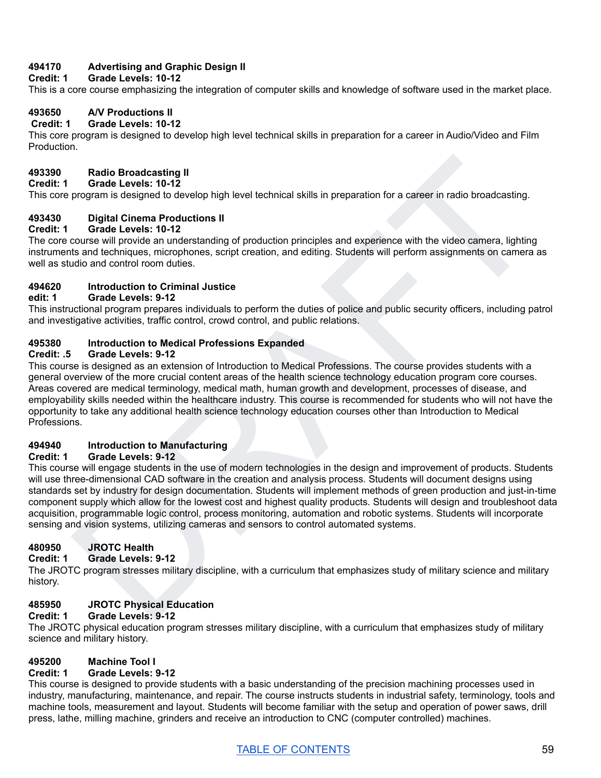# **494170 Advertising and Graphic Design II**

#### **Credit: 1 Grade Levels: 10-12**

This is a core course emphasizing the integration of computer skills and knowledge of software used in the market place.

# **493650 A/V Productions II**

#### **Credit: 1 Grade Levels: 10-12**

This core program is designed to develop high level technical skills in preparation for a career in Audio/Video and Film Production.

# **493390 Radio Broadcasting II**

#### **Credit: 1 Grade Levels: 10-12**

This core program is designed to develop high level technical skills in preparation for a career in radio broadcasting.

# **493430 Digital Cinema Productions II**

#### **Credit: 1 Grade Levels: 10-12**

The core course will provide an understanding of production principles and experience with the video camera, lighting instruments and techniques, microphones, script creation, and editing. Students will perform assignments on camera as well as studio and control room duties.

#### **494620 Introduction to Criminal Justice**

#### **edit: 1 Grade Levels: 9-12**

This instructional program prepares individuals to perform the duties of police and public security officers, including patrol and investigative activities, traffic control, crowd control, and public relations.

#### **495380 Introduction to Medical Professions Expanded**

#### **Credit: .5 Grade Levels: 9-12**

This course is designed as an extension of Introduction to Medical Professions. The course provides students with a general overview of the more crucial content areas of the health science technology education program core courses. Areas covered are medical terminology, medical math, human growth and development, processes of disease, and employability skills needed within the healthcare industry. This course is recommended for students who will not have the opportunity to take any additional health science technology education courses other than Introduction to Medical Professions.

# **494940 Introduction to Manufacturing**

#### **Credit: 1 Grade Levels: 9-12**

Radio Broadcasting II<br>
Grade Levels: 10-12<br>
program is designed to develop high level technical skills in preparation for a career in radio broadcasting.<br>
Digital Chema Productions II<br>
Digital Chema Productions II<br>
Digital This course will engage students in the use of modern technologies in the design and improvement of products. Students will use three-dimensional CAD software in the creation and analysis process. Students will document designs using standards set by industry for design documentation. Students will implement methods of green production and just-in-time component supply which allow for the lowest cost and highest quality products. Students will design and troubleshoot data acquisition, programmable logic control, process monitoring, automation and robotic systems. Students will incorporate sensing and vision systems, utilizing cameras and sensors to control automated systems.

# **480950 JROTC Health**

# **Credit: 1 Grade Levels: 9-12**

The JROTC program stresses military discipline, with a curriculum that emphasizes study of military science and military history.

# **485950 JROTC Physical Education**

#### **Credit: 1 Grade Levels: 9-12**

The JROTC physical education program stresses military discipline, with a curriculum that emphasizes study of military science and military history.

# **495200 Machine Tool I**

# **Credit: 1 Grade Levels: 9-12**

This course is designed to provide students with a basic understanding of the precision machining processes used in industry, manufacturing, maintenance, and repair. The course instructs students in industrial safety, terminology, tools and machine tools, measurement and layout. Students will become familiar with the setup and operation of power saws, drill press, lathe, milling machine, grinders and receive an introduction to CNC (computer controlled) machines.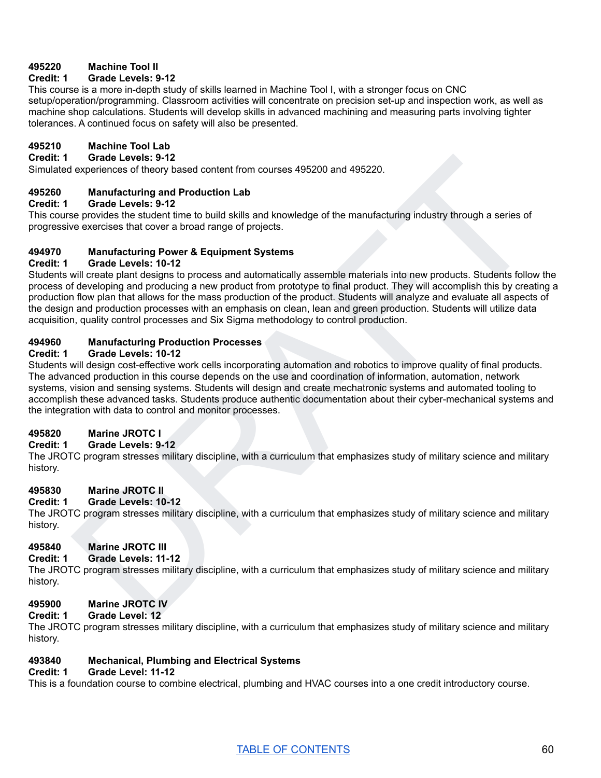# **495220 Machine Tool II**

# **Credit: 1 Grade Levels: 9-12**

This course is a more in-depth study of skills learned in Machine Tool I, with a stronger focus on CNC setup/operation/programming. Classroom activities will concentrate on precision set-up and inspection work, as well as machine shop calculations. Students will develop skills in advanced machining and measuring parts involving tighter tolerances. A continued focus on safety will also be presented.

# **495210 Machine Tool Lab**

#### **Credit: 1 Grade Levels: 9-12**

Simulated experiences of theory based content from courses 495200 and 495220.

#### **495260 Manufacturing and Production Lab**

#### **Credit: 1 Grade Levels: 9-12**

This course provides the student time to build skills and knowledge of the manufacturing industry through a series of progressive exercises that cover a broad range of projects.

#### **494970 Manufacturing Power & Equipment Systems**

#### **Credit: 1 Grade Levels: 10-12**

Grade Levels: 9412<br>
and Levels: 9412<br>
Manufacturing and Production Lab<br>
se provides the form bound of the build skills and knowledge of the manufacturing industry through a series of<br>
se provides the absolution to build sk Students will create plant designs to process and automatically assemble materials into new products. Students follow the process of developing and producing a new product from prototype to final product. They will accomplish this by creating a production flow plan that allows for the mass production of the product. Students will analyze and evaluate all aspects of the design and production processes with an emphasis on clean, lean and green production. Students will utilize data acquisition, quality control processes and Six Sigma methodology to control production.

# **494960 Manufacturing Production Processes**

#### **Credit: 1 Grade Levels: 10-12**

Students will design cost-effective work cells incorporating automation and robotics to improve quality of final products. The advanced production in this course depends on the use and coordination of information, automation, network systems, vision and sensing systems. Students will design and create mechatronic systems and automated tooling to accomplish these advanced tasks. Students produce authentic documentation about their cyber-mechanical systems and the integration with data to control and monitor processes.

#### **495820 Marine JROTC I**

#### **Credit: 1 Grade Levels: 9-12**

The JROTC program stresses military discipline, with a curriculum that emphasizes study of military science and military history.

#### **495830 Marine JROTC II**

#### **Credit: 1 Grade Levels: 10-12**

The JROTC program stresses military discipline, with a curriculum that emphasizes study of military science and military history.

# **495840 Marine JROTC III**

# **Credit: 1 Grade Levels: 11-12**

The JROTC program stresses military discipline, with a curriculum that emphasizes study of military science and military history.

#### **495900 Marine JROTC IV**

#### **Credit: 1 Grade Level: 12**

The JROTC program stresses military discipline, with a curriculum that emphasizes study of military science and military history.

#### **493840 Mechanical, Plumbing and Electrical Systems**

#### **Credit: 1 Grade Level: 11-12**

This is a foundation course to combine electrical, plumbing and HVAC courses into a one credit introductory course.

# TABLE OF [CONTENTS](#page-1-0) 60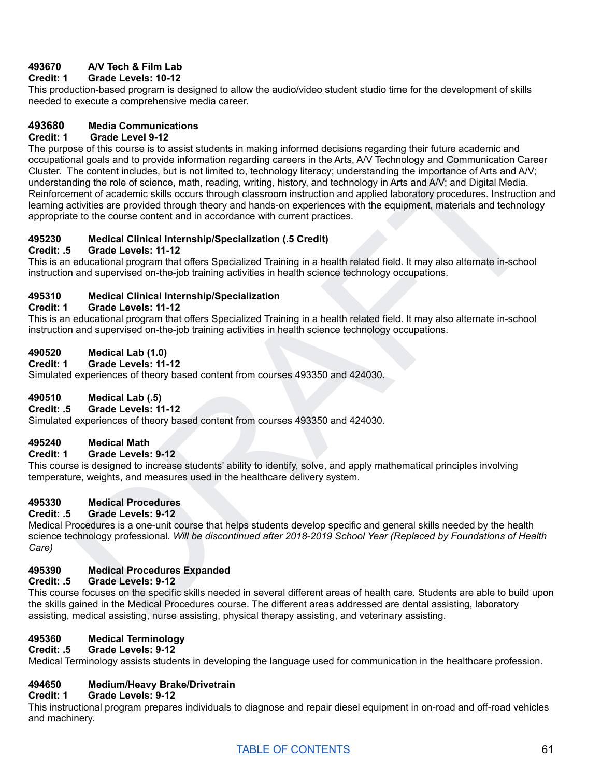# **493670 A/V Tech & Film Lab**

# **Credit: 1 Grade Levels: 10-12**

This production-based program is designed to allow the audio/video student studio time for the development of skills needed to execute a comprehensive media career.

# **493680 Media Communications**

#### **Credit: 1 Grade Level 9-12**

inal goals and to provide information regarding careers in the Arts, AV Technology and Communication Career<br>The content includes, but is not limited to, technology literacy, understanding the importance of Arts and AV:<br>
th The purpose of this course is to assist students in making informed decisions regarding their future academic and occupational goals and to provide information regarding careers in the Arts, A/V Technology and Communication Career Cluster. The content includes, but is not limited to, technology literacy; understanding the importance of Arts and A/V; understanding the role of science, math, reading, writing, history, and technology in Arts and A/V; and Digital Media. Reinforcement of academic skills occurs through classroom instruction and applied laboratory procedures. Instruction and learning activities are provided through theory and hands-on experiences with the equipment, materials and technology appropriate to the course content and in accordance with current practices.

# **495230 Medical Clinical Internship/Specialization (.5 Credit)**

# **Credit: .5 Grade Levels: 11-12**

This is an educational program that offers Specialized Training in a health related field. It may also alternate in-school instruction and supervised on-the-job training activities in health science technology occupations.

# **495310 Medical Clinical Internship/Specialization**

#### **Credit: 1 Grade Levels: 11-12**

This is an educational program that offers Specialized Training in a health related field. It may also alternate in-school instruction and supervised on-the-job training activities in health science technology occupations.

# **490520 Medical Lab (1.0)**

**Credit: 1 Grade Levels: 11-12**

Simulated experiences of theory based content from courses 493350 and 424030.

# **490510 Medical Lab (.5)**

# **Credit: .5 Grade Levels: 11-12**

Simulated experiences of theory based content from courses 493350 and 424030.

# **495240 Medical Math**

# **Credit: 1 Grade Levels: 9-12**

This course is designed to increase students' ability to identify, solve, and apply mathematical principles involving temperature, weights, and measures used in the healthcare delivery system.

# **495330 Medical Procedures**

# **Credit: .5 Grade Levels: 9-12**

Medical Procedures is a one-unit course that helps students develop specific and general skills needed by the health science technology professional. *Will be discontinued after 2018-2019 School Year (Replaced by Foundations of Health Care)*

# **495390 Medical Procedures Expanded**

# **Credit: .5 Grade Levels: 9-12**

This course focuses on the specific skills needed in several different areas of health care. Students are able to build upon the skills gained in the Medical Procedures course. The different areas addressed are dental assisting, laboratory assisting, medical assisting, nurse assisting, physical therapy assisting, and veterinary assisting.

# **495360 Medical Terminology**

#### **Credit: .5 Grade Levels: 9-12**

Medical Terminology assists students in developing the language used for communication in the healthcare profession.

# **494650 Medium/Heavy Brake/Drivetrain**

# **Credit: 1 Grade Levels: 9-12**

This instructional program prepares individuals to diagnose and repair diesel equipment in on-road and off-road vehicles and machinery.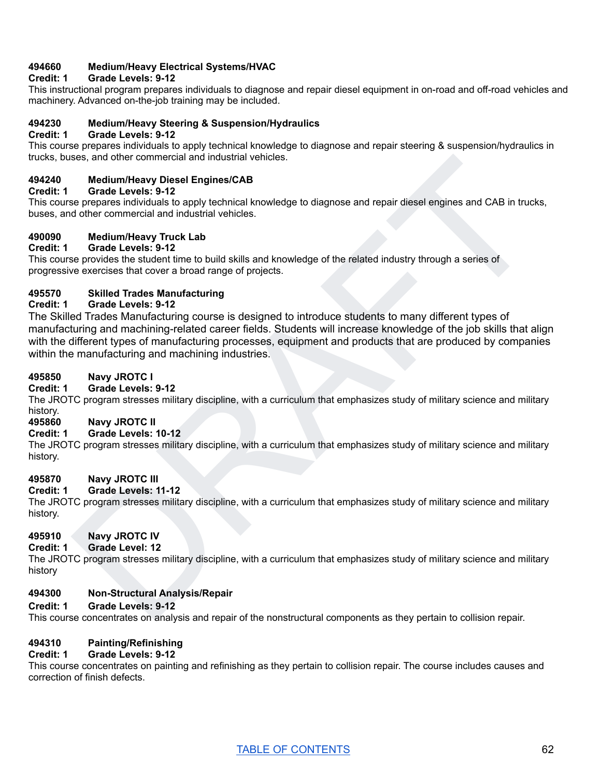# **494660 Medium/Heavy Electrical Systems/HVAC**

# **Credit: 1 Grade Levels: 9-12**

This instructional program prepares individuals to diagnose and repair diesel equipment in on-road and off-road vehicles and machinery. Advanced on-the-job training may be included.

#### **494230 Medium/Heavy Steering & Suspension/Hydraulics**

#### **Credit: 1 Grade Levels: 9-12**

This course prepares individuals to apply technical knowledge to diagnose and repair steering & suspension/hydraulics in trucks, buses, and other commercial and industrial vehicles.

# **494240 Medium/Heavy Diesel Engines/CAB**

#### **Credit: 1 Grade Levels: 9-12**

This course prepares individuals to apply technical knowledge to diagnose and repair diesel engines and CAB in trucks, buses, and other commercial and industrial vehicles.

# **490090 Medium/Heavy Truck Lab**

# **Credit: 1 Grade Levels: 9-12**

This course provides the student time to build skills and knowledge of the related industry through a series of progressive exercises that cover a broad range of projects.

# **495570 Skilled Trades Manufacturing**

#### **Credit: 1 Grade Levels: 9-12**

ses, and other tommercial and industrial vehicles.<br>
Medium-Hasse projections are projected as a proportion of the projections and consider a provide is a proportion of the set of the consideration of the consideration of o The Skilled Trades Manufacturing course is designed to introduce students to many different types of manufacturing and machining-related career fields. Students will increase knowledge of the job skills that align with the different types of manufacturing processes, equipment and products that are produced by companies within the manufacturing and machining industries.

#### **495850 Navy JROTC I**

#### **Credit: 1 Grade Levels: 9-12**

The JROTC program stresses military discipline, with a curriculum that emphasizes study of military science and military history.

# **495860 Navy JROTC II**

# **Credit: 1 Grade Levels: 10-12**

The JROTC program stresses military discipline, with a curriculum that emphasizes study of military science and military history.

#### **495870 Navy JROTC III**

#### **Credit: 1 Grade Levels: 11-12**

The JROTC program stresses military discipline, with a curriculum that emphasizes study of military science and military history.

# **495910 Navy JROTC IV**

#### **Credit: 1 Grade Level: 12**

The JROTC program stresses military discipline, with a curriculum that emphasizes study of military science and military history

#### **494300 Non-Structural Analysis/Repair**

#### **Credit: 1 Grade Levels: 9-12**

This course concentrates on analysis and repair of the nonstructural components as they pertain to collision repair.

#### **494310 Painting/Refinishing**

#### **Credit: 1 Grade Levels: 9-12**

This course concentrates on painting and refinishing as they pertain to collision repair. The course includes causes and correction of finish defects.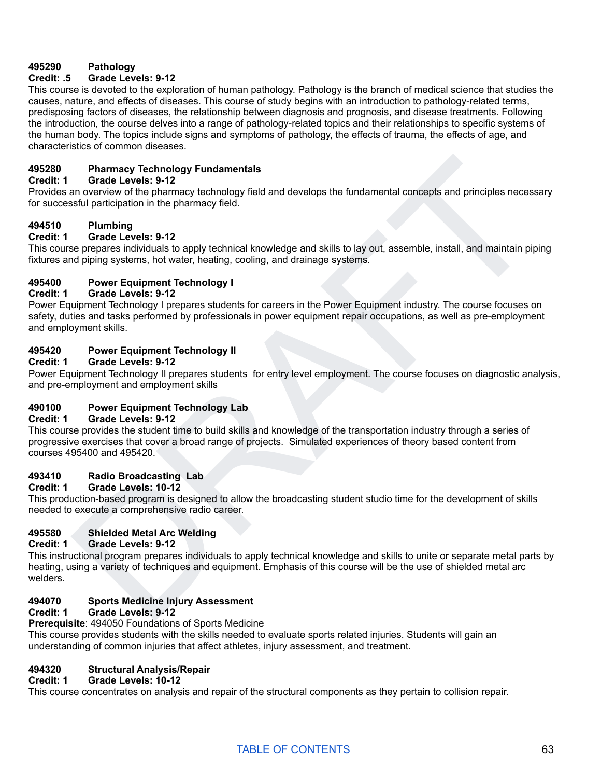# **495290 Pathology**

# **Credit: .5 Grade Levels: 9-12**

This course is devoted to the exploration of human pathology. Pathology is the branch of medical science that studies the causes, nature, and effects of diseases. This course of study begins with an introduction to pathology-related terms, predisposing factors of diseases, the relationship between diagnosis and prognosis, and disease treatments. Following the introduction, the course delves into a range of pathology-related topics and their relationships to specific systems of the human body. The topics include signs and symptoms of pathology, the effects of trauma, the effects of age, and characteristics of common diseases.

# **495280 Pharmacy Technology Fundamentals**

#### **Credit: 1 Grade Levels: 9-12**

Provides an overview of the pharmacy technology field and develops the fundamental concepts and principles necessary for successful participation in the pharmacy field.

# **494510 Plumbing**

#### **Credit: 1 Grade Levels: 9-12**

This course prepares individuals to apply technical knowledge and skills to lay out, assemble, install, and maintain piping fixtures and piping systems, hot water, heating, cooling, and drainage systems.

# **495400 Power Equipment Technology I**

#### **Credit: 1 Grade Levels: 9-12**

Pharmacy Technology Fundamentals<br>an overview of the pharmacy technology field and develops the fundamental concepts and principles necessary<br>and partocology field and develops the fundamental concepts and principles necess Power Equipment Technology I prepares students for careers in the Power Equipment industry. The course focuses on safety, duties and tasks performed by professionals in power equipment repair occupations, as well as pre-employment and employment skills.

# **495420 Power Equipment Technology II**

# **Credit: 1 Grade Levels: 9-12**

Power Equipment Technology II prepares students for entry level employment. The course focuses on diagnostic analysis, and pre-employment and employment skills

# **490100 Power Equipment Technology Lab**

#### **Credit: 1 Grade Levels: 9-12**

This course provides the student time to build skills and knowledge of the transportation industry through a series of progressive exercises that cover a broad range of projects. Simulated experiences of theory based content from courses 495400 and 495420.

# **493410 Radio Broadcasting Lab**

#### **Credit: 1 Grade Levels: 10-12**

This production-based program is designed to allow the broadcasting student studio time for the development of skills needed to execute a comprehensive radio career.

# **495580 Shielded Metal Arc Welding**

#### **Credit: 1 Grade Levels: 9-12**

This instructional program prepares individuals to apply technical knowledge and skills to unite or separate metal parts by heating, using a variety of techniques and equipment. Emphasis of this course will be the use of shielded metal arc welders.

# **494070 Sports Medicine Injury Assessment**

# **Credit: 1 Grade Levels: 9-12**

#### **Prerequisite**: 494050 Foundations of Sports Medicine

This course provides students with the skills needed to evaluate sports related injuries. Students will gain an understanding of common injuries that affect athletes, injury assessment, and treatment.

# **494320 Structural Analysis/Repair**

# **Credit: 1 Grade Levels: 10-12**

This course concentrates on analysis and repair of the structural components as they pertain to collision repair.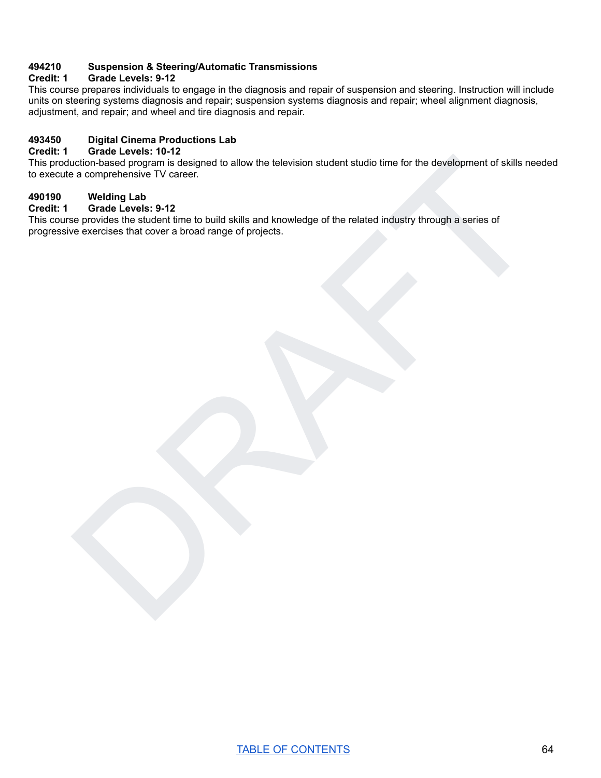# **494210 Suspension & Steering/Automatic Transmissions**

#### **Credit: 1 Grade Levels: 9-12**

This course prepares individuals to engage in the diagnosis and repair of suspension and steering. Instruction will include units on steering systems diagnosis and repair; suspension systems diagnosis and repair; wheel alignment diagnosis, adjustment, and repair; and wheel and tire diagnosis and repair.

# **493450 Digital Cinema Productions Lab**

# **Credit: 1 Grade Levels: 10-12**

uction-based program is designed to allow the television student studio time for the development of skills needed<br>of a comprehensive TV career.<br>Welding Lab<br>welding Lab<br>se provides the student time to build skills and knowl This production-based program is designed to allow the television student studio time for the development of skills needed to execute a comprehensive TV career.

# **490190 Welding Lab**

#### **Credit: 1 Grade Levels: 9-12**

This course provides the student time to build skills and knowledge of the related industry through a series of progressive exercises that cover a broad range of projects.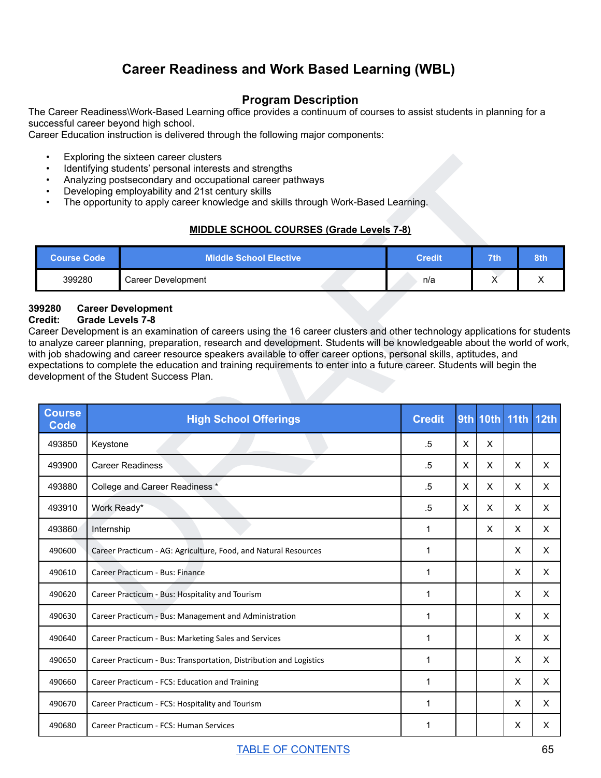# **Career Readiness and Work Based Learning (WBL)**

# **Program Description**

The Career Readiness\Work-Based Learning office provides a continuum of courses to assist students in planning for a successful career beyond high school.

Career Education instruction is delivered through the following major components:

- Exploring the sixteen career clusters
- Identifying students' personal interests and strengths
- Analyzing postsecondary and occupational career pathways
- Developing employability and 21st century skills
- The opportunity to apply career knowledge and skills through Work-Based Learning.

# **MIDDLE SCHOOL COURSES (Grade Levels 7-8)**

|        | <b>Middle School Elective</b> | <b>Credit</b> | <b>7th</b> | 8th <sup>'</sup> |
|--------|-------------------------------|---------------|------------|------------------|
| 399280 | Career Development            | n/a           | ,,         |                  |

# **399280 Career Development**

#### **Credit: Grade Levels 7-8**

| $\bullet$<br>٠               | Exploring the sixteen career clusters<br>Identifying students' personal interests and strengths<br>Analyzing postsecondary and occupational career pathways<br>Developing employability and 21st century skills<br>The opportunity to apply career knowledge and skills through Work-Based Learning.<br><b>MIDDLE SCHOOL COURSES (Grade Levels 7-8)</b>                                                                                                                                                                                                                                                 |               |                           |     |                    |          |  |
|------------------------------|---------------------------------------------------------------------------------------------------------------------------------------------------------------------------------------------------------------------------------------------------------------------------------------------------------------------------------------------------------------------------------------------------------------------------------------------------------------------------------------------------------------------------------------------------------------------------------------------------------|---------------|---------------------------|-----|--------------------|----------|--|
| <b>Course Code</b>           | <b>Middle School Elective</b>                                                                                                                                                                                                                                                                                                                                                                                                                                                                                                                                                                           | <b>Credit</b> |                           | 7th |                    | 8th      |  |
| 399280                       | <b>Career Development</b>                                                                                                                                                                                                                                                                                                                                                                                                                                                                                                                                                                               | n/a           |                           | X   |                    | Χ        |  |
| 99280<br>redit:              | <b>Career Development</b><br><b>Grade Levels 7-8</b><br>areer Development is an examination of careers using the 16 career clusters and other technology applications for students<br>analyze career planning, preparation, research and development. Students will be knowledgeable about the world of work,<br>ith job shadowing and career resource speakers available to offer career options, personal skills, aptitudes, and<br>xpectations to complete the education and training requirements to enter into a future career. Students will begin the<br>evelopment of the Student Success Plan. |               |                           |     |                    |          |  |
| <b>Course</b><br><b>Code</b> | <b>High School Offerings</b>                                                                                                                                                                                                                                                                                                                                                                                                                                                                                                                                                                            | <b>Credit</b> |                           |     | 9th 10th 11th 12th |          |  |
| 493850                       | Keystone                                                                                                                                                                                                                                                                                                                                                                                                                                                                                                                                                                                                | .5            | X                         | X   |                    |          |  |
| 493900                       | <b>Career Readiness</b>                                                                                                                                                                                                                                                                                                                                                                                                                                                                                                                                                                                 | .5            | $\boldsymbol{\mathsf{X}}$ | X   | X                  | X        |  |
| 493880                       | College and Career Readiness *                                                                                                                                                                                                                                                                                                                                                                                                                                                                                                                                                                          | $.5\,$        | $\times$                  | X   | X                  | X        |  |
| 493910                       | Work Ready*                                                                                                                                                                                                                                                                                                                                                                                                                                                                                                                                                                                             | $.5\,$        | X                         | X   | X                  | X        |  |
| 493860                       | Internship                                                                                                                                                                                                                                                                                                                                                                                                                                                                                                                                                                                              | $\mathbf 1$   |                           | X   | X                  | X        |  |
| 490600                       | Career Practicum - AG: Agriculture, Food, and Natural Resources                                                                                                                                                                                                                                                                                                                                                                                                                                                                                                                                         | $\mathbf 1$   |                           |     | X                  | X        |  |
| 490610                       | Career Practicum - Bus: Finance                                                                                                                                                                                                                                                                                                                                                                                                                                                                                                                                                                         | 1             |                           |     | X                  | X        |  |
| 490620                       | Career Practicum - Bus: Hospitality and Tourism                                                                                                                                                                                                                                                                                                                                                                                                                                                                                                                                                         | 1             |                           |     | Χ                  | Χ        |  |
| 490630                       | Career Practicum - Bus: Management and Administration                                                                                                                                                                                                                                                                                                                                                                                                                                                                                                                                                   | 1             |                           |     | X                  | $\times$ |  |
| 490640                       | Career Practicum - Bus: Marketing Sales and Services                                                                                                                                                                                                                                                                                                                                                                                                                                                                                                                                                    | 1             |                           |     | X                  | X.       |  |
| 490650                       | Career Practicum - Bus: Transportation, Distribution and Logistics                                                                                                                                                                                                                                                                                                                                                                                                                                                                                                                                      | $\mathbf 1$   |                           |     | X                  | X        |  |
| 490660                       | Career Practicum - FCS: Education and Training                                                                                                                                                                                                                                                                                                                                                                                                                                                                                                                                                          | 1             |                           |     | X                  | X        |  |
| 490670                       | Career Practicum - FCS: Hospitality and Tourism                                                                                                                                                                                                                                                                                                                                                                                                                                                                                                                                                         | 1             |                           |     | X                  | X        |  |
| 490680                       | Career Practicum - FCS: Human Services                                                                                                                                                                                                                                                                                                                                                                                                                                                                                                                                                                  | $\mathbf 1$   |                           |     | X                  | X        |  |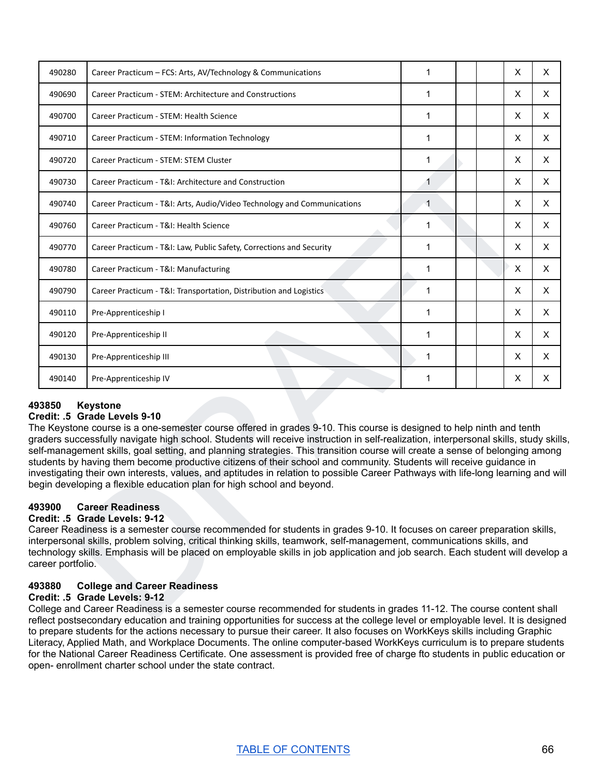| X<br>490280<br>Career Practicum - FCS: Arts, AV/Technology & Communications<br>1<br>X<br>490690<br>Career Practicum - STEM: Architecture and Constructions<br>1<br>490700<br>1<br>X.<br>Career Practicum - STEM: Health Science<br>1<br>X<br>490710<br>Career Practicum - STEM: Information Technology<br>1<br>X<br>490720<br>Career Practicum - STEM: STEM Cluster<br>X<br>490730<br>Career Practicum - T&I: Architecture and Construction<br>1<br>X<br>490740<br>$\mathbf 1$<br>Career Practicum - T&I: Arts, Audio/Video Technology and Communications<br>X<br>490760<br>Career Practicum - T&I: Health Science<br>1<br>1<br>X<br>490770<br>Career Practicum - T&I: Law, Public Safety, Corrections and Security<br>X<br>490780<br>Career Practicum - T&I: Manufacturing<br>1<br>1<br>X<br>Career Practicum - T&I: Transportation, Distribution and Logistics<br>490790<br>X<br>1<br>490110<br>Pre-Apprenticeship I<br>X<br>490120<br>1<br>Pre-Apprenticeship II<br>X<br>1<br>490130<br>Pre-Apprenticeship III<br>X<br>1<br>490140<br>Pre-Apprenticeship IV | X<br>X.<br>X.<br>X<br>X<br>X<br>X<br>X<br>X<br>X<br>X<br>X<br>X<br>X<br>X<br><b>Keystone</b><br>aders successfully navigate high school. Students will receive instruction in self-realization, interpersonal skills, study skills,<br>lf-management skills, goal setting, and planning strategies. This transition course will create a sense of belonging among<br>vestigating their own interests, values, and aptitudes in relation to possible Career Pathways with life-long learning and will<br>egin developing a flexible education plan for high school and beyond. |       |                                                                                                                                                                                                                                                                                                                             |  |  |  |
|----------------------------------------------------------------------------------------------------------------------------------------------------------------------------------------------------------------------------------------------------------------------------------------------------------------------------------------------------------------------------------------------------------------------------------------------------------------------------------------------------------------------------------------------------------------------------------------------------------------------------------------------------------------------------------------------------------------------------------------------------------------------------------------------------------------------------------------------------------------------------------------------------------------------------------------------------------------------------------------------------------------------------------------------------------------|-------------------------------------------------------------------------------------------------------------------------------------------------------------------------------------------------------------------------------------------------------------------------------------------------------------------------------------------------------------------------------------------------------------------------------------------------------------------------------------------------------------------------------------------------------------------------------|-------|-----------------------------------------------------------------------------------------------------------------------------------------------------------------------------------------------------------------------------------------------------------------------------------------------------------------------------|--|--|--|
|                                                                                                                                                                                                                                                                                                                                                                                                                                                                                                                                                                                                                                                                                                                                                                                                                                                                                                                                                                                                                                                                |                                                                                                                                                                                                                                                                                                                                                                                                                                                                                                                                                                               |       |                                                                                                                                                                                                                                                                                                                             |  |  |  |
|                                                                                                                                                                                                                                                                                                                                                                                                                                                                                                                                                                                                                                                                                                                                                                                                                                                                                                                                                                                                                                                                |                                                                                                                                                                                                                                                                                                                                                                                                                                                                                                                                                                               |       |                                                                                                                                                                                                                                                                                                                             |  |  |  |
|                                                                                                                                                                                                                                                                                                                                                                                                                                                                                                                                                                                                                                                                                                                                                                                                                                                                                                                                                                                                                                                                |                                                                                                                                                                                                                                                                                                                                                                                                                                                                                                                                                                               |       |                                                                                                                                                                                                                                                                                                                             |  |  |  |
|                                                                                                                                                                                                                                                                                                                                                                                                                                                                                                                                                                                                                                                                                                                                                                                                                                                                                                                                                                                                                                                                |                                                                                                                                                                                                                                                                                                                                                                                                                                                                                                                                                                               |       |                                                                                                                                                                                                                                                                                                                             |  |  |  |
|                                                                                                                                                                                                                                                                                                                                                                                                                                                                                                                                                                                                                                                                                                                                                                                                                                                                                                                                                                                                                                                                |                                                                                                                                                                                                                                                                                                                                                                                                                                                                                                                                                                               |       |                                                                                                                                                                                                                                                                                                                             |  |  |  |
|                                                                                                                                                                                                                                                                                                                                                                                                                                                                                                                                                                                                                                                                                                                                                                                                                                                                                                                                                                                                                                                                |                                                                                                                                                                                                                                                                                                                                                                                                                                                                                                                                                                               |       |                                                                                                                                                                                                                                                                                                                             |  |  |  |
|                                                                                                                                                                                                                                                                                                                                                                                                                                                                                                                                                                                                                                                                                                                                                                                                                                                                                                                                                                                                                                                                |                                                                                                                                                                                                                                                                                                                                                                                                                                                                                                                                                                               |       |                                                                                                                                                                                                                                                                                                                             |  |  |  |
|                                                                                                                                                                                                                                                                                                                                                                                                                                                                                                                                                                                                                                                                                                                                                                                                                                                                                                                                                                                                                                                                |                                                                                                                                                                                                                                                                                                                                                                                                                                                                                                                                                                               |       |                                                                                                                                                                                                                                                                                                                             |  |  |  |
|                                                                                                                                                                                                                                                                                                                                                                                                                                                                                                                                                                                                                                                                                                                                                                                                                                                                                                                                                                                                                                                                |                                                                                                                                                                                                                                                                                                                                                                                                                                                                                                                                                                               |       |                                                                                                                                                                                                                                                                                                                             |  |  |  |
|                                                                                                                                                                                                                                                                                                                                                                                                                                                                                                                                                                                                                                                                                                                                                                                                                                                                                                                                                                                                                                                                |                                                                                                                                                                                                                                                                                                                                                                                                                                                                                                                                                                               |       |                                                                                                                                                                                                                                                                                                                             |  |  |  |
|                                                                                                                                                                                                                                                                                                                                                                                                                                                                                                                                                                                                                                                                                                                                                                                                                                                                                                                                                                                                                                                                |                                                                                                                                                                                                                                                                                                                                                                                                                                                                                                                                                                               |       |                                                                                                                                                                                                                                                                                                                             |  |  |  |
|                                                                                                                                                                                                                                                                                                                                                                                                                                                                                                                                                                                                                                                                                                                                                                                                                                                                                                                                                                                                                                                                |                                                                                                                                                                                                                                                                                                                                                                                                                                                                                                                                                                               |       |                                                                                                                                                                                                                                                                                                                             |  |  |  |
|                                                                                                                                                                                                                                                                                                                                                                                                                                                                                                                                                                                                                                                                                                                                                                                                                                                                                                                                                                                                                                                                |                                                                                                                                                                                                                                                                                                                                                                                                                                                                                                                                                                               |       |                                                                                                                                                                                                                                                                                                                             |  |  |  |
|                                                                                                                                                                                                                                                                                                                                                                                                                                                                                                                                                                                                                                                                                                                                                                                                                                                                                                                                                                                                                                                                |                                                                                                                                                                                                                                                                                                                                                                                                                                                                                                                                                                               |       |                                                                                                                                                                                                                                                                                                                             |  |  |  |
|                                                                                                                                                                                                                                                                                                                                                                                                                                                                                                                                                                                                                                                                                                                                                                                                                                                                                                                                                                                                                                                                |                                                                                                                                                                                                                                                                                                                                                                                                                                                                                                                                                                               |       |                                                                                                                                                                                                                                                                                                                             |  |  |  |
| 93850<br>redit: .5 Grade Levels 9-10<br>ne Keystone course is a one-semester course offered in grades 9-10. This course is designed to help ninth and tenth<br>udents by having them become productive citizens of their school and community. Students will receive guidance in                                                                                                                                                                                                                                                                                                                                                                                                                                                                                                                                                                                                                                                                                                                                                                               |                                                                                                                                                                                                                                                                                                                                                                                                                                                                                                                                                                               |       |                                                                                                                                                                                                                                                                                                                             |  |  |  |
| <b>Career Readiness</b><br>93900<br>redit: .5  Grade Levels: 9-12<br>areer Readiness is a semester course recommended for students in grades 9-10. It focuses on career preparation skills,<br>terpersonal skills, problem solving, critical thinking skills, teamwork, self-management, communications skills, and<br>chnology skills. Emphasis will be placed on employable skills in job application and job search. Each student will develop a<br>areer portfolio.                                                                                                                                                                                                                                                                                                                                                                                                                                                                                                                                                                                        |                                                                                                                                                                                                                                                                                                                                                                                                                                                                                                                                                                               | 93880 | <b>College and Career Readiness</b><br>redit: .5 Grade Levels: 9-12<br>ollege and Career Readiness is a semester course recommended for students in grades 11-12. The course content shall<br>flect nostsecondary education and training opportunities for success at the college level or employable level. It is designed |  |  |  |

#### **493850 Keystone Credit: .5 Grade Levels 9-10**

# **493900 Career Readiness**

# **Credit: .5 Grade Levels: 9-12**

# **493880 College and Career Readiness**

#### **Credit: .5 Grade Levels: 9-12**

College and Career Readiness is a semester course recommended for students in grades 11-12. The course content shall reflect postsecondary education and training opportunities for success at the college level or employable level. It is designed to prepare students for the actions necessary to pursue their career. It also focuses on WorkKeys skills including Graphic Literacy, Applied Math, and Workplace Documents. The online computer-based WorkKeys curriculum is to prepare students for the National Career Readiness Certificate. One assessment is provided free of charge fto students in public education or open- enrollment charter school under the state contract.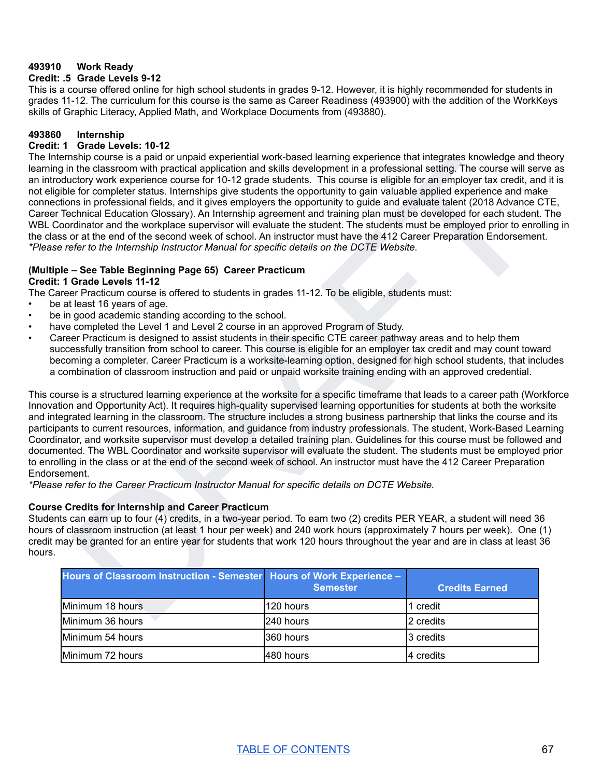# **493910 Work Ready**

#### **Credit: .5 Grade Levels 9-12**

This is a course offered online for high school students in grades 9-12. However, it is highly recommended for students in grades 11-12. The curriculum for this course is the same as Career Readiness (493900) with the addition of the WorkKeys skills of Graphic Literacy, Applied Math, and Workplace Documents from (493880).

#### **493860 Internship**

#### **Credit: 1 Grade Levels: 10-12**

haling courses is paid or unpaid experiential work-based learning experience far integrates knowledge and fieroy<br>the classicon with packinal application and skills development in a professional selling. The course will se The Internship course is a paid or unpaid experiential work-based learning experience that integrates knowledge and theory learning in the classroom with practical application and skills development in a professional setting. The course will serve as an introductory work experience course for 10-12 grade students. This course is eligible for an employer tax credit, and it is not eligible for completer status. Internships give students the opportunity to gain valuable applied experience and make connections in professional fields, and it gives employers the opportunity to guide and evaluate talent (2018 Advance CTE, Career Technical Education Glossary). An Internship agreement and training plan must be developed for each student. The WBL Coordinator and the workplace supervisor will evaluate the student. The students must be employed prior to enrolling in the class or at the end of the second week of school. An instructor must have the 412 Career Preparation Endorsement. *\*Please refer to the Internship Instructor Manual for specific details on the DCTE Website.*

# **(Multiple – See Table Beginning Page 65) Career Practicum**

#### **Credit: 1 Grade Levels 11-12**

The Career Practicum course is offered to students in grades 11-12. To be eligible, students must:

- be at least 16 years of age.
- be in good academic standing according to the school.
- have completed the Level 1 and Level 2 course in an approved Program of Study.
- Career Practicum is designed to assist students in their specific CTE career pathway areas and to help them successfully transition from school to career. This course is eligible for an employer tax credit and may count toward becoming a completer. Career Practicum is a worksite-learning option, designed for high school students, that includes a combination of classroom instruction and paid or unpaid worksite training ending with an approved credential.

This course is a structured learning experience at the worksite for a specific timeframe that leads to a career path (Workforce Innovation and Opportunity Act). It requires high-quality supervised learning opportunities for students at both the worksite and integrated learning in the classroom. The structure includes a strong business partnership that links the course and its participants to current resources, information, and guidance from industry professionals. The student, Work-Based Learning Coordinator, and worksite supervisor must develop a detailed training plan. Guidelines for this course must be followed and documented. The WBL Coordinator and worksite supervisor will evaluate the student. The students must be employed prior to enrolling in the class or at the end of the second week of school. An instructor must have the 412 Career Preparation Endorsement.

*\*Please refer to the Career Practicum Instructor Manual for specific details on DCTE Website.*

#### **Course Credits for Internship and Career Practicum**

Students can earn up to four (4) credits, in a two-year period. To earn two (2) credits PER YEAR, a student will need 36 hours of classroom instruction (at least 1 hour per week) and 240 work hours (approximately 7 hours per week). One (1) credit may be granted for an entire year for students that work 120 hours throughout the year and are in class at least 36 hours.

| Hours of Classroom Instruction - Semester Hours of Work Experience - | <b>Semester</b> | <b>Credits Earned</b> |
|----------------------------------------------------------------------|-----------------|-----------------------|
| Minimum 18 hours                                                     | l120 hours      | 1 credit              |
| Minimum 36 hours                                                     | 240 hours       | 2 credits             |
| Minimum 54 hours                                                     | 1360 hours      | 3 credits             |
| Minimum 72 hours                                                     | 1480 hours      | I4 credits            |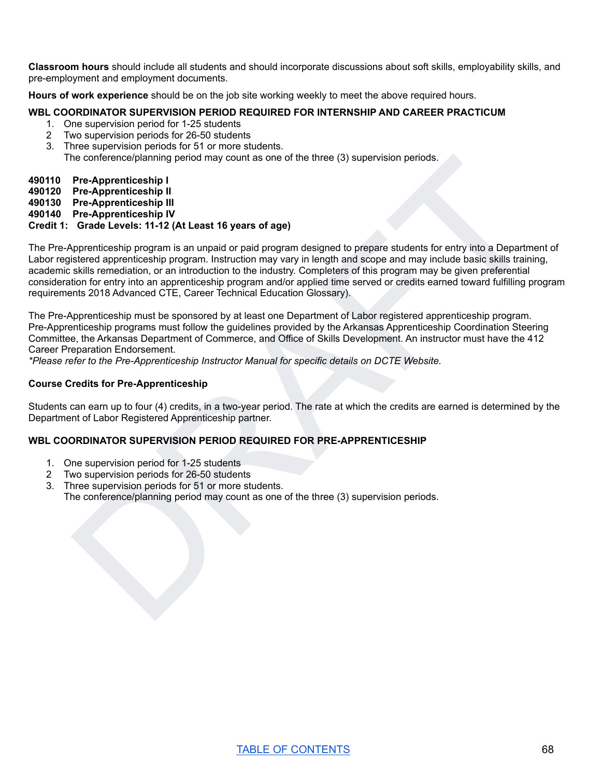**Classroom hours** should include all students and should incorporate discussions about soft skills, employability skills, and pre-employment and employment documents.

**Hours of work experience** should be on the job site working weekly to meet the above required hours.

# **WBL COORDINATOR SUPERVISION PERIOD REQUIRED FOR INTERNSHIP AND CAREER PRACTICUM**

- 1. One supervision period for 1-25 students
- 2 Two supervision periods for 26-50 students
- 3. Three supervision periods for 51 or more students.
	- The conference/planning period may count as one of the three (3) supervision periods.

#### **490110 Pre-Apprenticeship I**

- **490120 Pre-Apprenticeship II**
- **490130 Pre-Apprenticeship III**
- **490140 Pre-Apprenticeship IV**

# **Credit 1: Grade Levels: 11-12 (At Least 16 years of age)**

he conference/planning period may count as one of the three (3) supervision periods.<br>
Pre-Apprenticeship III<br>
Pre-Apprenticeship III<br>
Pre-Apprenticeship III<br>
DRAFTENT IV IV IS and the system of age of approximate of the pr The Pre-Apprenticeship program is an unpaid or paid program designed to prepare students for entry into a Department of Labor registered apprenticeship program. Instruction may vary in length and scope and may include basic skills training, academic skills remediation, or an introduction to the industry. Completers of this program may be given preferential consideration for entry into an apprenticeship program and/or applied time served or credits earned toward fulfilling program requirements 2018 Advanced CTE, Career Technical Education Glossary).

The Pre-Apprenticeship must be sponsored by at least one Department of Labor registered apprenticeship program. Pre-Apprenticeship programs must follow the guidelines provided by the Arkansas Apprenticeship Coordination Steering Committee, the Arkansas Department of Commerce, and Office of Skills Development. An instructor must have the 412 Career Preparation Endorsement.

*\*Please refer to the Pre-Apprenticeship Instructor Manual for specific details on DCTE Website.*

#### **Course Credits for Pre-Apprenticeship**

Students can earn up to four (4) credits, in a two-year period. The rate at which the credits are earned is determined by the Department of Labor Registered Apprenticeship partner.

# **WBL COORDINATOR SUPERVISION PERIOD REQUIRED FOR PRE-APPRENTICESHIP**

- 1. One supervision period for 1-25 students
- 2 Two supervision periods for 26-50 students
- 3. Three supervision periods for 51 or more students. The conference/planning period may count as one of the three (3) supervision periods.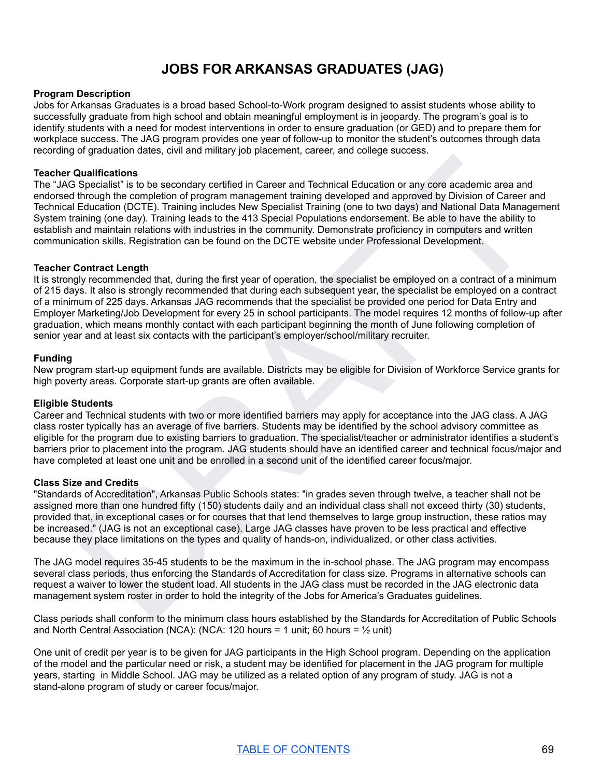# **JOBS FOR ARKANSAS GRADUATES (JAG)**

#### **Program Description**

Jobs for Arkansas Graduates is a broad based School-to-Work program designed to assist students whose ability to successfully graduate from high school and obtain meaningful employment is in jeopardy. The program's goal is to identify students with a need for modest interventions in order to ensure graduation (or GED) and to prepare them for workplace success. The JAG program provides one year of follow-up to monitor the student's outcomes through data recording of graduation dates, civil and military job placement, career, and college success.

#### **Teacher Qualifications**

The "JAG Specialist" is to be secondary certified in Career and Technical Education or any core academic area and endorsed through the completion of program management training developed and approved by Division of Career and Technical Education (DCTE). Training includes New Specialist Training (one to two days) and National Data Management System training (one day). Training leads to the 413 Special Populations endorsement. Be able to have the ability to establish and maintain relations with industries in the community. Demonstrate proficiency in computers and written communication skills. Registration can be found on the DCTE website under Professional Development.

#### **Teacher Contract Length**

<sup>9</sup> Qualifications<br>
Capacitait is the secondary certified in Career and Technical Education or any core academic area and<br>
Discussion of program management training developed and approved by Division of Career and<br>
If choc It is strongly recommended that, during the first year of operation, the specialist be employed on a contract of a minimum of 215 days. It also is strongly recommended that during each subsequent year, the specialist be employed on a contract of a minimum of 225 days. Arkansas JAG recommends that the specialist be provided one period for Data Entry and Employer Marketing/Job Development for every 25 in school participants. The model requires 12 months of follow-up after graduation, which means monthly contact with each participant beginning the month of June following completion of senior year and at least six contacts with the participant's employer/school/military recruiter.

#### **Funding**

New program start-up equipment funds are available. Districts may be eligible for Division of Workforce Service grants for high poverty areas. Corporate start-up grants are often available.

#### **Eligible Students**

Career and Technical students with two or more identified barriers may apply for acceptance into the JAG class. A JAG class roster typically has an average of five barriers. Students may be identified by the school advisory committee as eligible for the program due to existing barriers to graduation. The specialist/teacher or administrator identifies a student's barriers prior to placement into the program. JAG students should have an identified career and technical focus/major and have completed at least one unit and be enrolled in a second unit of the identified career focus/major.

#### **Class Size and Credits**

"Standards of Accreditation", Arkansas Public Schools states: "in grades seven through twelve, a teacher shall not be assigned more than one hundred fifty (150) students daily and an individual class shall not exceed thirty (30) students, provided that, in exceptional cases or for courses that that lend themselves to large group instruction, these ratios may be increased." (JAG is not an exceptional case). Large JAG classes have proven to be less practical and effective because they place limitations on the types and quality of hands-on, individualized, or other class activities.

The JAG model requires 35-45 students to be the maximum in the in-school phase. The JAG program may encompass several class periods, thus enforcing the Standards of Accreditation for class size. Programs in alternative schools can request a waiver to lower the student load. All students in the JAG class must be recorded in the JAG electronic data management system roster in order to hold the integrity of the Jobs for America's Graduates guidelines.

Class periods shall conform to the minimum class hours established by the Standards for Accreditation of Public Schools and North Central Association (NCA): (NCA: 120 hours = 1 unit; 60 hours =  $\frac{1}{2}$  unit)

One unit of credit per year is to be given for JAG participants in the High School program. Depending on the application of the model and the particular need or risk, a student may be identified for placement in the JAG program for multiple years, starting in Middle School. JAG may be utilized as a related option of any program of study. JAG is not a stand-alone program of study or career focus/major.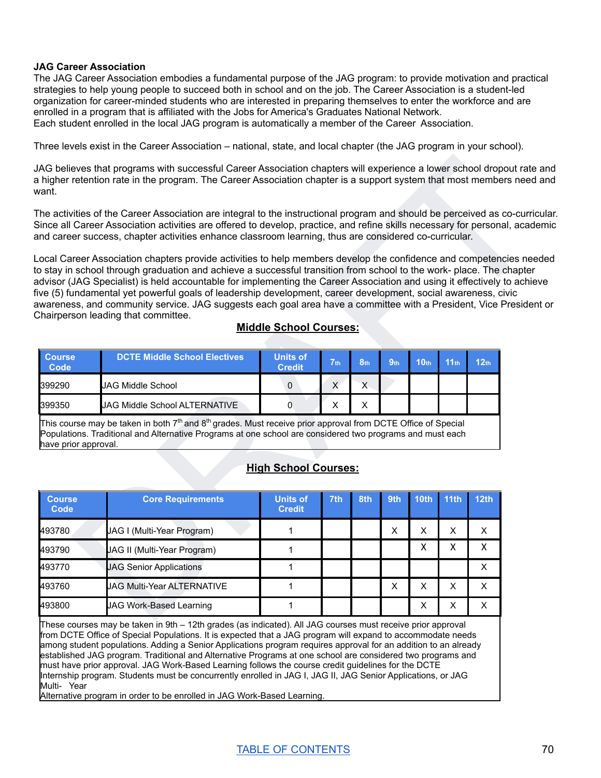#### **JAG Career Association**

The JAG Career Association embodies a fundamental purpose of the JAG program: to provide motivation and practical strategies to help young people to succeed both in school and on the job. The Career Association is a student-led organization for career-minded students who are interested in preparing themselves to enter the workforce and are enrolled in a program that is affiliated with the Jobs for America's Graduates National Network. Each student enrolled in the local JAG program is automatically a member of the Career Association.

Three levels exist in the Career Association – national, state, and local chapter (the JAG program in your school).

# **Middle School Courses:**

| <b>Course</b><br><b>Code</b> | DCTE Middle School Electives         | Units of<br><b>Credit</b> | $\nabla$ th  | S <sub>th</sub> | 9 <sub>th</sub> | 10 <sub>th</sub> | 11 <sub>th</sub> | 12 <sub>th</sub> |
|------------------------------|--------------------------------------|---------------------------|--------------|-----------------|-----------------|------------------|------------------|------------------|
| 399290                       | <b>JAG Middle School</b>             |                           | $\checkmark$ |                 |                 |                  |                  |                  |
| 399350                       | <b>JAG Middle School ALTERNATIVE</b> |                           | v<br>⌒       | ↗               |                 |                  |                  |                  |

# **High School Courses:**

| vant.                 | AG believes that programs with successful Career Association chapters will experience a lower school dropout rate and<br>higher retention rate in the program. The Career Association chapter is a support system that most members need and                                                                                                                                                                                                                                                                                                                                                                                                     |                                  |                 |                 |                 |                  |                  |                  |  |
|-----------------------|--------------------------------------------------------------------------------------------------------------------------------------------------------------------------------------------------------------------------------------------------------------------------------------------------------------------------------------------------------------------------------------------------------------------------------------------------------------------------------------------------------------------------------------------------------------------------------------------------------------------------------------------------|----------------------------------|-----------------|-----------------|-----------------|------------------|------------------|------------------|--|
|                       | The activities of the Career Association are integral to the instructional program and should be perceived as co-curricular.<br>Since all Career Association activities are offered to develop, practice, and refine skills necessary for personal, academic<br>ind career success, chapter activities enhance classroom learning, thus are considered co-curricular.                                                                                                                                                                                                                                                                            |                                  |                 |                 |                 |                  |                  |                  |  |
|                       | ocal Career Association chapters provide activities to help members develop the confidence and competencies needed<br>o stay in school through graduation and achieve a successful transition from school to the work-place. The chapter<br>dvisor (JAG Specialist) is held accountable for implementing the Career Association and using it effectively to achieve<br>ive (5) fundamental yet powerful goals of leadership development, career development, social awareness, civic<br>wareness, and community service. JAG suggests each goal area have a committee with a President, Vice President or<br>Chairperson leading that committee. | <b>Middle School Courses:</b>    |                 |                 |                 |                  |                  |                  |  |
| <b>Course</b>         | <b>DCTE Middle School Electives</b>                                                                                                                                                                                                                                                                                                                                                                                                                                                                                                                                                                                                              | <b>Units of</b><br><b>Credit</b> | 7 <sub>th</sub> | 8 <sub>th</sub> | 9 <sub>th</sub> | 10 <sub>th</sub> | 11 <sub>th</sub> | 12 <sub>th</sub> |  |
| Code                  |                                                                                                                                                                                                                                                                                                                                                                                                                                                                                                                                                                                                                                                  |                                  |                 |                 |                 |                  |                  |                  |  |
| 399290                | <b>JAG Middle School</b>                                                                                                                                                                                                                                                                                                                                                                                                                                                                                                                                                                                                                         | $\mathbf 0$                      | $\mathsf{X}$    | $\mathsf{X}$    |                 |                  |                  |                  |  |
| 399350                | JAG Middle School ALTERNATIVE                                                                                                                                                                                                                                                                                                                                                                                                                                                                                                                                                                                                                    | 0                                | X               | X               |                 |                  |                  |                  |  |
| have prior approval.  | This course may be taken in both $7th$ and $8th$ grades. Must receive prior approval from DCTE Office of Special<br>Populations. Traditional and Alternative Programs at one school are considered two programs and must each                                                                                                                                                                                                                                                                                                                                                                                                                    | <b>High School Courses:</b>      |                 |                 |                 |                  |                  |                  |  |
| <b>Course</b><br>Code | <b>Core Requirements</b>                                                                                                                                                                                                                                                                                                                                                                                                                                                                                                                                                                                                                         | <b>Units of</b><br><b>Credit</b> | 7th             | 8th             | 9th             | <b>10th</b>      | 11th             | <b>12th</b>      |  |
| 493780                | JAG I (Multi-Year Program)                                                                                                                                                                                                                                                                                                                                                                                                                                                                                                                                                                                                                       | 1                                |                 |                 | X               | X                | X                | X                |  |
| 493790                | JAG II (Multi-Year Program)                                                                                                                                                                                                                                                                                                                                                                                                                                                                                                                                                                                                                      | 1                                |                 |                 |                 | X                | X                | X                |  |
| 493770                | <b>JAG Senior Applications</b>                                                                                                                                                                                                                                                                                                                                                                                                                                                                                                                                                                                                                   | 1                                |                 |                 |                 |                  |                  | X                |  |
| 493760                | JAG Multi-Year ALTERNATIVE                                                                                                                                                                                                                                                                                                                                                                                                                                                                                                                                                                                                                       | 1                                |                 |                 | X               | X.               | X.               | X                |  |

These courses may be taken in 9th – 12th grades (as indicated). All JAG courses must receive prior approval from DCTE Office of Special Populations. It is expected that a JAG program will expand to accommodate needs among student populations. Adding a Senior Applications program requires approval for an addition to an already established JAG program. Traditional and Alternative Programs at one school are considered two programs and must have prior approval. JAG Work-Based Learning follows the course credit guidelines for the DCTE Internship program. Students must be concurrently enrolled in JAG I, JAG II, JAG Senior Applications, or JAG Multi- Year

Alternative program in order to be enrolled in JAG Work-Based Learning.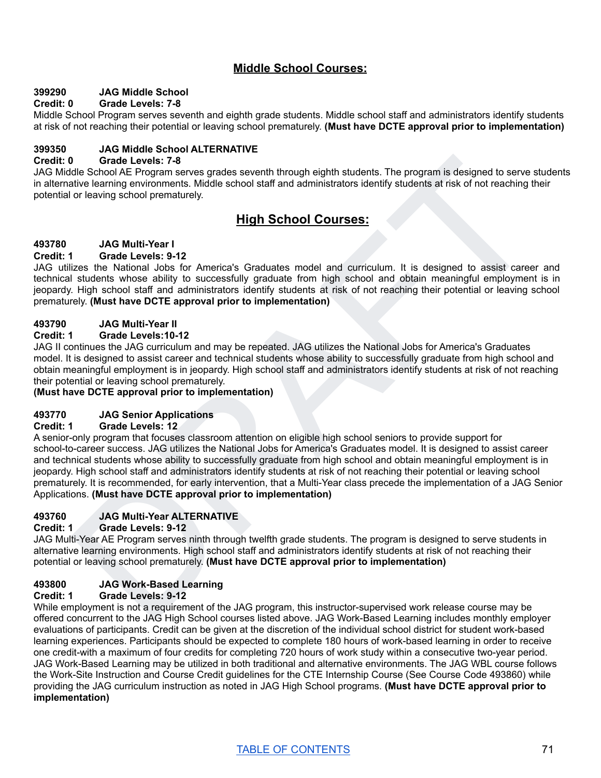# **Middle School Courses:**

# **399290 JAG Middle School**

# **Credit: 0 Grade Levels: 7-8**

Middle School Program serves seventh and eighth grade students. Middle school staff and administrators identify students at risk of not reaching their potential or leaving school prematurely. **(Must have DCTE approval prior to implementation)**

# **399350 JAG Middle School ALTERNATIVE**

#### **Credit: 0 Grade Levels: 7-8**

JAG Middle School AE Program serves grades seventh through eighth students. The program is designed to serve students in alternative learning environments. Middle school staff and administrators identify students at risk of not reaching their potential or leaving school prematurely.

# **High School Courses:**

# **493780 JAG Multi-Year I**

#### **Credit: 1 Grade Levels: 9-12**

JAG utilizes the National Jobs for America's Graduates model and curriculum. It is designed to assist career and technical students whose ability to successfully graduate from high school and obtain meaningful employment is in jeopardy. High school staff and administrators identify students at risk of not reaching their potential or leaving school prematurely. **(Must have DCTE approval prior to implementation)**

# **493790 JAG Multi-Year II**

#### **Credit: 1 Grade Levels:10-12**

JAG II continues the JAG curriculum and may be repeated. JAG utilizes the National Jobs for America's Graduates model. It is designed to assist career and technical students whose ability to successfully graduate from high school and obtain meaningful employment is in jeopardy. High school staff and administrators identify students at risk of not reaching their potential or leaving school prematurely.

# **(Must have DCTE approval prior to implementation)**

# **493770 JAG Senior Applications**

#### **Credit: 1 Grade Levels: 12**

0 Grabe Levels 7-8<br>
and Corol AE Program serves grades seventh through eighth students. The program is designed to serve students<br>title eleming environments. Middle school staff and administrators dentify students at risk A senior-only program that focuses classroom attention on eligible high school seniors to provide support for school-to-career success. JAG utilizes the National Jobs for America's Graduates model. It is designed to assist career and technical students whose ability to successfully graduate from high school and obtain meaningful employment is in jeopardy. High school staff and administrators identify students at risk of not reaching their potential or leaving school prematurely. It is recommended, for early intervention, that a Multi-Year class precede the implementation of a JAG Senior Applications. **(Must have DCTE approval prior to implementation)**

# **493760 JAG Multi-Year ALTERNATIVE**

#### **Credit: 1 Grade Levels: 9-12**

JAG Multi-Year AE Program serves ninth through twelfth grade students. The program is designed to serve students in alternative learning environments. High school staff and administrators identify students at risk of not reaching their potential or leaving school prematurely. **(Must have DCTE approval prior to implementation)**

# **493800 JAG Work-Based Learning**

# **Credit: 1 Grade Levels: 9-12**

While employment is not a requirement of the JAG program, this instructor-supervised work release course may be offered concurrent to the JAG High School courses listed above. JAG Work-Based Learning includes monthly employer evaluations of participants. Credit can be given at the discretion of the individual school district for student work-based learning experiences. Participants should be expected to complete 180 hours of work-based learning in order to receive one credit-with a maximum of four credits for completing 720 hours of work study within a consecutive two-year period. JAG Work-Based Learning may be utilized in both traditional and alternative environments. The JAG WBL course follows the Work-Site Instruction and Course Credit guidelines for the CTE Internship Course (See Course Code 493860) while providing the JAG curriculum instruction as noted in JAG High School programs. **(Must have DCTE approval prior to implementation)**